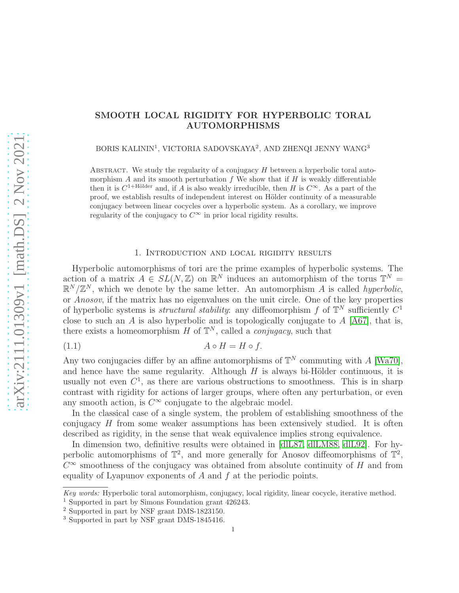# SMOOTH LOCAL RIGIDITY FOR HYPERBOLIC TORAL AUTOMORPHISMS

 $\rm BORIS~KALININ^{1},$ VICTORIA SADOVSKAYA $2,$  AND ZHENQI JENNY WANG $^{3}$ 

ABSTRACT. We study the regularity of a conjugacy  $H$  between a hyperbolic toral automorphism  $A$  and its smooth perturbation  $f$ . We show that if  $H$  is weakly differentiable then it is  $C^{1+\text{Hölder}}$  and, if A is also weakly irreducible, then H is  $C^{\infty}$ . As a part of the proof, we establish results of independent interest on Hölder continuity of a measurable conjugacy between linear cocycles over a hyperbolic system. As a corollary, we improve regularity of the conjugacy to  $C^{\infty}$  in prior local rigidity results.

# <span id="page-0-0"></span>1. Introduction and local rigidity results

Hyperbolic automorphisms of tori are the prime examples of hyperbolic systems. The action of a matrix  $A \in SL(N, \mathbb{Z})$  on  $\mathbb{R}^N$  induces an automorphism of the torus  $\mathbb{T}^N =$  $\mathbb{R}^N/\mathbb{Z}^N$ , which we denote by the same letter. An automorphism A is called *hyperbolic*, or Anosov, if the matrix has no eigenvalues on the unit circle. One of the key properties of hyperbolic systems is *structural stability*: any diffeomorphism f of  $\mathbb{T}^N$  sufficiently  $C^1$ close to such an A is also hyperbolic and is topologically conjugate to  $A$  [\[A67\]](#page-39-0), that is, there exists a homeomorphism H of  $\mathbb{T}^N$ , called a *conjugacy*, such that

$$
(1.1) \t\t A \circ H = H \circ f.
$$

Any two conjugacies differ by an affine automorphisms of  $\mathbb{T}^N$  commuting with A [\[Wa70\]](#page-41-0), and hence have the same regularity. Although  $H$  is always bi-Hölder continuous, it is usually not even  $C^1$ , as there are various obstructions to smoothness. This is in sharp contrast with rigidity for actions of larger groups, where often any perturbation, or even any smooth action, is  $C^{\infty}$  conjugate to the algebraic model.

In the classical case of a single system, the problem of establishing smoothness of the conjugacy  $H$  from some weaker assumptions has been extensively studied. It is often described as rigidity, in the sense that weak equivalence implies strong equivalence.

In dimension two, definitive results were obtained in [\[dlL87,](#page-40-0) [dlLM88,](#page-40-1) [dlL92\]](#page-40-2). For hyperbolic automorphisms of  $\mathbb{T}^2$ , and more generally for Anosov diffeomorphisms of  $\mathbb{T}^2$ ,  $C^{\infty}$  smoothness of the conjugacy was obtained from absolute continuity of H and from equality of Lyapunov exponents of A and f at the periodic points.

Key words: Hyperbolic toral automorphism, conjugacy, local rigidity, linear cocycle, iterative method.

<sup>1</sup> Supported in part by Simons Foundation grant 426243.

<sup>2</sup> Supported in part by NSF grant DMS-1823150.

<sup>&</sup>lt;sup>3</sup> Supported in part by NSF grant DMS-1845416.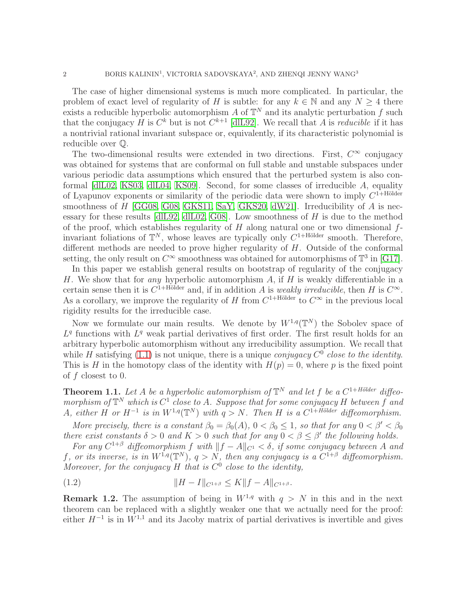The case of higher dimensional systems is much more complicated. In particular, the problem of exact level of regularity of H is subtle: for any  $k \in \mathbb{N}$  and any  $N \geq 4$  there exists a reducible hyperbolic automorphism A of  $\mathbb{T}^N$  and its analytic perturbation f such that the conjugacy H is  $C^k$  but is not  $C^{k+1}$  [\[dlL92\]](#page-40-2). We recall that A is *reducible* if it has a nontrivial rational invariant subspace or, equivalently, if its characteristic polynomial is reducible over Q.

The two-dimensional results were extended in two directions. First,  $C^{\infty}$  conjugacy was obtained for systems that are conformal on full stable and unstable subspaces under various periodic data assumptions which ensured that the perturbed system is also conformal [\[dlL02,](#page-40-3) [KS03,](#page-40-4) [dlL04,](#page-40-5) [KS09\]](#page-40-6). Second, for some classes of irreducible A, equality of Lyapunov exponents or similarity of the periodic data were shown to imply  $C^{1+H\ddot{o}lder}$ smoothness of  $H$  [\[GG08,](#page-40-7) [G08,](#page-40-8) [GKS11,](#page-40-9) [SaY,](#page-41-1) [GKS20,](#page-40-10) [dW21\]](#page-40-11). Irreducibility of  $A$  is necessary for these results  $[dL92, dL02, G08]$  $[dL92, dL02, G08]$ . Low smoothness of H is due to the method of the proof, which establishes regularity of  $H$  along natural one or two dimensional  $f$ invariant foliations of  $\mathbb{T}^N$ , whose leaves are typically only  $C^{1+\text{Hölder}}$  smooth. Therefore, different methods are needed to prove higher regularity of H. Outside of the conformal setting, the only result on  $C^{\infty}$  smoothness was obtained for automorphisms of  $\mathbb{T}^3$  in [\[G17\]](#page-40-12).

In this paper we establish general results on bootstrap of regularity of the conjugacy H. We show that for *any* hyperbolic automorphism  $A$ , if  $H$  is weakly differentiable in a certain sense then it is  $C^{1+\text{Hölder}}$  and, if in addition A is weakly irreducible, then H is  $C^{\infty}$ . As a corollary, we improve the regularity of H from  $C^{1+\text{Hölder}}$  to  $C^{\infty}$  in the previous local rigidity results for the irreducible case.

Now we formulate our main results. We denote by  $W^{1,q}(\mathbb{T}^N)$  the Sobolev space of  $L<sup>q</sup>$  functions with  $L<sup>q</sup>$  weak partial derivatives of first order. The first result holds for an arbitrary hyperbolic automorphism without any irreducibility assumption. We recall that while H satisfying  $(1.1)$  is not unique, there is a unique *conjugacy*  $C^0$  close to the *identity*. This is H in the homotopy class of the identity with  $H(p) = 0$ , where p is the fixed point of f closest to 0.

<span id="page-1-0"></span>**Theorem 1.1.** Let A be a hyperbolic automorphism of  $\mathbb{T}^N$  and let f be a  $C^{1+H\ddot{o}lder}$  diffeomorphism of  $\mathbb{T}^N$  which is  $C^1$  close to A. Suppose that for some conjugacy H between f and A, either H or  $H^{-1}$  is in  $W^{1,q}(\mathbb{T}^N)$  with  $q > N$ . Then H is a  $C^{1+H\ddot{o}lder}$  diffeomorphism.

More precisely, there is a constant  $\beta_0 = \beta_0(A)$ ,  $0 < \beta_0 \le 1$ , so that for any  $0 < \beta' < \beta_0$ there exist constants  $\delta > 0$  and  $K > 0$  such that for any  $0 < \beta \leq \beta'$  the following holds.

For any  $C^{1+\beta}$  diffeomorphism f with  $||f - A||_{C^1} < \delta$ , if some conjugacy between A and f, or its inverse, is in  $W^{1,q}(\mathbb{T}^N)$ ,  $q > N$ , then any conjugacy is a  $C^{1+\beta}$  diffeomorphism. Moreover, for the conjugacy  $H$  that is  $C^0$  close to the identity,

<span id="page-1-1"></span>(1.2) 
$$
||H - I||_{C^{1+\beta}} \leq K||f - A||_{C^{1+\beta}}.
$$

**Remark 1.2.** The assumption of being in  $W^{1,q}$  with  $q > N$  in this and in the next theorem can be replaced with a slightly weaker one that we actually need for the proof: either  $H^{-1}$  is in  $W^{1,1}$  and its Jacoby matrix of partial derivatives is invertible and gives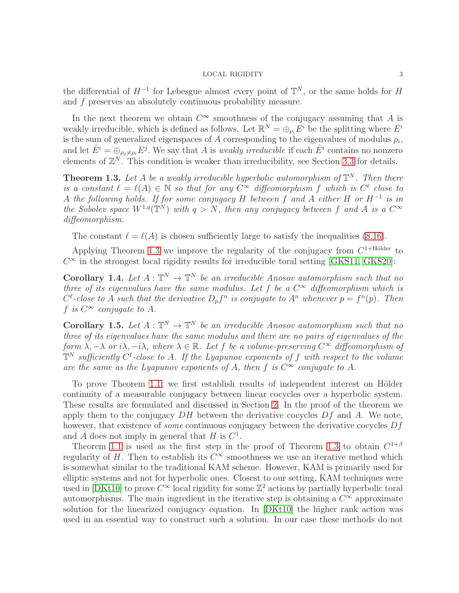the differential of  $H^{-1}$  for Lebesgue almost every point of  $\mathbb{T}^N$ , or the same holds for H and f preserves an absolutely continuous probability measure.

In the next theorem we obtain  $C^{\infty}$  smoothness of the conjugacy assuming that A is weakly irreducible, which is defined as follows. Let  $\mathbb{R}^N = \bigoplus_{\rho_i} E^i$  be the splitting where  $E^i$ is the sum of generalized eigenspaces of A corresponding to the eigenvalues of modulus  $\rho_i$ , and let  $\hat{E}^i = \bigoplus_{\rho_j \neq \rho_i} E^j$ . We say that A is *weakly irreducible* if each  $\hat{E}^i$  contains no nonzero elements of  $\mathbb{Z}^N$ . This condition is weaker than irreducibility, see Section [3.3](#page-6-0) for details.

<span id="page-2-0"></span>**Theorem 1.3.** Let A be a weakly irreducible hyperbolic automorphism of  $\mathbb{T}^N$ . Then there is a constant  $\ell = \ell(A) \in \mathbb{N}$  so that for any  $C^{\infty}$  diffeomorphism f which is  $C^{\ell}$  close to A the following holds. If for some conjugacy H between f and A either H or  $H^{-1}$  is in the Sobolev space  $W^{1,q}(\mathbb{T}^N)$  with  $q > N$ , then any conjugacy between f and A is a  $C^{\infty}$ diffeomorphism.

The constant  $\ell = \ell(A)$  is chosen sufficiently large to satisfy the inequalities [\(8.16\)](#page-37-0).

Applying Theorem [1.3](#page-2-0) we improve the regularity of the conjugacy from  $C^{1+\text{Hölder}}$  to  $C^{\infty}$  in the strongest local rigidity results for irreducible toral setting [\[GKS11,](#page-40-9) [GKS20\]](#page-40-10):

**Corollary 1.4.** Let  $A : \mathbb{T}^N \to \mathbb{T}^N$  be an irreducible Anosov automorphism such that no three of its eigenvalues have the same modulus. Let f be a  $C^{\infty}$  diffeomorphism which is  $C^{\ell}$ -close to A such that the derivative  $D_{p}f^{n}$  is conjugate to  $A^{n}$  whenever  $p = f^{n}(p)$ . Then f is  $C^{\infty}$  conjugate to A.

**Corollary 1.5.** Let  $A : \mathbb{T}^N \to \mathbb{T}^N$  be an irreducible Anosov automorphism such that no three of its eigenvalues have the same modulus and there are no pairs of eigenvalues of the form  $\lambda, -\lambda$  or  $i\lambda, -i\lambda$ , where  $\lambda \in \mathbb{R}$ . Let f be a volume-preserving  $C^{\infty}$  diffeomorphism of  $\mathbb{T}^N$  sufficiently  $C^{\ell}$ -close to A. If the Lyapunov exponents of f with respect to the volume are the same as the Lyapunov exponents of A, then f is  $C^{\infty}$  conjugate to A.

To prove Theorem [1.1,](#page-1-0) we first establish results of independent interest on Hölder continuity of a measurable conjugacy between linear cocycles over a hyperbolic system. These results are formulated and discussed in Section [2.](#page-3-0) In the proof of the theorem we apply them to the conjugacy  $DH$  between the derivative cocycles  $Df$  and A. We note, however, that existence of *some* continuous conjugacy between the derivative cocycles  $Df$ and A does not imply in general that H is  $C^1$ .

Theorem [1.1](#page-1-0) is used as the first step in the proof of Theorem [1.3](#page-2-0) to obtain  $C^{1+\beta}$ regularity of H. Then to establish its  $C^{\infty}$  smoothness we use an iterative method which is somewhat similar to the traditional KAM scheme. However, KAM is primarily used for elliptic systems and not for hyperbolic ones. Closest to our setting, KAM techniques were used in [\[DKt10\]](#page-40-13) to prove  $C^{\infty}$  local rigidity for some  $\mathbb{Z}^2$  actions by partially hyperbolic toral automorphisms. The main ingredient in the iterative step is obtaining a  $C^{\infty}$  approximate solution for the linearized conjugacy equation. In [\[DKt10\]](#page-40-13) the higher rank action was used in an essential way to construct such a solution. In our case these methods do not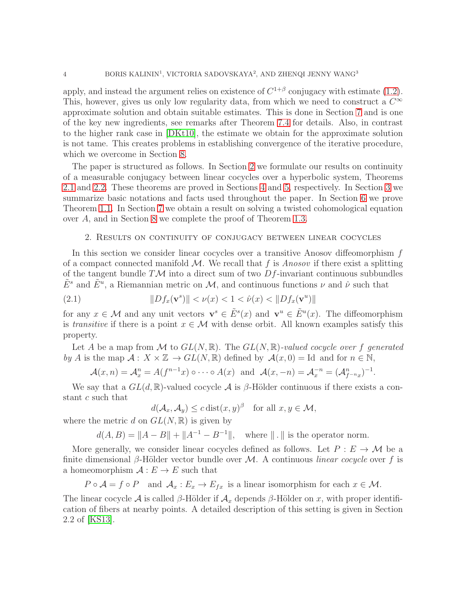apply, and instead the argument relies on existence of  $C^{1+\beta}$  conjugacy with estimate [\(1.2\)](#page-1-1). This, however, gives us only low regularity data, from which we need to construct a  $C^{\infty}$ approximate solution and obtain suitable estimates. This is done in Section [7](#page-22-0) and is one of the key new ingredients, see remarks after Theorem [7.4](#page-27-0) for details. Also, in contrast to the higher rank case in [\[DKt10\]](#page-40-13), the estimate we obtain for the approximate solution is not tame. This creates problems in establishing convergence of the iterative procedure, which we overcome in Section [8.](#page-32-0)

The paper is structured as follows. In Section [2](#page-3-0) we formulate our results on continuity of a measurable conjugacy between linear cocycles over a hyperbolic system, Theorems [2.1](#page-4-0) and [2.2.](#page-5-0) These theorems are proved in Sections [4](#page-6-1) and [5,](#page-12-0) respectively. In Section [3](#page-5-1) we summarize basic notations and facts used throughout the paper. In Section [6](#page-17-0) we prove Theorem [1.1.](#page-1-0) In Section [7](#page-22-0) we obtain a result on solving a twisted cohomological equation over A, and in Section [8](#page-32-0) we complete the proof of Theorem [1.3.](#page-2-0)

# <span id="page-3-0"></span>2. Results on continuity of conjugacy between linear cocycles

In this section we consider linear cocycles over a transitive Anosov diffeomorphism  $f$ of a compact connected manifold  $\mathcal{M}$ . We recall that f is Anosov if there exist a splitting of the tangent bundle  $T\mathcal{M}$  into a direct sum of two  $Df$ -invariant continuous subbundles  $\tilde{E}^s$  and  $\tilde{E}^u$ , a Riemannian metric on M, and continuous functions  $\nu$  and  $\hat{\nu}$  such that

<span id="page-3-1"></span>(2.1) 
$$
||Df_x(\mathbf{v}^s)|| < \nu(x) < 1 < \hat{\nu}(x) < ||Df_x(\mathbf{v}^u)||
$$

for any  $x \in \mathcal{M}$  and any unit vectors  $\mathbf{v}^s \in \tilde{E}^s(x)$  and  $\mathbf{v}^u \in \tilde{E}^u(x)$ . The diffeomorphism is transitive if there is a point  $x \in \mathcal{M}$  with dense orbit. All known examples satisfy this property.

Let A be a map from M to  $GL(N,\mathbb{R})$ . The  $GL(N,\mathbb{R})$ -valued cocycle over f generated by A is the map  $\mathcal{A}: X \times \mathbb{Z} \to GL(N, \mathbb{R})$  defined by  $\mathcal{A}(x, 0) =$  Id and for  $n \in \mathbb{N}$ ,

$$
\mathcal{A}(x,n) = \mathcal{A}_x^n = A(f^{n-1}x) \circ \cdots \circ A(x) \text{ and } \mathcal{A}(x,-n) = \mathcal{A}_x^{-n} = (\mathcal{A}_{f^{-n}x}^n)^{-1}
$$

.

We say that a  $GL(d,\mathbb{R})$ -valued cocycle  $\mathcal A$  is  $\beta$ -Hölder continuous if there exists a constant c such that

$$
d(\mathcal{A}_x, \mathcal{A}_y) \le c \operatorname{dist}(x, y)^\beta \quad \text{for all } x, y \in \mathcal{M},
$$

where the metric d on  $GL(N,\mathbb{R})$  is given by

 $d(A, B) = ||A - B|| + ||A^{-1} - B^{-1}||$ , where  $|| \cdot ||$  is the operator norm.

More generally, we consider linear cocycles defined as follows. Let  $P : E \to M$  be a finite dimensional β-Hölder vector bundle over M. A continuous *linear cocycle* over f is a homeomorphism  $A: E \to E$  such that

 $P \circ \mathcal{A} = f \circ P$  and  $\mathcal{A}_x : E_x \to E_{fx}$  is a linear isomorphism for each  $x \in \mathcal{M}$ .

The linear cocycle A is called β-Hölder if  $\mathcal{A}_x$  depends β-Hölder on x, with proper identification of fibers at nearby points. A detailed description of this setting is given in Section 2.2 of [\[KS13\]](#page-40-14).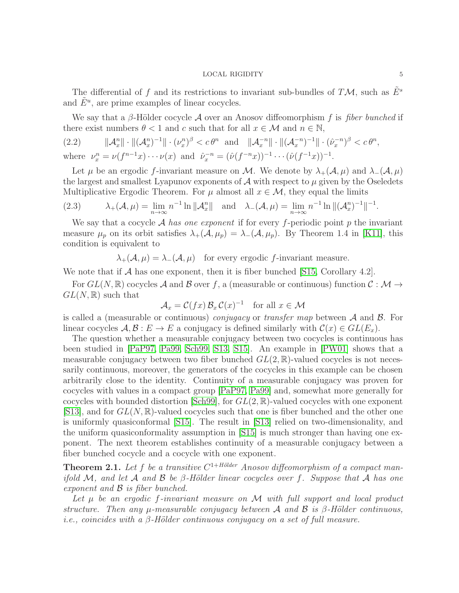The differential of f and its restrictions to invariant sub-bundles of  $T\mathcal{M}$ , such as  $E^s$ and  $\tilde{E}^u$ , are prime examples of linear cocycles.

We say that a  $\beta$ -Hölder cocycle A over an Anosov diffeomorphism f is fiber bunched if there exist numbers  $\theta < 1$  and c such that for all  $x \in \mathcal{M}$  and  $n \in \mathbb{N}$ ,

<span id="page-4-1"></span>(2.2) 
$$
\|\mathcal{A}_{x}^{n}\| \cdot \|(\mathcal{A}_{x}^{n})^{-1}\| \cdot (\nu_{x}^{n})^{\beta} < c \theta^{n} \text{ and } \|\mathcal{A}_{x}^{-n}\| \cdot \|(\mathcal{A}_{x}^{-n})^{-1}\| \cdot (\hat{\nu}_{x}^{-n})^{\beta} < c \theta^{n},
$$
  
where  $\nu_{x}^{n} = \nu(f^{n-1}x) \cdots \nu(x)$  and  $\hat{\nu}_{x}^{-n} = (\hat{\nu}(f^{-n}x))^{-1} \cdots (\hat{\nu}(f^{-1}x))^{-1}.$ 

Let  $\mu$  be an ergodic f-invariant measure on M. We denote by  $\lambda_+(\mathcal{A}, \mu)$  and  $\lambda_-(\mathcal{A}, \mu)$ the largest and smallest Lyapunov exponents of  $A$  with respect to  $\mu$  given by the Oseledets Multiplicative Ergodic Theorem. For  $\mu$  almost all  $x \in \mathcal{M}$ , they equal the limits

(2.3) 
$$
\lambda_{+}(\mathcal{A}, \mu) = \lim_{n \to \infty} n^{-1} \ln ||\mathcal{A}_{x}^{n}|| \text{ and } \lambda_{-}(\mathcal{A}, \mu) = \lim_{n \to \infty} n^{-1} \ln ||(\mathcal{A}_{x}^{n})^{-1}||^{-1}.
$$

We say that a cocycle A has one exponent if for every f-periodic point p the invariant measure  $\mu_p$  on its orbit satisfies  $\lambda_+(\mathcal{A}, \mu_p) = \lambda_-(\mathcal{A}, \mu_p)$ . By Theorem 1.4 in [\[K11\]](#page-40-15), this condition is equivalent to

 $\lambda_+(\mathcal{A}, \mu) = \lambda_-(\mathcal{A}, \mu)$  for every ergodic f-invariant measure.

We note that if  $A$  has one exponent, then it is fiber bunched [\[S15,](#page-41-2) Corollary 4.2].

For  $GL(N,\mathbb{R})$  cocycles A and B over f, a (measurable or continuous) function  $\mathcal{C}: \mathcal{M} \to$  $GL(N,\mathbb{R})$  such that

$$
\mathcal{A}_x = \mathcal{C}(fx) \mathcal{B}_x \mathcal{C}(x)^{-1} \text{ for all } x \in \mathcal{M}
$$

is called a (measurable or continuous) *conjugacy* or *transfer map* between  $\mathcal A$  and  $\mathcal B$ . For linear cocycles  $\mathcal{A}, \mathcal{B}: E \to E$  a conjugacy is defined similarly with  $\mathcal{C}(x) \in GL(E_x)$ .

The question whether a measurable conjugacy between two cocycles is continuous has been studied in [\[PaP97,](#page-41-3) [Pa99,](#page-41-4) [Sch99,](#page-41-5) [S13,](#page-41-6) [S15\]](#page-41-2). An example in [\[PW01\]](#page-41-7) shows that a measurable conjugacy between two fiber bunched  $GL(2,\mathbb{R})$ -valued cocycles is not necessarily continuous, moreover, the generators of the cocycles in this example can be chosen arbitrarily close to the identity. Continuity of a measurable conjugacy was proven for cocycles with values in a compact group [\[PaP97,](#page-41-3) [Pa99\]](#page-41-4) and, somewhat more generally for cocycles with bounded distortion [\[Sch99\]](#page-41-5), for  $GL(2,\mathbb{R})$ -valued cocycles with one exponent [\[S13\]](#page-41-6), and for  $GL(N,\mathbb{R})$ -valued cocycles such that one is fiber bunched and the other one is uniformly quasiconformal [\[S15\]](#page-41-2). The result in [\[S13\]](#page-41-6) relied on two-dimensionality, and the uniform quasiconformality assumption in [\[S15\]](#page-41-2) is much stronger than having one exponent. The next theorem establishes continuity of a measurable conjugacy between a fiber bunched cocycle and a cocycle with one exponent.

<span id="page-4-0"></span>**Theorem 2.1.** Let f be a transitive  $C^{1+Hölder}$  Anosov diffeomorphism of a compact manifold M, and let A and B be  $\beta$ -Hölder linear cocycles over f. Suppose that A has one exponent and  $\beta$  is fiber bunched.

Let  $\mu$  be an ergodic f-invariant measure on M with full support and local product structure. Then any  $\mu$ -measurable conjugacy between A and B is  $\beta$ -Hölder continuous, i.e., coincides with a  $\beta$ -Hölder continuous conjugacy on a set of full measure.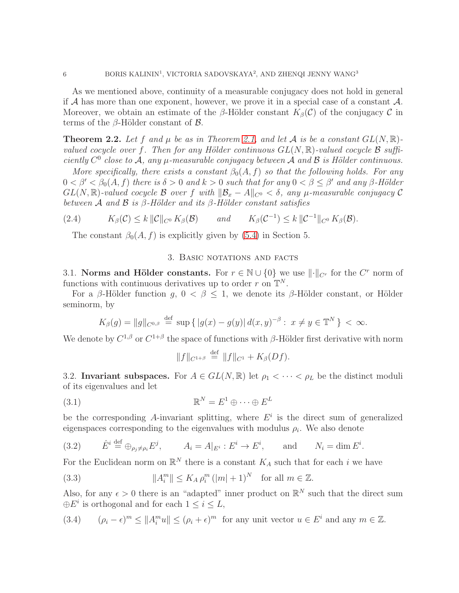As we mentioned above, continuity of a measurable conjugacy does not hold in general if A has more than one exponent, however, we prove it in a special case of a constant  $\mathcal{A}$ . Moreover, we obtain an estimate of the β-Hölder constant  $K_\beta(\mathcal{C})$  of the conjugacy  $\mathcal C$  in terms of the  $\beta$ -Hölder constant of  $\beta$ .

<span id="page-5-0"></span>**Theorem 2.2.** Let f and  $\mu$  be as in Theorem [2.1,](#page-4-0) and let A is be a constant  $GL(N, \mathbb{R})$ valued cocycle over f. Then for any Hölder continuous  $GL(N, \mathbb{R})$ -valued cocycle  $\mathcal B$  sufficiently  $C^0$  close to A, any  $\mu$ -measurable conjugacy between A and B is Hölder continuous.

More specifically, there exists a constant  $\beta_0(A, f)$  so that the following holds. For any  $0 < \beta' < \beta_0(A, f)$  there is  $\delta > 0$  and  $k > 0$  such that for any  $0 < \beta \leq \beta'$  and any  $\beta$ -Hölder  $GL(N,\mathbb{R})$ -valued cocycle B over f with  $\|\mathcal{B}_x - A\|_{C^0} < \delta$ , any  $\mu$ -measurable conjugacy C between A and B is  $\beta$ -Hölder and its  $\beta$ -Hölder constant satisfies

(2.4)  $K_\beta(\mathcal{C}) \leq k \|\mathcal{C}\|_{C^0} K_\beta(\mathcal{B})$  and  $K_\beta(\mathcal{C}^{-1}) \leq k \|\mathcal{C}^{-1}\|_{C^0} K_\beta(\mathcal{B}).$ 

<span id="page-5-1"></span>The constant  $\beta_0(A, f)$  is explicitly given by [\(5.4\)](#page-13-0) in Section 5.

# 3. Basic notations and facts

3.1. Norms and Hölder constants. For  $r \in \mathbb{N} \cup \{0\}$  we use  $\lVert \cdot \rVert_{C^r}$  for the  $C^r$  norm of functions with continuous derivatives up to order r on  $\mathbb{T}^N$ .

For a β-Hölder function g,  $0 < \beta \leq 1$ , we denote its β-Hölder constant, or Hölder seminorm, by

$$
K_{\beta}(g) = \|g\|_{C^{0,\beta}} \stackrel{\text{def}}{=} \sup \{|g(x) - g(y)| d(x,y)^{-\beta} : x \neq y \in \mathbb{T}^{N}\} < \infty.
$$

We denote by  $C^{1,\beta}$  or  $C^{1+\beta}$  the space of functions with  $\beta$ -Hölder first derivative with norm

<span id="page-5-2"></span>
$$
||f||_{C^{1+\beta}} \stackrel{\text{def}}{=} ||f||_{C^1} + K_{\beta}(Df).
$$

3.2. Invariant subspaces. For  $A \in GL(N, \mathbb{R})$  let  $\rho_1 < \cdots < \rho_L$  be the distinct moduli of its eigenvalues and let

$$
(3.1) \t\t \mathbb{R}^N = E^1 \oplus \cdots \oplus E^L
$$

be the corresponding A-invariant splitting, where  $E^i$  is the direct sum of generalized eigenspaces corresponding to the eigenvalues with modulus  $\rho_i$ . We also denote

(3.2) 
$$
\hat{E}^i \stackrel{\text{def}}{=} \oplus_{\rho_j \neq \rho_i} E^j
$$
,  $A_i = A|_{E^i}: E^i \to E^i$ , and  $N_i = \dim E^i$ .

For the Euclidean norm on  $\mathbb{R}^N$  there is a constant  $K_A$  such that for each i we have

<span id="page-5-4"></span>(3.3) 
$$
||A_i^m|| \le K_A \rho_i^m (|m|+1)^N \text{ for all } m \in \mathbb{Z}.
$$

Also, for any  $\epsilon > 0$  there is an "adapted" inner product on  $\mathbb{R}^N$  such that the direct sum  $\oplus E^i$  is orthogonal and for each  $1 \leq i \leq L$ ,

<span id="page-5-3"></span>(3.4) 
$$
(\rho_i - \epsilon)^m \le ||A_i^m u|| \le (\rho_i + \epsilon)^m \text{ for any unit vector } u \in E^i \text{ and any } m \in \mathbb{Z}.
$$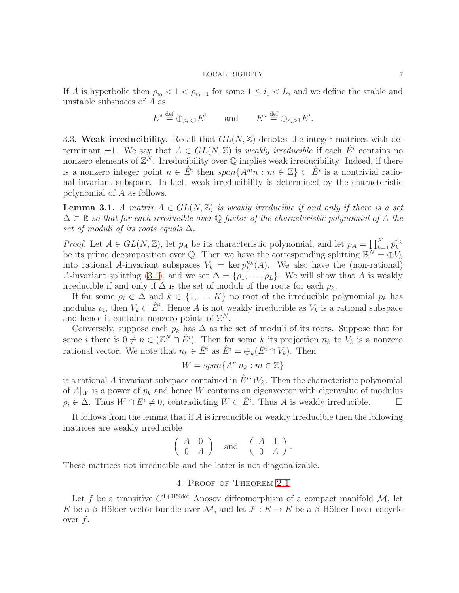If A is hyperbolic then  $\rho_{i_0} < 1 < \rho_{i_0+1}$  for some  $1 \leq i_0 < L$ , and we define the stable and unstable subspaces of A as

$$
E^s \stackrel{\text{def}}{=} \bigoplus_{\rho_i < 1} E^i \qquad \text{and} \qquad E^u \stackrel{\text{def}}{=} \bigoplus_{\rho_i > 1} E^i.
$$

<span id="page-6-0"></span>3.3. Weak irreducibility. Recall that  $GL(N, \mathbb{Z})$  denotes the integer matrices with determinant  $\pm 1$ . We say that  $A \in GL(N, \mathbb{Z})$  is weakly irreducible if each  $\hat{E}^i$  contains no nonzero elements of  $\mathbb{Z}^N$ . Irreducibility over  $\mathbb Q$  implies weak irreducibility. Indeed, if there is a nonzero integer point  $n \in \hat{E}^i$  then  $span\{A^m n : m \in \mathbb{Z}\}\subset \hat{E}^i$  is a nontrivial rational invariant subspace. In fact, weak irreducibility is determined by the characteristic polynomial of A as follows.

**Lemma 3.1.** A matrix  $A \in GL(N, \mathbb{Z})$  is weakly irreducible if and only if there is a set  $\Delta \subset \mathbb{R}$  so that for each irreducible over Q factor of the characteristic polynomial of A the set of moduli of its roots equals  $\Delta$ .

*Proof.* Let  $A \in GL(N, \mathbb{Z})$ , let  $p_A$  be its characteristic polynomial, and let  $p_A = \prod_{k=1}^K p_k^{n_k}$ k be its prime decomposition over Q. Then we have the corresponding splitting  $\mathbb{R}^N = \bigoplus V_k$ into rational A-invariant subspaces  $V_k = \ker p_k^{n_k}(A)$ . We also have the (non-rational) A-invariant splitting [\(3.1\)](#page-5-2), and we set  $\Delta = {\rho_1, \ldots, \rho_L}$ . We will show that A is weakly irreducible if and only if  $\Delta$  is the set of moduli of the roots for each  $p_k$ .

If for some  $\rho_i \in \Delta$  and  $k \in \{1, ..., K\}$  no root of the irreducible polynomial  $p_k$  has modulus  $\rho_i$ , then  $V_k \subset \hat{E}^i$ . Hence A is not weakly irreducible as  $V_k$  is a rational subspace and hence it contains nonzero points of  $\mathbb{Z}^N$ .

Conversely, suppose each  $p_k$  has  $\Delta$  as the set of moduli of its roots. Suppose that for some *i* there is  $0 \neq n \in (\mathbb{Z}^N \cap \hat{E}^i)$ . Then for some *k* its projection  $n_k$  to  $V_k$  is a nonzero rational vector. We note that  $n_k \in \hat{E}^i$  as  $\hat{E}^i = \bigoplus_k (\hat{E}^i \cap V_k)$ . Then

$$
W = span\{A^m n_k : m \in \mathbb{Z}\}\
$$

is a rational A-invariant subspace contained in  $E^i \cap V_k$ . Then the characteristic polynomial of  $A|_W$  is a power of  $p_k$  and hence W contains an eigenvector with eigenvalue of modulus  $\rho_i \in \Delta$ . Thus  $W \cap E^i \neq 0$ , contradicting  $W \subset \hat{E}^i$ . Thus A is weakly irreducible.  $\Box$ 

It follows from the lemma that if  $A$  is irreducible or weakly irreducible then the following matrices are weakly irreducible

$$
\begin{pmatrix} A & 0 \\ 0 & A \end{pmatrix}
$$
 and  $\begin{pmatrix} A & I \\ 0 & A \end{pmatrix}$ .

<span id="page-6-1"></span>These matrices not irreducible and the latter is not diagonalizable.

# 4. Proof of Theorem [2.1](#page-4-0)

Let f be a transitive  $C^{1+\text{Hölder}}$  Anosov diffeomorphism of a compact manifold  $\mathcal{M}$ , let E be a β-Hölder vector bundle over M, and let  $\mathcal{F}: E \to E$  be a β-Hölder linear cocycle over  $f$ .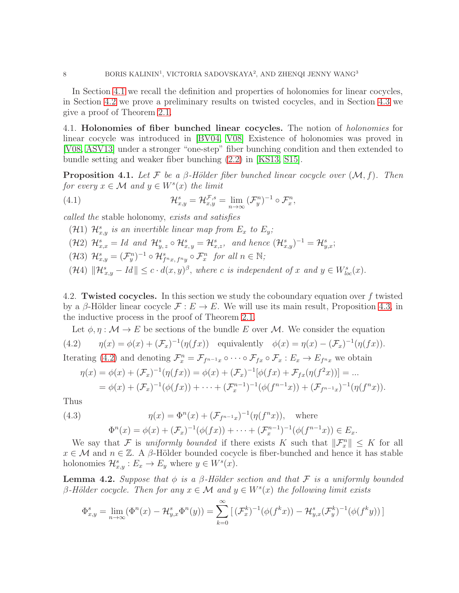In Section [4.1](#page-7-0) we recall the definition and properties of holonomies for linear cocycles, in Section [4.2](#page-7-1) we prove a preliminary results on twisted cocycles, and in Section [4.3](#page-9-0) we give a proof of Theorem [2.1.](#page-4-0)

<span id="page-7-0"></span>4.1. Holonomies of fiber bunched linear cocycles. The notion of holonomies for linear cocycle was introduced in [\[BV04,](#page-39-1) [V08\]](#page-41-8) Existence of holonomies was proved in [\[V08,](#page-41-8) [ASV13\]](#page-39-2) under a stronger "one-step" fiber bunching condition and then extended to bundle setting and weaker fiber bunching [\(2.2\)](#page-4-1) in [\[KS13,](#page-40-14) [S15\]](#page-41-2).

**Proposition 4.1.** Let F be a  $\beta$ -Hölder fiber bunched linear cocycle over  $(\mathcal{M}, f)$ . Then for every  $x \in \mathcal{M}$  and  $y \in W^s(x)$  the limit

(4.1) 
$$
\mathcal{H}_{x,y}^s = \mathcal{H}_{x,y}^{\mathcal{F},s} = \lim_{n \to \infty} (\mathcal{F}_y^n)^{-1} \circ \mathcal{F}_x^n,
$$

called the stable holonomy, exists and satisfies

(H1)  $\mathcal{H}_{x,y}^s$  is an invertible linear map from  $E_x$  to  $E_y$ ;  $(\mathcal{H}2)$   $\mathcal{H}_{x,x}^s = Id$  and  $\mathcal{H}_{y,z}^s \circ \mathcal{H}_{x,y}^s = \mathcal{H}_{x,z}^s$ , and hence  $(\mathcal{H}_{x,y}^s)^{-1} = \mathcal{H}_{y,x}^s$ ;  $(\mathcal{H}3)$   $\mathcal{H}_{x,y}^s = (\mathcal{F}_y^n)^{-1} \circ \mathcal{H}_{f^n x, f^n y}^s \circ \mathcal{F}_x^n$  for all  $n \in \mathbb{N}$ ;  $(\mathcal{H}4)$   $\|\mathcal{H}_{x,y}^s - Id\| \leq c \cdot d(x,y)^{\beta}$ , where c is independent of x and  $y \in W_{loc}^s(x)$ .

<span id="page-7-1"></span>4.2. Twisted cocycles. In this section we study the coboundary equation over  $f$  twisted by a β-Hölder linear cocycle  $\mathcal{F}: E \to E$ . We will use its main result, Proposition [4.3,](#page-8-0) in the inductive process in the proof of Theorem [2.1.](#page-4-0)

Let  $\phi, \eta : \mathcal{M} \to E$  be sections of the bundle E over M. We consider the equation

(4.2) 
$$
\eta(x) = \phi(x) + (\mathcal{F}_x)^{-1}(\eta(fx))
$$
 equivalently 
$$
\phi(x) = \eta(x) - (\mathcal{F}_x)^{-1}(\eta(fx)).
$$

Iterating [\(4.2\)](#page-7-2) and denoting  $\mathcal{F}_x^n = \mathcal{F}_{f^{n-1}x} \circ \cdots \circ \mathcal{F}_{fx} \circ \mathcal{F}_x : E_x \to E_{f^n x}$  we obtain

<span id="page-7-3"></span><span id="page-7-2"></span>
$$
\eta(x) = \phi(x) + (\mathcal{F}_x)^{-1}(\eta(fx)) = \phi(x) + (\mathcal{F}_x)^{-1}[\phi(fx) + \mathcal{F}_{fx}(\eta(f^2x))] = \dots \n= \phi(x) + (\mathcal{F}_x)^{-1}(\phi(fx)) + \dots + (\mathcal{F}_x^{n-1})^{-1}(\phi(f^{n-1}x)) + (\mathcal{F}_{f^{n-1}x})^{-1}(\eta(f^nx)).
$$

Thus

(4.3) 
$$
\eta(x) = \Phi^n(x) + (\mathcal{F}_{f^{n-1}x})^{-1}(\eta(f^nx)), \text{ where}
$$

$$
\Phi^n(x) = \phi(x) + (\mathcal{F}_x)^{-1}(\phi(fx)) + \dots + (\mathcal{F}_x^{n-1})^{-1}(\phi(f^{n-1}x)) \in E_x.
$$

We say that F is uniformly bounded if there exists K such that  $\|\mathcal{F}_x^n\| \leq K$  for all  $x \in \mathcal{M}$  and  $n \in \mathbb{Z}$ . A  $\beta$ -Hölder bounded cocycle is fiber-bunched and hence it has stable holonomies  $\mathcal{H}_{x,y}^s : E_x \to E_y$  where  $y \in W^s(x)$ .

<span id="page-7-4"></span>**Lemma 4.2.** Suppose that  $\phi$  is a  $\beta$ -Hölder section and that F is a uniformly bounded  $\beta$ -Hölder cocycle. Then for any  $x \in \mathcal{M}$  and  $y \in W^s(x)$  the following limit exists

$$
\Phi_{x,y}^s = \lim_{n \to \infty} (\Phi^n(x) - \mathcal{H}_{y,x}^s \Phi^n(y)) = \sum_{k=0}^{\infty} \left[ (\mathcal{F}_x^k)^{-1} (\phi(f^k x)) - \mathcal{H}_{y,x}^s (\mathcal{F}_y^k)^{-1} (\phi(f^k y)) \right]
$$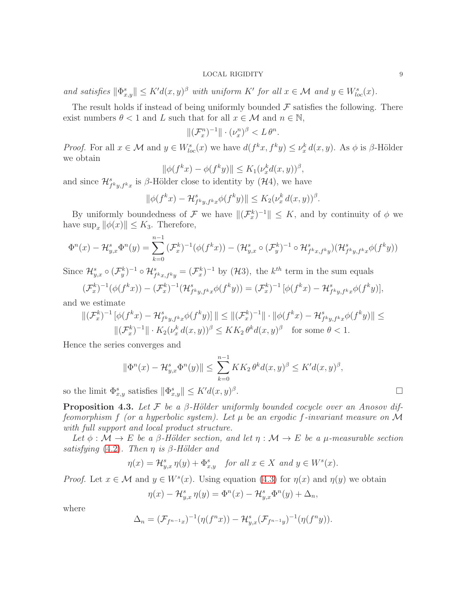and satisfies  $\|\Phi_{x,y}^s\| \leq K'd(x,y)^\beta$  with uniform  $K'$  for all  $x \in \mathcal{M}$  and  $y \in W_{loc}^s(x)$ .

The result holds if instead of being uniformly bounded  $\mathcal F$  satisfies the following. There exist numbers  $\theta < 1$  and L such that for all  $x \in \mathcal{M}$  and  $n \in \mathbb{N}$ ,

 $\|(\mathcal{F}_x^n)^{-1}\| \cdot (\nu_x^n)^{\beta} < L \theta^n.$ 

*Proof.* For all  $x \in M$  and  $y \in W_{loc}^s(x)$  we have  $d(f^k x, f^k y) \leq \nu_x^k d(x, y)$ . As  $\phi$  is  $\beta$ -Hölder we obtain

$$
\|\phi(f^kx)-\phi(f^ky)\|\leq K_1(\nu_x^kd(x,y))^{\beta},
$$

and since  $\mathcal{H}_{f^ky, f^kx}^s$  is  $\beta$ -Hölder close to identity by  $(\mathcal{H}4)$ , we have

$$
\|\phi(f^kx)-\mathcal{H}_{f^ky,f^kx}^s\phi(f^ky)\| \leq K_2(\nu_x^k\,d(x,y))^{\beta}.
$$

By uniformly boundedness of F we have  $\|(\mathcal{F}_x^k)^{-1}\| \leq K$ , and by continuity of  $\phi$  we have  $\sup_x ||\phi(x)|| \leq K_3$ . Therefore,

$$
\Phi^{n}(x) - \mathcal{H}_{y,x}^{s} \Phi^{n}(y) = \sum_{k=0}^{n-1} (\mathcal{F}_{x}^{k})^{-1} (\phi(f^{k}x)) - (\mathcal{H}_{y,x}^{s} \circ (\mathcal{F}_{y}^{k})^{-1} \circ \mathcal{H}_{f^{k}x,f^{k}y}^{s}) (\mathcal{H}_{f^{k}y,f^{k}x}^{s} \phi(f^{k}y))
$$

Since  $\mathcal{H}_{y,x}^s \circ (\mathcal{F}_y^k)^{-1} \circ \mathcal{H}_{f^k x, f^k y}^s = (\mathcal{F}_x^k)^{-1}$  by  $(\mathcal{H}3)$ , the  $k^{th}$  term in the sum equals

$$
(\mathcal{F}_x^k)^{-1}(\phi(f^kx)) - (\mathcal{F}_x^k)^{-1}(\mathcal{H}_{f^ky,f^kx}^s\phi(f^ky)) = (\mathcal{F}_x^k)^{-1}[\phi(f^kx) - \mathcal{H}_{f^ky,f^kx}^s\phi(f^ky)],
$$
 we estimate

and we estimate

$$
\|(\mathcal{F}_x^k)^{-1} \left[ \phi(f^k x) - \mathcal{H}_{f^k y, f^k x}^s \phi(f^k y) \right] \| \le \|(\mathcal{F}_x^k)^{-1}\| \cdot \| \phi(f^k x) - \mathcal{H}_{f^k y, f^k x}^s \phi(f^k y) \| \le
$$
  

$$
\|(\mathcal{F}_x^k)^{-1} \| \cdot K_2(\nu_x^k d(x, y))^{\beta} \le K K_2 \theta^k d(x, y)^{\beta} \text{ for some } \theta < 1.
$$

Hence the series converges and

$$
\|\Phi^n(x) - \mathcal{H}_{y,x}^s \Phi^n(y)\| \le \sum_{k=0}^{n-1} K K_2 \theta^k d(x, y)^\beta \le K' d(x, y)^\beta,
$$
  
 
$$
\text{ satisfies } \|\Phi_{x,y}^s\| \le K' d(x, y)^\beta.
$$

so the limit  $\Phi_{x,y}^s$  satisfies  $\|\Phi_{x,y}^s\| \leq K'd(x,y)^\beta$ 

<span id="page-8-0"></span>**Proposition 4.3.** Let F be a  $\beta$ -Hölder uniformly bounded cocycle over an Anosov diffeomorphism f (or a hyperbolic system). Let  $\mu$  be an ergodic f-invariant measure on M with full support and local product structure.

Let  $\phi : \mathcal{M} \to E$  be a  $\beta$ -Hölder section, and let  $\eta : \mathcal{M} \to E$  be a  $\mu$ -measurable section satisfying  $(4.2)$ . Then  $\eta$  is  $\beta$ -Hölder and

$$
\eta(x) = \mathcal{H}_{y,x}^s \eta(y) + \Phi_{x,y}^s \quad \text{for all } x \in X \text{ and } y \in W^s(x).
$$

*Proof.* Let  $x \in \mathcal{M}$  and  $y \in W^s(x)$ . Using equation [\(4.3\)](#page-7-3) for  $\eta(x)$  and  $\eta(y)$  we obtain

$$
\eta(x) - \mathcal{H}_{y,x}^s \eta(y) = \Phi^n(x) - \mathcal{H}_{y,x}^s \Phi^n(y) + \Delta_n,
$$

where

$$
\Delta_n = (\mathcal{F}_{f^{n-1}x})^{-1}(\eta(f^n x)) - \mathcal{H}_{y,x}^s(\mathcal{F}_{f^{n-1}y})^{-1}(\eta(f^n y)).
$$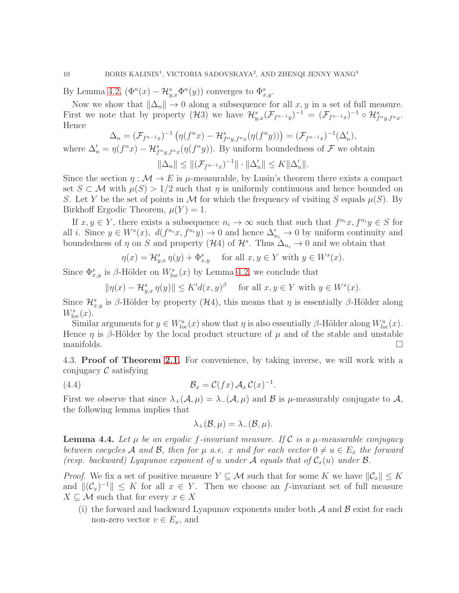By Lemma [4.2,](#page-7-4)  $(\Phi^n(x) - \mathcal{H}_{y,x}^s \Phi^n(y))$  converges to  $\Phi_{x,y}^s$ .

Now we show that  $\|\Delta_n\| \to 0$  along a subsequence for all  $x, y$  in a set of full measure. First we note that by property  $(\mathcal{H}3)$  we have  $\mathcal{H}_{y,x}^{s}(\mathcal{F}_{f^{n-1}y})^{-1} = (\mathcal{F}_{f^{n-1}x})^{-1} \circ \mathcal{H}_{f^{n}y,f^{n}x}^{s}$ . Hence

$$
\Delta_n = (\mathcal{F}_{f^{n-1}x})^{-1} \left( \eta(f^n x) - \mathcal{H}_{f^n y, f^n x}^s(\eta(f^n y)) \right) = (\mathcal{F}_{f^{n-1}x})^{-1} (\Delta_n'),
$$

where  $\Delta'_n = \eta(f^n x) - \mathcal{H}_{f^n y, f^n x}^s(\eta(f^n y))$ . By uniform boundedness of  $\mathcal F$  we obtain

$$
\|\Delta_n\| \le \|(\mathcal{F}_{f^{n-1}x})^{-1}\| \cdot \|\Delta_n'\| \le K \|\Delta_n'\|.
$$

Since the section  $\eta : \mathcal{M} \to E$  is  $\mu$ -measurable, by Lusin's theorem there exists a compact set  $S \subset \mathcal{M}$  with  $\mu(S) > 1/2$  such that  $\eta$  is uniformly continuous and hence bounded on S. Let Y be the set of points in M for which the frequency of visiting S equals  $\mu(S)$ . By Birkhoff Ergodic Theorem,  $\mu(Y) = 1$ .

If  $x, y \in Y$ , there exists a subsequence  $n_i \to \infty$  such that such that  $f^{n_i}x, f^{n_i}y \in S$  for all *i*. Since  $y \in W^s(x)$ ,  $d(f^{n_i}x, f^{n_i}y) \to 0$  and hence  $\Delta'_{n_i} \to 0$  by uniform continuity and boundedness of  $\eta$  on S and property (H4) of  $\mathcal{H}^s$ . Thus  $\Delta_{n_i} \to 0$  and we obtain that

$$
\eta(x) = \mathcal{H}_{y,x}^s \eta(y) + \Phi_{x,y}^s \quad \text{ for all } x, y \in Y \text{ with } y \in W^s(x).
$$

Since  $\Phi_{x,y}^s$  is  $\beta$ -Hölder on  $W_{\text{loc}}^s(x)$  by Lemma [4.2,](#page-7-4) we conclude that

$$
\|\eta(x) - \mathcal{H}_{y,x}^s \eta(y)\| \le K'd(x,y)^\beta \quad \text{ for all } x, y \in Y \text{ with } y \in W^s(x).
$$

Since  $\mathcal{H}_{x,y}^s$  is  $\beta$ -Hölder by property  $(\mathcal{H}4)$ , this means that  $\eta$  is essentially  $\beta$ -Hölder along  $W^s_{\text{loc}}(x)$ .

Similar arguments for  $y \in W^u_{loc}(x)$  show that  $\eta$  is also essentially  $\beta$ -Hölder along  $W^u_{loc}(x)$ . Hence  $\eta$  is  $\beta$ -Hölder by the local product structure of  $\mu$  and of the stable and unstable manifolds.

<span id="page-9-0"></span>4.3. Proof of Theorem [2.1.](#page-4-0) For convenience, by taking inverse, we will work with a conjugacy  $\mathcal C$  satisfying

(4.4) 
$$
\mathcal{B}_x = \mathcal{C}(fx) \mathcal{A}_x \mathcal{C}(x)^{-1}.
$$

First we observe that since  $\lambda_+(\mathcal{A}, \mu) = \lambda_-(\mathcal{A}, \mu)$  and  $\mathcal{B}$  is  $\mu$ -measurably conjugate to  $\mathcal{A},$ the following lemma implies that

<span id="page-9-1"></span>
$$
\lambda_+(\mathcal{B}, \mu) = \lambda_-(\mathcal{B}, \mu).
$$

<span id="page-9-2"></span>**Lemma 4.4.** Let  $\mu$  be an ergodic f-invariant measure. If C is a  $\mu$ -measurable conjugacy between cocycles A and B, then for  $\mu$  a.e. x and for each vector  $0 \neq u \in E_x$  the forward (resp. backward) Lyapunov exponent of u under A equals that of  $C_x(u)$  under  $\mathcal{B}$ .

*Proof.* We fix a set of positive measure  $Y \subseteq \mathcal{M}$  such that for some K we have  $||\mathcal{C}_x|| \leq K$ and  $\|(\mathcal{C}_x)^{-1}\| \leq K$  for all  $x \in Y$ . Then we choose an f-invariant set of full measure  $X \subseteq \mathcal{M}$  such that for every  $x \in X$ 

(i) the forward and backward Lyapunov exponents under both  $A$  and  $B$  exist for each non-zero vector  $v \in E_x$ , and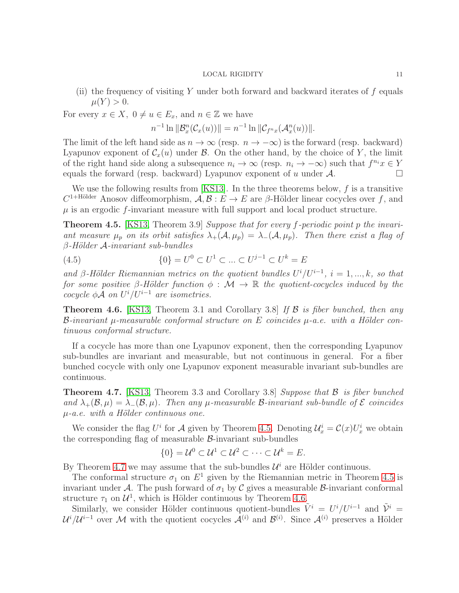(ii) the frequency of visiting Y under both forward and backward iterates of  $f$  equals  $\mu(Y) > 0.$ 

For every  $x \in X$ ,  $0 \neq u \in E_x$ , and  $n \in \mathbb{Z}$  we have

$$
n^{-1}\ln \|\mathcal{B}_x^n(\mathcal{C}_x(u))\| = n^{-1}\ln \|\mathcal{C}_{f^nx}(\mathcal{A}_x^n(u))\|.
$$

The limit of the left hand side as  $n \to \infty$  (resp.  $n \to -\infty$ ) is the forward (resp. backward) Lyapunov exponent of  $\mathcal{C}_x(u)$  under  $\mathcal{B}$ . On the other hand, by the choice of Y, the limit of the right hand side along a subsequence  $n_i \to \infty$  (resp.  $n_i \to -\infty$ ) such that  $f^{n_i}x \in Y$ equals the forward (resp. backward) Lyapunov exponent of u under  $\mathcal{A}$ .

We use the following results from [\[KS13\]](#page-40-14). In the three theorems below,  $f$  is a transitive  $C^{1+\text{Hölder}}$  Anosov diffeomorphism,  $\mathcal{A}, \mathcal{B}: E \to E$  are  $\beta$ -Hölder linear cocycles over f, and  $\mu$  is an ergodic f-invariant measure with full support and local product structure.

<span id="page-10-0"></span>**Theorem 4.5.** [\[KS13,](#page-40-14) Theorem 3.9] Suppose that for every f-periodic point p the invariant measure  $\mu_p$  on its orbit satisfies  $\lambda_+(\mathcal{A}, \mu_p) = \lambda_-(\mathcal{A}, \mu_p)$ . Then there exist a flag of  $\beta$ -Hölder A-invariant sub-bundles

(4.5) 
$$
\{0\} = U^0 \subset U^1 \subset \dots \subset U^{j-1} \subset U^k = E
$$

and β-Hölder Riemannian metrics on the quotient bundles  $U^{i}/U^{i-1}$ ,  $i = 1, ..., k$ , so that for some positive β-Hölder function  $\phi : \mathcal{M} \to \mathbb{R}$  the quotient-cocycles induced by the cocycle  $\phi A$  on  $U^{i}/U^{i-1}$  are isometries.

<span id="page-10-2"></span>**Theorem 4.6.** [\[KS13,](#page-40-14) Theorem 3.1 and Corollary 3.8] If  $\beta$  is fiber bunched, then any B-invariant  $\mu$ -measurable conformal structure on E coincides  $\mu$ -a.e. with a Hölder continuous conformal structure.

If a cocycle has more than one Lyapunov exponent, then the corresponding Lyapunov sub-bundles are invariant and measurable, but not continuous in general. For a fiber bunched cocycle with only one Lyapunov exponent measurable invariant sub-bundles are continuous.

<span id="page-10-1"></span>**Theorem 4.7.** [\[KS13,](#page-40-14) Theorem 3.3 and Corollary 3.8] Suppose that  $\beta$  is fiber bunched and  $\lambda_+(\mathcal{B}, \mu) = \lambda_-(\mathcal{B}, \mu)$ . Then any  $\mu$ -measurable  $\mathcal{B}$ -invariant sub-bundle of  $\mathcal E$  coincides  $\mu$ -a.e. with a Hölder continuous one.

We consider the flag  $U^i$  for A given by Theorem [4.5.](#page-10-0) Denoting  $\mathcal{U}_x^i = \mathcal{C}(x)U_x^i$  we obtain the corresponding flag of measurable  $\beta$ -invariant sub-bundles

$$
\{0\} = \mathcal{U}^0 \subset \mathcal{U}^1 \subset \mathcal{U}^2 \subset \cdots \subset \mathcal{U}^k = E.
$$

By Theorem [4.7](#page-10-1) we may assume that the sub-bundles  $\mathcal{U}^i$  are Hölder continuous.

The conformal structure  $\sigma_1$  on  $E^1$  given by the Riemannian metric in Theorem [4.5](#page-10-0) is invariant under A. The push forward of  $\sigma_1$  by C gives a measurable B-invariant conformal structure  $\tau_1$  on  $\mathcal{U}^1$ , which is Hölder continuous by Theorem [4.6.](#page-10-2)

Similarly, we consider Hölder continuous quotient-bundles  $\tilde{V}^i = U^i/U^{i-1}$  and  $\tilde{V}^i =$  $\mathcal{U}^i/\mathcal{U}^{i-1}$  over M with the quotient cocycles  $\mathcal{A}^{(i)}$  and  $\mathcal{B}^{(i)}$ . Since  $\mathcal{A}^{(i)}$  preserves a Hölder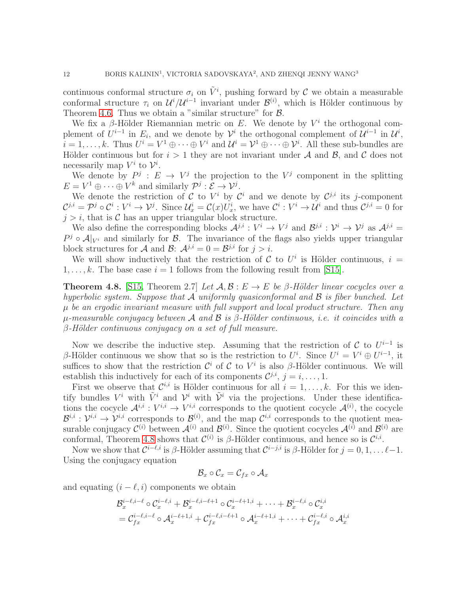continuous conformal structure  $\sigma_i$  on  $\tilde{V}^i$ , pushing forward by C we obtain a measurable conformal structure  $\tau_i$  on  $\mathcal{U}^i/\mathcal{U}^{i-1}$  invariant under  $\mathcal{B}^{(i)}$ , which is Hölder continuous by Theorem [4.6.](#page-10-2) Thus we obtain a "similar structure" for  $\beta$ .

We fix a  $\beta$ -Hölder Riemannian metric on E. We denote by  $V^i$  the orthogonal complement of  $U^{i-1}$  in  $E_i$ , and we denote by  $\mathcal{V}^i$  the orthogonal complement of  $\mathcal{U}^{i-1}$  in  $\mathcal{U}^i$ ,  $i=1,\ldots,k$ . Thus  $U^i=V^1\oplus\cdots\oplus V^i$  and  $\mathcal{U}^i=\mathcal{V}^1\oplus\cdots\oplus\mathcal{V}^i$ . All these sub-bundles are Hölder continuous but for  $i > 1$  they are not invariant under A and B, and C does not necessarily map  $V^i$  to  $\mathcal{V}^i$ .

We denote by  $P^j: E \to V^j$  the projection to the  $V^j$  component in the splitting  $E = V^1 \oplus \cdots \oplus V^k$  and similarly  $\mathcal{P}^j : \mathcal{E} \to \mathcal{V}^j$ .

We denote the restriction of C to  $V^i$  by  $\mathcal{C}^i$  and we denote by  $\mathcal{C}^{j,i}$  its j-component  $\mathcal{C}^{j,i} = \mathcal{P}^j \circ \mathcal{C}^i : V^i \to \mathcal{V}^j$ . Since  $\mathcal{U}^i_x = \mathcal{C}(x)U^i_x$ , we have  $\mathcal{C}^i : V^i \to \mathcal{U}^i$  and thus  $\mathcal{C}^{j,i} = 0$  for  $j > i$ , that is C has an upper triangular block structure.

We also define the corresponding blocks  $\mathcal{A}^{j,i}: V^i \to V^j$  and  $\mathcal{B}^{j,i}: \mathcal{V}^i \to \mathcal{V}^j$  as  $\mathcal{A}^{j,i}$  $P^j \circ A|_{V^i}$  and similarly for  $\mathcal{B}$ . The invariance of the flags also yields upper triangular block structures for A and B:  $A^{j,i} = 0 = B^{j,i}$  for  $j > i$ .

We will show inductively that the restriction of C to  $U^i$  is Hölder continuous,  $i =$  $1, \ldots, k$ . The base case  $i = 1$  follows from the following result from [\[S15\]](#page-41-2).

<span id="page-11-0"></span>**Theorem 4.8.** [\[S15,](#page-41-2) Theorem 2.7] Let  $\mathcal{A}, \mathcal{B} : E \to E$  be  $\beta$ -Hölder linear cocycles over a hyperbolic system. Suppose that A uniformly quasiconformal and  $\beta$  is fiber bunched. Let  $\mu$  be an ergodic invariant measure with full support and local product structure. Then any  $\mu$ -measurable conjugacy between A and B is β-Hölder continuous, i.e. it coincides with a  $\beta$ -Hölder continuous conjugacy on a set of full measure.

Now we describe the inductive step. Assuming that the restriction of  $\mathcal C$  to  $U^{i-1}$  is β-Hölder continuous we show that so is the restriction to  $U^i$ . Since  $U^i = V^i \oplus U^{i-1}$ , it suffices to show that the restriction  $\mathcal{C}^i$  of  $\mathcal C$  to  $V^i$  is also  $\beta$ -Hölder continuous. We will establish this inductively for each of its components  $\mathcal{C}^{j,i}$ ,  $j = i, \ldots, 1$ .

First we observe that  $\mathcal{C}^{i,i}$  is Hölder continuous for all  $i = 1, \ldots, k$ . For this we identify bundles  $V^i$  with  $\tilde{V}^i$  and  $\mathcal{V}^i$  with  $\tilde{\mathcal{V}}^i$  via the projections. Under these identifications the cocycle  $\mathcal{A}^{i,i}: V^{i,i} \to V^{i,i}$  corresponds to the quotient cocycle  $\mathcal{A}^{(i)}$ , the cocycle  $\mathcal{B}^{i,i}: \mathcal{V}^{i,i} \to \mathcal{V}^{i,i}$  corresponds to  $\mathcal{B}^{(i)}$ , and the map  $\mathcal{C}^{i,i}$  corresponds to the quotient measurable conjugacy  $\mathcal{C}^{(i)}$  between  $\mathcal{A}^{(i)}$  and  $\mathcal{B}^{(i)}$ . Since the quotient cocycles  $\mathcal{A}^{(i)}$  and  $\mathcal{B}^{(i)}$  are conformal, Theorem [4.8](#page-11-0) shows that  $\mathcal{C}^{(i)}$  is  $\beta$ -Hölder continuous, and hence so is  $\mathcal{C}^{i,i}$ .

Now we show that  $\mathcal{C}^{i-\ell,i}$  is  $\beta$ -Hölder assuming that  $\mathcal{C}^{i-j,i}$  is  $\beta$ -Hölder for  $j=0,1,\ldots \ell-1$ . Using the conjugacy equation

$$
\mathcal{B}_x\circ\mathcal{C}_x=\mathcal{C}_{fx}\circ\mathcal{A}_x
$$

and equating  $(i - \ell, i)$  components we obtain

$$
\begin{aligned} &\mathcal{B}_x^{i-\ell,i-\ell} \circ \mathcal{C}_x^{i-\ell,i} + \mathcal{B}_x^{i-\ell,i-\ell+1} \circ \mathcal{C}_x^{i-\ell+1,i} + \cdots + \mathcal{B}_x^{i-\ell,i} \circ \mathcal{C}_x^{i,i} \\ &= \mathcal{C}_{fx}^{i-\ell,i-\ell} \circ \mathcal{A}_x^{i-\ell+1,i} + \mathcal{C}_{fx}^{i-\ell,i-\ell+1} \circ \mathcal{A}_x^{i-\ell+1,i} + \cdots + \mathcal{C}_{fx}^{i-\ell,i} \circ \mathcal{A}_x^{i,i} \end{aligned}
$$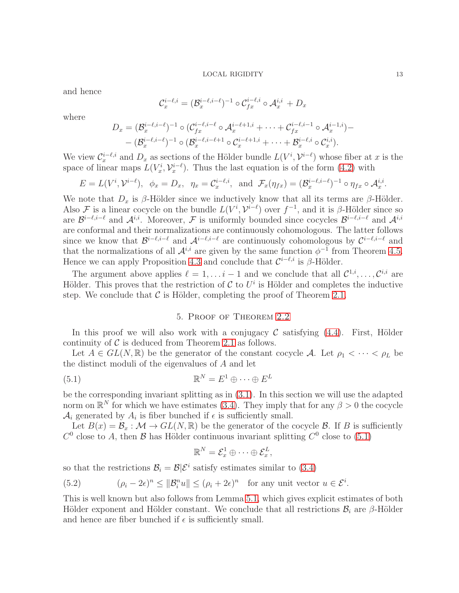and hence

$$
\mathcal{C}_x^{i-\ell,i} = (\mathcal{B}_x^{i-\ell,i-\ell})^{-1} \circ \mathcal{C}_{fx}^{i-\ell,i} \circ \mathcal{A}_x^{i,i} + D_x
$$

where

$$
D_x = (\mathcal{B}_x^{i-\ell, i-\ell})^{-1} \circ (\mathcal{C}_{fx}^{i-\ell, i-\ell} \circ \mathcal{A}_x^{i-\ell+1, i} + \cdots + \mathcal{C}_{fx}^{i-\ell, i-1} \circ \mathcal{A}_x^{i-1, i}) -
$$
  
-  $(\mathcal{B}_x^{i-\ell, i-\ell})^{-1} \circ (\mathcal{B}_x^{i-\ell, i-\ell+1} \circ \mathcal{C}_x^{i-\ell+1, i} + \cdots + \mathcal{B}_x^{i-\ell, i} \circ \mathcal{C}_x^{i, i}).$ 

We view  $\mathcal{C}_x^{i-\ell,i}$  and  $D_x$  as sections of the Hölder bundle  $L(V^i, \mathcal{V}^{i-\ell})$  whose fiber at x is the space of linear maps  $L(V_x^i, \mathcal{V}_x^{i-\ell})$ . Thus the last equation is of the form [\(4.2\)](#page-7-2) with

$$
E = L(V^i, \mathcal{V}^{i-\ell}), \quad \phi_x = D_x, \quad \eta_x = C_x^{i-\ell, i}, \quad \text{and} \quad \mathcal{F}_x(\eta_{fx}) = (\mathcal{B}_x^{i-\ell, i-\ell})^{-1} \circ \eta_{fx} \circ \mathcal{A}_x^{i,i}.
$$

We note that  $D_x$  is  $\beta$ -Hölder since we inductively know that all its terms are  $\beta$ -Hölder. Also F is a linear cocycle on the bundle  $L(V^i, \mathcal{V}^{i-\ell})$  over  $f^{-1}$ , and it is  $\beta$ -Hölder since so are  $\mathcal{B}^{i-\ell,i-\ell}$  and  $\mathcal{A}^{i,i}$ . Moreover, F is uniformly bounded since cocycles  $\mathcal{B}^{i-\ell,i-\ell}$  and  $\mathcal{A}^{i,i}$ are conformal and their normalizations are continuously cohomologous. The latter follows since we know that  $\mathcal{B}^{i-\ell,i-\ell}$  and  $\mathcal{A}^{i-\ell,i-\ell}$  are continuously cohomologous by  $\mathcal{C}^{i-\ell,i-\ell}$  and that the normalizations of all  $\mathcal{A}^{i,i}$  are given by the same function  $\phi^{-1}$  from Theorem [4.5.](#page-10-0) Hence we can apply Proposition [4.3](#page-8-0) and conclude that  $\mathcal{C}^{i-\ell,i}$  is  $\beta$ -Hölder.

The argument above applies  $\ell = 1, \ldots i-1$  and we conclude that all  $\mathcal{C}^{1,i}, \ldots, \mathcal{C}^{i,i}$  are Hölder. This proves that the restriction of  $\mathcal C$  to  $U^i$  is Hölder and completes the inductive step. We conclude that  $\mathcal C$  is Hölder, completing the proof of Theorem [2.1.](#page-4-0)

# <span id="page-12-1"></span>5. Proof of Theorem [2.2](#page-5-0)

<span id="page-12-0"></span>In this proof we will also work with a conjugacy  $\mathcal C$  satisfying [\(4.4\)](#page-9-1). First, Hölder continuity of  $C$  is deduced from Theorem [2.1](#page-4-0) as follows.

Let  $A \in GL(N, \mathbb{R})$  be the generator of the constant cocycle A. Let  $\rho_1 < \cdots < \rho_L$  be the distinct moduli of the eigenvalues of A and let

(5.1) 
$$
\mathbb{R}^N = E^1 \oplus \cdots \oplus E^L
$$

be the corresponding invariant splitting as in [\(3.1\)](#page-5-2). In this section we will use the adapted norm on  $\mathbb{R}^N$  for which we have estimates [\(3.4\)](#page-5-3). They imply that for any  $\beta > 0$  the cocycle  $A_i$  generated by  $A_i$  is fiber bunched if  $\epsilon$  is sufficiently small.

Let  $B(x) = \mathcal{B}_x : \mathcal{M} \to GL(N, \mathbb{R})$  be the generator of the cocycle  $\mathcal{B}$ . If B is sufficiently  $C^0$  close to A, then B has Hölder continuous invariant splitting  $C^0$  close to  $(5.1)$ 

$$
\mathbb{R}^N = \mathcal{E}_x^1 \oplus \cdots \oplus \mathcal{E}_x^L,
$$

so that the restrictions  $\mathcal{B}_i = \mathcal{B} | \mathcal{E}^i$  satisfy estimates similar to [\(3.4\)](#page-5-3)

<span id="page-12-2"></span>(5.2) 
$$
(\rho_i - 2\epsilon)^n \le ||\mathcal{B}_i^n u|| \le (\rho_i + 2\epsilon)^n \text{ for any unit vector } u \in \mathcal{E}^i.
$$

This is well known but also follows from Lemma [5.1,](#page-14-0) which gives explicit estimates of both Hölder exponent and Hölder constant. We conclude that all restrictions  $\mathcal{B}_i$  are  $\beta$ -Hölder and hence are fiber bunched if  $\epsilon$  is sufficiently small.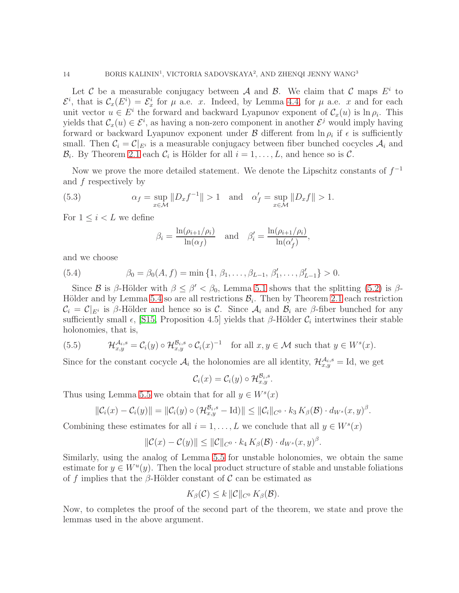Let C be a measurable conjugacy between A and B. We claim that C maps  $E^i$  to  $\mathcal{E}^i$ , that is  $\mathcal{C}_x(E^i) = \mathcal{E}^i_x$  for  $\mu$  a.e. x. Indeed, by Lemma [4.4,](#page-9-2) for  $\mu$  a.e. x and for each unit vector  $u \in E^i$  the forward and backward Lyapunov exponent of  $\mathcal{C}_x(u)$  is  $\ln \rho_i$ . This yields that  $\mathcal{C}_x(u) \in \mathcal{E}^i$ , as having a non-zero component in another  $\mathcal{E}^j$  would imply having forward or backward Lyapunov exponent under  $\mathcal B$  different from  $\ln \rho_i$  if  $\epsilon$  is sufficiently small. Then  $\mathcal{C}_i = \mathcal{C}|_{E^i}$  is a measurable conjugacy between fiber bunched cocycles  $\mathcal{A}_i$  and  $\mathcal{B}_i$ . By Theorem [2.1](#page-4-0) each  $\mathcal{C}_i$  is Hölder for all  $i = 1, \ldots, L$ , and hence so is  $\mathcal{C}$ .

Now we prove the more detailed statement. We denote the Lipschitz constants of  $f^{-1}$ and f respectively by

(5.3) 
$$
\alpha_f = \sup_{x \in \mathcal{M}} \|D_x f^{-1}\| > 1 \text{ and } \alpha'_f = \sup_{x \in \mathcal{M}} \|D_x f\| > 1.
$$

For  $1 \leq i < L$  we define

<span id="page-13-0"></span>
$$
\beta_i = \frac{\ln(\rho_{i+1}/\rho_i)}{\ln(\alpha_f)} \quad \text{and} \quad \beta'_i = \frac{\ln(\rho_{i+1}/\rho_i)}{\ln(\alpha'_f)},
$$

and we choose

(5.4) 
$$
\beta_0 = \beta_0(A, f) = \min\{1, \beta_1, \dots, \beta_{L-1}, \beta'_1, \dots, \beta'_{L-1}\} > 0.
$$

Since B is β-Hölder with  $\beta \leq \beta' < \beta_0$ , Lemma [5.1](#page-14-0) shows that the splitting [\(5.2\)](#page-12-2) is β-Hölder and by Lemma [5.4](#page-16-0) so are all restrictions  $B_i$ . Then by Theorem [2.1](#page-4-0) each restriction  $\mathcal{C}_i = \mathcal{C}|_{E^i}$  is β-Hölder and hence so is C. Since  $\mathcal{A}_i$  and  $\mathcal{B}_i$  are β-fiber bunched for any sufficiently small  $\epsilon$ , [\[S15,](#page-41-2) Proposition 4.5] yields that  $\beta$ -Hölder  $\mathcal{C}_i$  intertwines their stable holonomies, that is,

(5.5) 
$$
\mathcal{H}_{x,y}^{\mathcal{A}_i,s} = \mathcal{C}_i(y) \circ \mathcal{H}_{x,y}^{\mathcal{B}_i,s} \circ \mathcal{C}_i(x)^{-1} \text{ for all } x, y \in \mathcal{M} \text{ such that } y \in W^s(x).
$$

Since for the constant cocycle  $\mathcal{A}_i$  the holonomies are all identity,  $\mathcal{H}_{x,y}^{\mathcal{A}_i,s} = \text{Id}$ , we get

$$
\mathcal{C}_i(x) = \mathcal{C}_i(y) \circ \mathcal{H}_{x,y}^{\mathcal{B}_i,s}.
$$

Thus using Lemma [5.5](#page-16-1) we obtain that for all  $y \in W<sup>s</sup>(x)$ 

$$
\|\mathcal{C}_i(x)-\mathcal{C}_i(y)\|=\|\mathcal{C}_i(y)\circ(\mathcal{H}_{x,y}^{\mathcal{B}_{i},s}-\mathrm{Id})\|\leq \|\mathcal{C}_i\|_{C^0}\cdot k_3\,K_{\beta}(\mathcal{B})\cdot d_{W^s}(x,y)^{\beta}.
$$

Combining these estimates for all  $i = 1, \ldots, L$  we conclude that all  $y \in W<sup>s</sup>(x)$ 

$$
\|\mathcal{C}(x) - \mathcal{C}(y)\| \le \|\mathcal{C}\|_{C^0} \cdot k_4 K_\beta(\mathcal{B}) \cdot d_{W^s}(x, y)^\beta.
$$

Similarly, using the analog of Lemma [5.5](#page-16-1) for unstable holonomies, we obtain the same estimate for  $y \in W^u(y)$ . Then the local product structure of stable and unstable foliations of f implies that the β-Hölder constant of  $\mathcal C$  can be estimated as

$$
K_{\beta}(\mathcal{C}) \leq k ||\mathcal{C}||_{C^{0}} K_{\beta}(\mathcal{B}).
$$

Now, to completes the proof of the second part of the theorem, we state and prove the lemmas used in the above argument.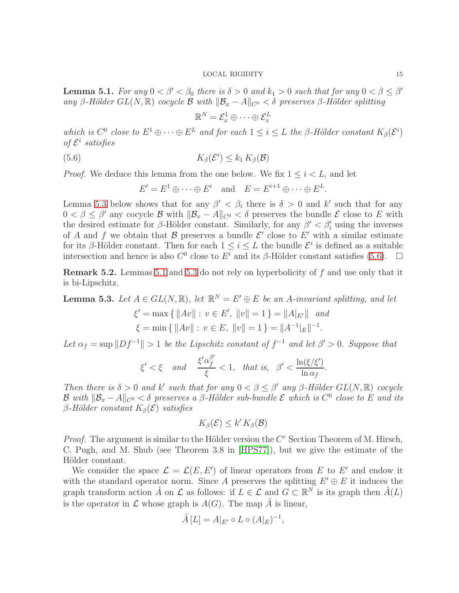<span id="page-14-0"></span>**Lemma 5.1.** For any  $0 < \beta' < \beta_0$  there is  $\delta > 0$  and  $k_1 > 0$  such that for any  $0 < \beta \leq \beta'$ any β-Hölder  $GL(N, \mathbb{R})$  cocycle  $\mathcal B$  with  $\|\mathcal B_x - A\|_{C^0} < \delta$  preserves β-Hölder splitting

<span id="page-14-2"></span>
$$
\mathbb{R}^N = \mathcal{E}^1_x \oplus \cdots \oplus \mathcal{E}^L_x
$$

which is  $C^0$  close to  $E^1 \oplus \cdots \oplus E^L$  and for each  $1 \leq i \leq L$  the  $\beta$ -Hölder constant  $K_\beta(\mathcal{E}^i)$ of  $\mathcal{E}^i$  satisfies

(5.6) 
$$
K_{\beta}(\mathcal{E}^i) \leq k_1 K_{\beta}(\mathcal{B})
$$

*Proof.* We deduce this lemma from the one below. We fix  $1 \leq i \leq L$ , and let

$$
E' = E^1 \oplus \cdots \oplus E^i \quad \text{and} \quad E = E^{i+1} \oplus \cdots \oplus E^L.
$$

Lemma [5.3](#page-14-1) below shows that for any  $\beta' < \beta_i$  there is  $\delta > 0$  and k' such that for any  $0 < \beta \leq \beta'$  any cocycle B with  $\|\mathcal{B}_x - A\|_{C^0} < \delta$  preserves the bundle E close to E with the desired estimate for  $\beta$ -Hölder constant. Similarly, for any  $\beta' < \beta'_i$  using the inverses of A and f we obtain that B preserves a bundle  $\mathcal{E}'$  close to  $E'$  with a similar estimate for its β-Hölder constant. Then for each  $1 \leq i \leq L$  the bundle  $\mathcal{E}^i$  is defined as a suitable intersection and hence is also  $C^0$  close to  $E^i$  and its  $\beta$ -Hölder constant satisfies [\(5.6\)](#page-14-2).  $\Box$ 

Remark 5.2. Lemmas [5.1](#page-14-0) and [5.3](#page-14-1) do not rely on hyperbolicity of f and use only that it is bi-Lipschitz.

<span id="page-14-1"></span>**Lemma 5.3.** Let  $A \in GL(N, \mathbb{R})$ , let  $\mathbb{R}^N = E' \oplus E$  be an A-invariant splitting, and let

$$
\xi' = \max \{ ||Av|| : v \in E', ||v|| = 1 \} = ||A|_{E'} || \text{ and}
$$
  

$$
\xi = \min \{ ||Av|| : v \in E, ||v|| = 1 \} = ||A^{-1}|_{E}||^{-1}.
$$

Let  $\alpha_f = \sup \|Df^{-1}\| > 1$  be the Lipschitz constant of  $f^{-1}$  and let  $\beta' > 0$ . Suppose that

$$
\xi'<\xi\quad\text{and}\quad\frac{\xi'\alpha_f^{\beta'}}{\xi}<1,\;\;\text{that is,}\;\;\beta'<\frac{\ln(\xi/\xi')}{\ln\alpha_f}.
$$

Then there is  $\delta > 0$  and k' such that for any  $0 < \beta \leq \beta'$  any  $\beta$ -Hölder  $GL(N, \mathbb{R})$  cocycle B with  $\|\mathcal{B}_x - A\|_{C^0} < \delta$  preserves a  $\beta$ -Hölder sub-bundle  $\mathcal E$  which is  $C^0$  close to  $E$  and its β-Hölder constant  $K_\beta(\mathcal{E})$  satisfies

$$
K_{\beta}(\mathcal{E}) \leq k' K_{\beta}(\mathcal{B})
$$

*Proof.* The argument is similar to the Hölder version the  $C<sup>r</sup>$  Section Theorem of M. Hirsch, C. Pugh, and M. Shub (see Theorem 3.8 in [\[HPS77\]](#page-40-16)), but we give the estimate of the Hölder constant.

We consider the space  $\mathcal{L} = \mathcal{L}(E, E')$  of linear operators from E to E' and endow it with the standard operator norm. Since A preserves the splitting  $E' \oplus E$  it induces the graph transform action  $\hat{A}$  on  $\mathcal L$  as follows: if  $L \in \mathcal L$  and  $G \subset \mathbb R^N$  is its graph then  $\hat{A}(L)$ is the operator in  $\mathcal L$  whose graph is  $A(G)$ . The map  $\hat A$  is linear,

$$
\hat{A}[L] = A|_{E'} \circ L \circ (A|_{E})^{-1},
$$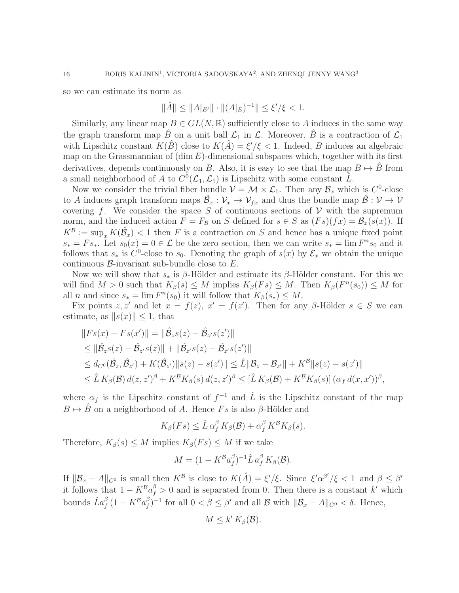so we can estimate its norm as

$$
\|\hat{A}\| \le \|A|_{E'}\| \cdot \|(A|_E)^{-1}\| \le \xi'/\xi < 1.
$$

Similarly, any linear map  $B \in GL(N, \mathbb{R})$  sufficiently close to A induces in the same way the graph transform map  $\hat{B}$  on a unit ball  $\mathcal{L}_1$  in  $\mathcal{L}$ . Moreover,  $\hat{B}$  is a contraction of  $\mathcal{L}_1$ with Lipschitz constant  $K(\hat{B})$  close to  $K(\hat{A}) = \xi'/\xi < 1$ . Indeed, B induces an algebraic map on the Grassmannian of  $(\dim E)$ -dimensional subspaces which, together with its first derivatives, depends continuously on B. Also, it is easy to see that the map  $B \mapsto B$  from a small neighborhood of A to  $C^0(\mathcal{L}_1, \mathcal{L}_1)$  is Lipschitz with some constant  $\hat{L}$ .

Now we consider the trivial fiber bundle  $\mathcal{V} = \mathcal{M} \times \mathcal{L}_1$ . Then any  $\mathcal{B}_x$  which is  $C^0$ -close to A induces graph transform maps  $\hat{\mathcal{B}}_x: \mathcal{V}_x \to \mathcal{V}_{fx}$  and thus the bundle map  $\hat{\mathcal{B}}: \mathcal{V} \to \mathcal{V}$ covering f. We consider the space S of continuous sections of  $V$  with the supremum norm, and the induced action  $F = F_{\mathcal{B}}$  on S defined for  $s \in S$  as  $(Fs)(fx) = \mathcal{B}_x(s(x))$ . If  $K^{\mathcal{B}} := \sup_x K(\hat{\mathcal{B}}_x) < 1$  then F is a contraction on S and hence has a unique fixed point  $s_* = Fs_*$ . Let  $s_0(x) = 0 \in \mathcal{L}$  be the zero section, then we can write  $s_* = \lim F^n s_0$  and it follows that  $s_*$  is  $C^0$ -close to  $s_0$ . Denoting the graph of  $s(x)$  by  $\mathcal{E}_x$  we obtain the unique continuous  $\beta$ -invariant sub-bundle close to E.

Now we will show that  $s_*$  is  $\beta$ -Hölder and estimate its  $\beta$ -Hölder constant. For this we will find  $M > 0$  such that  $K_{\beta}(s) \leq M$  implies  $K_{\beta}(Fs) \leq M$ . Then  $K_{\beta}(F^n(s_0)) \leq M$  for all *n* and since  $s_* = \lim F^n(s_0)$  it will follow that  $K_\beta(s_*) \leq M$ .

Fix points  $z, z'$  and let  $x = f(z), x' = f(z')$ . Then for any  $\beta$ -Hölder  $s \in S$  we can estimate, as  $||s(x)|| \leq 1$ , that

$$
\|Fs(x) - Fs(x')\| = \|\hat{\mathcal{B}}_z s(z) - \hat{\mathcal{B}}_{z'} s(z')\| \n\le \|\hat{\mathcal{B}}_z s(z) - \hat{\mathcal{B}}_{z'} s(z)\| + \|\hat{\mathcal{B}}_{z'} s(z) - \hat{\mathcal{B}}_{z'} s(z')\| \n\le d_{C^0}(\hat{\mathcal{B}}_z, \hat{\mathcal{B}}_{z'}) + K(\hat{\mathcal{B}}_{z'})\|s(z) - s(z')\| \le \hat{L} \|\mathcal{B}_z - \mathcal{B}_{z'}\| + K^B \|s(z) - s(z')\| \n\le \hat{L} K_{\beta}(\mathcal{B}) d(z, z')^{\beta} + K^B K_{\beta}(s) d(z, z')^{\beta} \le [\hat{L} K_{\beta}(\mathcal{B}) + K^B K_{\beta}(s)] (\alpha_f d(x, x'))^{\beta},
$$

where  $\alpha_f$  is the Lipschitz constant of  $f^{-1}$  and  $\hat{L}$  is the Lipschitz constant of the map  $B \mapsto \hat{B}$  on a neighborhood of A. Hence Fs is also β-Hölder and

$$
K_{\beta}(Fs) \leq \hat{L}\,\alpha_f^{\beta}K_{\beta}(\mathcal{B}) + \alpha_f^{\beta}K^{\beta}K_{\beta}(s).
$$

Therefore,  $K_{\beta}(s) \leq M$  implies  $K_{\beta}(Fs) \leq M$  if we take

$$
M = (1 - K^{\mathcal{B}} a_f^{\beta})^{-1} \hat{L} a_f^{\beta} K_{\beta}(\mathcal{B}).
$$

If  $\|\mathcal{B}_x - A\|_{C^0}$  is small then  $K^{\mathcal{B}}$  is close to  $K(\hat{A}) = \xi'/\xi$ . Since  $\xi' \alpha^{\beta'}/\xi < 1$  and  $\beta \leq \beta'$ it follows that  $1 - K^B a_f^{\beta} > 0$  and is separated from 0. Then there is a constant k' which bounds  $\hat{L}a_f^{\beta}\left(1-K^{\mathcal{B}}a_f^{\beta}\right)$  $f(f)$ <sup>β</sup>)<sup>-1</sup> for all 0 < β ≤ β' and all **B** with  $||B_x - A||_{C^0} < δ$ . Hence,

$$
M \leq k' K_{\beta}(\mathcal{B}).
$$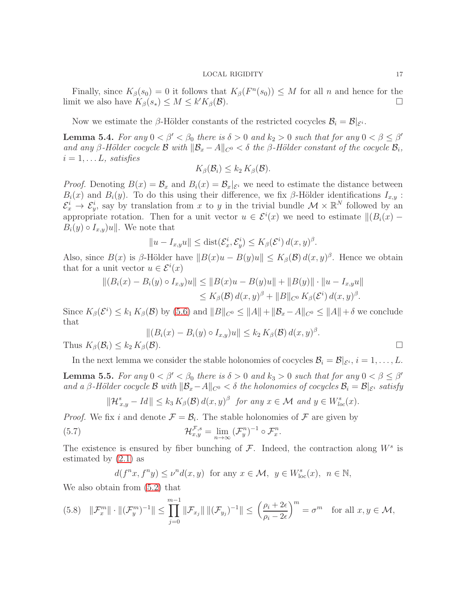Finally, since  $K_\beta(s_0) = 0$  it follows that  $K_\beta(F^n(s_0)) \leq M$  for all n and hence for the limit we also have  $K_{\beta}(s_*) \leq M \leq k' K_{\beta}(\mathcal{B}).$  $V_{\mathcal{B}}(\mathcal{B}).$ 

Now we estimate the  $\beta$ -Hölder constants of the restricted cocycles  $\mathcal{B}_i = \mathcal{B}|_{\mathcal{E}^i}$ .

<span id="page-16-0"></span>**Lemma 5.4.** For any  $0 < \beta' < \beta_0$  there is  $\delta > 0$  and  $k_2 > 0$  such that for any  $0 < \beta \leq \beta'$ and any β-Hölder cocycle **B** with  $\|\mathcal{B}_x - A\|_{C^0} < \delta$  the β-Hölder constant of the cocycle  $\mathcal{B}_i$ ,  $i = 1, \ldots L$ , satisfies

$$
K_{\beta}(\mathcal{B}_i) \leq k_2 K_{\beta}(\mathcal{B}).
$$

*Proof.* Denoting  $B(x) = \mathcal{B}_x$  and  $B_i(x) = \mathcal{B}_x|_{\mathcal{E}^i}$  we need to estimate the distance between  $B_i(x)$  and  $B_i(y)$ . To do this using their difference, we fix β-Hölder identifications  $I_{x,y}$ :  $\mathcal{E}_x^i \to \mathcal{E}_y^i$ , say by translation from x to y in the trivial bundle  $\mathcal{M} \times \mathbb{R}^N$  followed by an appropriate rotation. Then for a unit vector  $u \in \mathcal{E}^i(x)$  we need to estimate  $||(B_i(x) B_i(y) \circ I_{x,y}$ u|. We note that

$$
||u - I_{x,y}u|| \leq \text{dist}(\mathcal{E}_x^i, \mathcal{E}_y^i) \leq K_\beta(\mathcal{E}^i) d(x,y)^\beta.
$$

Also, since  $B(x)$  is  $\beta$ -Hölder have  $||B(x)u - B(y)u|| \le K_{\beta}(\beta) d(x, y)^{\beta}$ . Hence we obtain that for a unit vector  $u \in \mathcal{E}^i(x)$ 

$$
||(B_i(x) - B_i(y) \circ I_{x,y})u|| \le ||B(x)u - B(y)u|| + ||B(y)|| \cdot ||u - I_{x,y}u||
$$
  
\n
$$
\le K_\beta(\mathcal{B}) d(x,y)^\beta + ||B||_{C^0} K_\beta(\mathcal{E}^i) d(x,y)^\beta.
$$

Since  $K_{\beta}(\mathcal{E}^i) \leq k_1 K_{\beta}(\mathcal{B})$  by [\(5.6\)](#page-14-2) and  $||B||_{C^0} \leq ||A|| + ||\mathcal{B}_x - A||_{C^0} \leq ||A|| + \delta$  we conclude that

$$
||(B_i(x) - B_i(y) \circ I_{x,y})u|| \le k_2 K_\beta(\mathcal{B}) d(x,y)^\beta.
$$
  

$$
K_\beta(\mathcal{B}).
$$

In the next lemma we consider the stable holonomies of cocycles  $\mathcal{B}_i = \mathcal{B}|_{\mathcal{E}^i}, i = 1, \ldots, L$ .

<span id="page-16-1"></span>**Lemma 5.5.** For any  $0 < \beta' < \beta_0$  there is  $\delta > 0$  and  $k_3 > 0$  such that for any  $0 < \beta \leq \beta'$ and a β-Hölder cocycle B with  $\|\mathcal{B}_x-A\|_{C^0}<\delta$  the holonomies of cocycles  $\mathcal{B}_i=\mathcal{B}|_{\mathcal{E}^i}$  satisfy

$$
\|\mathcal{H}_{x,y}^s - Id\| \le k_3 K_\beta(\mathcal{B}) d(x,y)^\beta \text{ for any } x \in \mathcal{M} \text{ and } y \in W_{loc}^s(x).
$$

*Proof.* We fix i and denote  $\mathcal{F} = \mathcal{B}_i$ . The stable holonomies of  $\mathcal{F}$  are given by

(5.7) 
$$
\mathcal{H}_{x,y}^{\mathcal{F},s} = \lim_{n \to \infty} (\mathcal{F}_y^n)^{-1} \circ \mathcal{F}_x^n.
$$

The existence is ensured by fiber bunching of  $\mathcal{F}$ . Indeed, the contraction along  $W^s$  is estimated by [\(2.1\)](#page-3-1) as

<span id="page-16-2"></span>
$$
d(f^{n}x, f^{n}y) \le \nu^{n}d(x, y) \text{ for any } x \in \mathcal{M}, y \in W_{\text{loc}}^{s}(x), n \in \mathbb{N},
$$

We also obtain from [\(5.2\)](#page-12-2) that

Thus  $K_{\beta}(\mathcal{B}_i) \leq k_2$ 

$$
(5.8) \quad \|\mathcal{F}_x^m\| \cdot \|(\mathcal{F}_y^m)^{-1}\| \le \prod_{j=0}^{m-1} \|\mathcal{F}_{x_j}\| \, \|(\mathcal{F}_{y_j})^{-1}\| \le \left(\frac{\rho_i + 2\epsilon}{\rho_i - 2\epsilon}\right)^m = \sigma^m \quad \text{for all } x, y \in \mathcal{M},
$$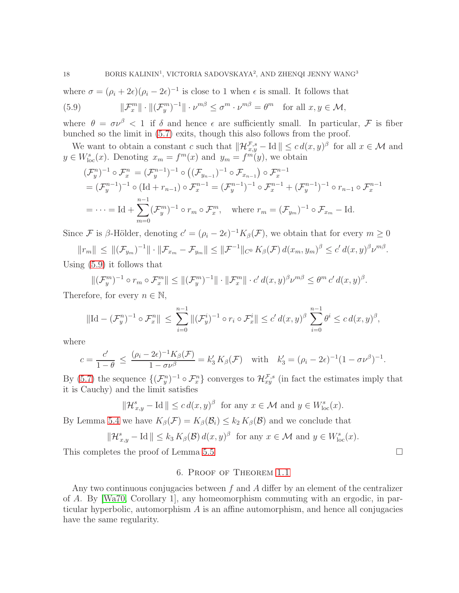where  $\sigma = (\rho_i + 2\epsilon)(\rho_i - 2\epsilon)^{-1}$  is close to 1 when  $\epsilon$  is small. It follows that

<span id="page-17-1"></span>(5.9) 
$$
\|\mathcal{F}_x^m\| \cdot \|(\mathcal{F}_y^m)^{-1}\| \cdot \nu^{m\beta} \leq \sigma^m \cdot \nu^{m\beta} = \theta^m \text{ for all } x, y \in \mathcal{M},
$$

where  $\theta = \sigma \nu^{\beta} < 1$  if  $\delta$  and hence  $\epsilon$  are sufficiently small. In particular,  $\mathcal F$  is fiber bunched so the limit in [\(5.7\)](#page-16-2) exits, though this also follows from the proof.

We want to obtain a constant c such that  $\|\mathcal{H}_{x,y}^{\mathcal{F},s} - \text{Id}\| \leq c d(x,y)^\beta$  for all  $x \in \mathcal{M}$  and  $y \in W_{\text{loc}}^{s}(x)$ . Denoting  $x_m = f^m(x)$  and  $y_m = f^m(y)$ , we obtain

$$
(\mathcal{F}_{y}^{n})^{-1} \circ \mathcal{F}_{x}^{n} = (\mathcal{F}_{y}^{n-1})^{-1} \circ ((\mathcal{F}_{y_{n-1}})^{-1} \circ \mathcal{F}_{x_{n-1}}) \circ \mathcal{F}_{x}^{n-1}
$$
  
\n
$$
= (\mathcal{F}_{y}^{n-1})^{-1} \circ (\text{Id} + r_{n-1}) \circ \mathcal{F}_{x}^{n-1} = (\mathcal{F}_{y}^{n-1})^{-1} \circ \mathcal{F}_{x}^{n-1} + (\mathcal{F}_{y}^{n-1})^{-1} \circ r_{n-1} \circ \mathcal{F}_{x}^{n-1}
$$
  
\n
$$
= \cdots = \text{Id} + \sum_{m=0}^{n-1} (\mathcal{F}_{y}^{m})^{-1} \circ r_{m} \circ \mathcal{F}_{x}^{m}, \text{ where } r_{m} = (\mathcal{F}_{y_{m}})^{-1} \circ \mathcal{F}_{x_{m}} - \text{Id.}
$$

Since F is β-Hölder, denoting  $c' = (\rho_i - 2\epsilon)^{-1} K_{\beta}(\mathcal{F})$ , we obtain that for every  $m \geq 0$ 

 $||r_m|| \le ||(\mathcal{F}_{y_m})^{-1}|| \cdot ||\mathcal{F}_{x_m} - \mathcal{F}_{y_m}|| \le ||\mathcal{F}^{-1}||_{C^0} K_\beta(\mathcal{F}) d(x_m, y_m)^\beta \le c' d(x,y)^\beta \nu^{m\beta}.$ Using [\(5.9\)](#page-17-1) it follows that

 $||(\mathcal{F}_y^m)^{-1} \circ r_m \circ \mathcal{F}_x^m|| \leq ||(\mathcal{F}_y^m)^{-1}|| \cdot ||\mathcal{F}_x^m|| \cdot c' d(x,y)^\beta \nu^{m\beta} \leq \theta^m c' d(x,y)^\beta.$ Therefore, for every  $n \in \mathbb{N}$ ,

$$
\|\mathrm{Id} - (\mathcal{F}_y^n)^{-1} \circ \mathcal{F}_x^n\| \le \sum_{i=0}^{n-1} \|(\mathcal{F}_y^i)^{-1} \circ r_i \circ \mathcal{F}_x^i\| \le c' d(x, y)^\beta \sum_{i=0}^{n-1} \theta^i \le c d(x, y)^\beta,
$$

where

$$
c = \frac{c'}{1-\theta} \le \frac{(\rho_i - 2\epsilon)^{-1} K_\beta(\mathcal{F})}{1 - \sigma \nu^\beta} = k_3' K_\beta(\mathcal{F}) \quad \text{with} \quad k_3' = (\rho_i - 2\epsilon)^{-1} (1 - \sigma \nu^\beta)^{-1}.
$$

By [\(5.7\)](#page-16-2) the sequence  $\{(\mathcal{F}_y^n)^{-1} \circ \mathcal{F}_x^n\}$  converges to  $\mathcal{H}_{xy}^{\mathcal{F},s}$  (in fact the estimates imply that it is Cauchy) and the limit satisfies

$$
\|\mathcal{H}_{x,y}^s - \mathrm{Id}\| \le c d(x,y)^\beta \text{ for any } x \in \mathcal{M} \text{ and } y \in W_{\mathrm{loc}}^s(x).
$$

By Lemma [5.4](#page-16-0) we have  $K_{\beta}(\mathcal{F}) = K_{\beta}(\mathcal{B}_i) \leq k_2 K_{\beta}(\mathcal{B})$  and we conclude that

$$
\|\mathcal{H}_{x,y}^s - \mathrm{Id}\| \le k_3 K_\beta(\mathcal{B}) d(x,y)^\beta \text{ for any } x \in \mathcal{M} \text{ and } y \in W_{\text{loc}}^s(x).
$$

<span id="page-17-0"></span>This completes the proof of Lemma [5.5](#page-16-1)

# 6. Proof of Theorem [1.1](#page-1-0)

Any two continuous conjugacies between  $f$  and  $A$  differ by an element of the centralizer of A. By [\[Wa70,](#page-41-0) Corollary 1], any homeomorphism commuting with an ergodic, in particular hyperbolic, automorphism  $A$  is an affine automorphism, and hence all conjugacies have the same regularity.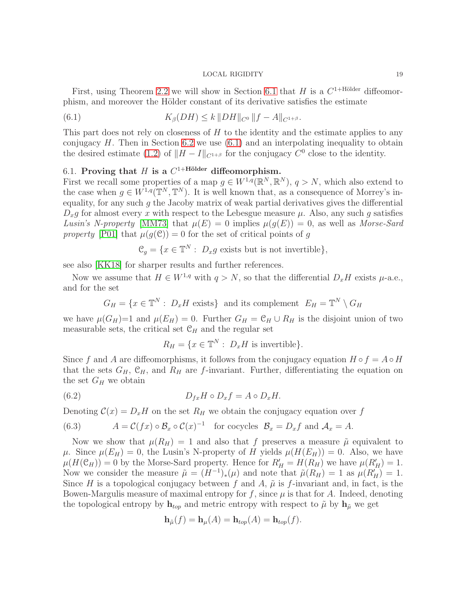First, using Theorem [2.2](#page-5-0) we will show in Section [6.1](#page-18-0) that H is a  $C^{1+\text{Hölder}}$  diffeomorphism, and moreover the Hölder constant of its derivative satisfies the estimate

<span id="page-18-1"></span>(6.1) 
$$
K_{\beta}(DH) \leq k \, \|DH\|_{C^0} \, \|f - A\|_{C^{1+\beta}}.
$$

This part does not rely on closeness of H to the identity and the estimate applies to any conjugacy  $H$ . Then in Section [6.2](#page-20-0) we use  $(6.1)$  and an interpolating inequality to obtain the desired estimate [\(1.2\)](#page-1-1) of  $||H - I||_{C^{1+\beta}}$  for the conjugacy  $C^0$  close to the identity.

# <span id="page-18-0"></span>6.1. Proving that H is a  $C^{1+\text{Hölder}}$  diffeomorphism.

First we recall some properties of a map  $g \in W^{1,q}(\mathbb{R}^N, \mathbb{R}^N)$ ,  $q > N$ , which also extend to the case when  $g \in W^{1,q}(\mathbb{T}^N, \mathbb{T}^N)$ . It is well known that, as a consequence of Morrey's inequality, for any such  $g$  the Jacoby matrix of weak partial derivatives gives the differential  $D_x g$  for almost every x with respect to the Lebesgue measure  $\mu$ . Also, any such g satisfies Lusin's N-property [\[MM73\]](#page-41-9) that  $\mu(E) = 0$  implies  $\mu(q(E)) = 0$ , as well as Morse-Sard property [\[P01\]](#page-41-10) that  $\mu(g(\mathcal{C})) = 0$  for the set of critical points of g

$$
\mathcal{C}_g = \{ x \in \mathbb{T}^N : \ D_x g \text{ exists but is not invertible} \},
$$

see also [\[KK18\]](#page-40-17) for sharper results and further references.

Now we assume that  $H \in W^{1,q}$  with  $q > N$ , so that the differential  $D_x H$  exists  $\mu$ -a.e., and for the set

$$
G_H = \{x \in \mathbb{T}^N : D_x H \text{ exists}\}\
$$
 and its complement  $E_H = \mathbb{T}^N \setminus G_H$ 

we have  $\mu(G_H)=1$  and  $\mu(E_H)=0$ . Further  $G_H = \mathfrak{C}_H \cup R_H$  is the disjoint union of two measurable sets, the critical set  $C_H$  and the regular set

$$
R_H = \{ x \in \mathbb{T}^N : D_x H \text{ is invertible} \}.
$$

Since f and A are diffeomorphisms, it follows from the conjugacy equation  $H \circ f = A \circ H$ that the sets  $G_H$ ,  $\mathfrak{C}_H$ , and  $R_H$  are f-invariant. Further, differentiating the equation on the set  $G_H$  we obtain

(6.2) 
$$
D_{fx}H \circ D_x f = A \circ D_x H.
$$

Denoting  $\mathcal{C}(x) = D_x H$  on the set  $R_H$  we obtain the conjugacy equation over f

<span id="page-18-2"></span>(6.3) 
$$
A = \mathcal{C}(fx) \circ \mathcal{B}_x \circ \mathcal{C}(x)^{-1} \text{ for cocycles } \mathcal{B}_x = D_x f \text{ and } \mathcal{A}_x = A.
$$

Now we show that  $\mu(R_H) = 1$  and also that f preserves a measure  $\tilde{\mu}$  equivalent to  $\mu$ . Since  $\mu(E_H) = 0$ , the Lusin's N-property of H yields  $\mu(H(E_H)) = 0$ . Also, we have  $\mu(H(\mathcal{C}_H)) = 0$  by the Morse-Sard property. Hence for  $R'_H = H(R_H)$  we have  $\mu(R'_H) = 1$ . Now we consider the measure  $\tilde{\mu} = (H^{-1})_*(\mu)$  and note that  $\tilde{\mu}(R_H) = 1$  as  $\mu(R'_H) = 1$ . Since H is a topological conjugacy between f and A,  $\tilde{\mu}$  is f-invariant and, in fact, is the Bowen-Margulis measure of maximal entropy for f, since  $\mu$  is that for A. Indeed, denoting the topological entropy by  $h_{top}$  and metric entropy with respect to  $\tilde{\mu}$  by  $h_{\tilde{\mu}}$  we get

$$
\mathbf{h}_{\tilde{\mu}}(f) = \mathbf{h}_{\mu}(A) = \mathbf{h}_{top}(A) = \mathbf{h}_{top}(f).
$$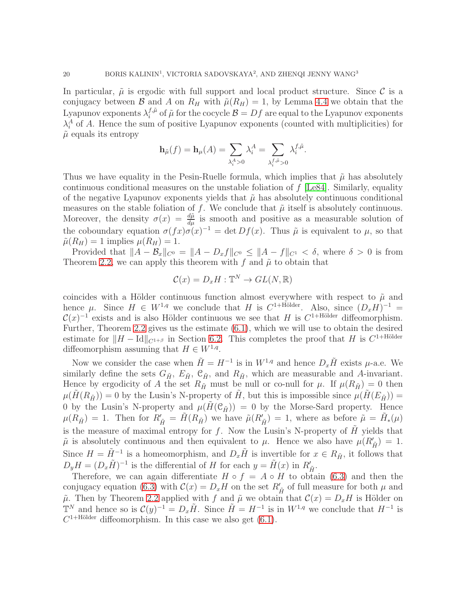In particular,  $\tilde{\mu}$  is ergodic with full support and local product structure. Since C is a conjugacy between B and A on  $R_H$  with  $\tilde{\mu}(R_H) = 1$ , by Lemma [4.4](#page-9-2) we obtain that the Lyapunov exponents  $\lambda_i^{f,\tilde{\mu}}$  $j^{\mu}_{i}$  of  $\tilde{\mu}$  for the cocycle  $\mathcal{B} = Df$  are equal to the Lyapunov exponents  $\lambda_i^A$  of A. Hence the sum of positive Lyapunov exponents (counted with multiplicities) for  $\tilde{\mu}$  equals its entropy

$$
\mathbf{h}_{\tilde{\mu}}(f) = \mathbf{h}_{\mu}(A) = \sum_{\lambda_i^A > 0} \lambda_i^A = \sum_{\lambda_i^{f, \tilde{\mu}} > 0} \lambda_i^{f, \tilde{\mu}}.
$$

Thus we have equality in the Pesin-Ruelle formula, which implies that  $\tilde{\mu}$  has absolutely continuous conditional measures on the unstable foliation of  $f$  [\[Le84\]](#page-40-18). Similarly, equality of the negative Lyapunov exponents yields that  $\tilde{\mu}$  has absolutely continuous conditional measures on the stable foliation of f. We conclude that  $\tilde{\mu}$  itself is absolutely continuous. Moreover, the density  $\sigma(x) = \frac{d\tilde{\mu}}{d\mu}$  is smooth and positive as a measurable solution of the coboundary equation  $\sigma(fx)\sigma(x)^{-1} = \det Df(x)$ . Thus  $\tilde{\mu}$  is equivalent to  $\mu$ , so that  $\tilde{\mu}(R_H) = 1$  implies  $\mu(R_H) = 1$ .

Provided that  $||A - B_x||_{C^0} = ||A - D_xf||_{C^0} \le ||A - f||_{C^1} < \delta$ , where  $\delta > 0$  is from Theorem [2.2,](#page-5-0) we can apply this theorem with f and  $\tilde{\mu}$  to obtain that

$$
\mathcal{C}(x) = D_x H : \mathbb{T}^N \to GL(N, \mathbb{R})
$$

coincides with a Hölder continuous function almost everywhere with respect to  $\tilde{\mu}$  and hence  $\mu$ . Since  $H \in W^{1,q}$  we conclude that H is  $C^{1+\text{Hölder}}$ . Also, since  $(D_x H)^{-1} =$  $\mathcal{C}(x)^{-1}$  exists and is also Hölder continuous we see that H is  $C^{1+\text{Hölder}}$  diffeomorphism. Further, Theorem [2.2](#page-5-0) gives us the estimate [\(6.1\)](#page-18-1), which we will use to obtain the desired estimate for  $||H - \text{Id}||_{C^{1+\beta}}$  in Section [6.2.](#page-20-0) This completes the proof that H is  $C^{1+\text{Hölder}}$ diffeomorphism assuming that  $H \in W^{1,q}$ .

Now we consider the case when  $\tilde{H} = H^{-1}$  is in  $W^{1,q}$  and hence  $D_x\tilde{H}$  exists  $\mu$ -a.e. We similarly define the sets  $G_{\tilde{H}}$ ,  $E_{\tilde{H}}$ ,  $\mathcal{C}_{\tilde{H}}$ , and  $R_{\tilde{H}}$ , which are measurable and A-invariant. Hence by ergodicity of A the set  $R_{\tilde{H}}$  must be null or co-null for  $\mu$ . If  $\mu(R_{\tilde{H}}) = 0$  then  $\mu(\tilde{H}(R_{\tilde{H}})) = 0$  by the Lusin's N-property of  $\tilde{H}$ , but this is impossible since  $\mu(\tilde{H}(E_{\tilde{H}})) =$ 0 by the Lusin's N-property and  $\mu(H(\mathfrak{C}_{\tilde{H}})) = 0$  by the Morse-Sard property. Hence  $\mu(R_{\tilde{H}}) = 1$ . Then for  $R'_{\tilde{H}} = \tilde{H}(R_{\tilde{H}})$  we have  $\tilde{\mu}(R'_{\tilde{H}}) = 1$ , where as before  $\tilde{\mu} = \tilde{H}_*(\mu)$ is the measure of maximal entropy for f. Now the Lusin's N-property of  $\hat{H}$  yields that  $\tilde{\mu}$  is absolutely continuous and then equivalent to  $\mu$ . Hence we also have  $\mu(R'_{\tilde{H}}) = 1$ . Since  $H = \tilde{H}^{-1}$  is a homeomorphism, and  $D_x\tilde{H}$  is invertible for  $x \in R_{\tilde{H}}$ , it follows that  $D_y H = (D_x \tilde{H})^{-1}$  is the differential of H for each  $y = \tilde{H}(x)$  in  $R'_{\tilde{H}}$ .

Therefore, we can again differentiate  $H \circ f = A \circ H$  to obtain [\(6.3\)](#page-18-2) and then the conjugacy equation [\(6.3\)](#page-18-2) with  $\mathcal{C}(x) = D_x H$  on the set  $R'_{\tilde{H}}$  of full measure for both  $\mu$  and  $\tilde{\mu}$ . Then by Theorem [2.2](#page-5-0) applied with f and  $\tilde{\mu}$  we obtain that  $\mathcal{C}(x) = D_x H$  is Hölder on  $\mathbb{T}^N$  and hence so is  $\mathcal{C}(y)^{-1} = D_x \tilde{H}$ . Since  $\tilde{H} = H^{-1}$  is in  $W^{1,q}$  we conclude that  $H^{-1}$  is  $C^{1+\text{Hölder}}$  diffeomorphism. In this case we also get  $(6.1)$ .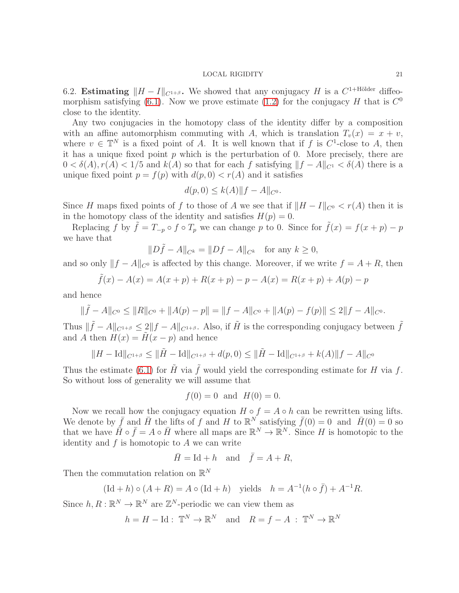<span id="page-20-0"></span>6.2. Estimating  $||H - I||_{C^{1+\beta}}$ . We showed that any conjugacy H is a  $C^{1+\text{Hölder}}$  diffeo-morphism satisfying [\(6.1\)](#page-18-1). Now we prove estimate [\(1.2\)](#page-1-1) for the conjugacy H that is  $C^0$ close to the identity.

Any two conjugacies in the homotopy class of the identity differ by a composition with an affine automorphism commuting with A, which is translation  $T_v(x) = x + v$ , where  $v \in \mathbb{T}^N$  is a fixed point of A. It is well known that if f is  $C^1$ -close to A, then it has a unique fixed point  $p$  which is the perturbation of 0. More precisely, there are  $0 < \delta(A)$ ,  $r(A) < 1/5$  and  $k(A)$  so that for each f satisfying  $||f - A||_{C^1} < \delta(A)$  there is a unique fixed point  $p = f(p)$  with  $d(p, 0) < r(A)$  and it satisfies

$$
d(p,0) \le k(A) \|f - A\|_{C^0}.
$$

Since H maps fixed points of f to those of A we see that if  $||H - I||_{C^0} < r(A)$  then it is in the homotopy class of the identity and satisfies  $H(p) = 0$ .

Replacing f by  $\tilde{f} = T_{-p} \circ f \circ T_p$  we can change p to 0. Since for  $\tilde{f}(x) = f(x+p) - p$ we have that

$$
||D\tilde{f} - A||_{C^k} = ||Df - A||_{C^k}
$$
 for any  $k \ge 0$ ,

and so only  $||f - A||_{C^0}$  is affected by this change. Moreover, if we write  $f = A + R$ , then

$$
\tilde{f}(x) - A(x) = A(x+p) + R(x+p) - p - A(x) = R(x+p) + A(p) - p
$$

and hence

$$
\|\tilde{f} - A\|_{C^0} \le \|R\|_{C^0} + \|A(p) - p\| = \|f - A\|_{C^0} + \|A(p) - f(p)\| \le 2\|f - A\|_{C^0}.
$$

Thus  $\|\tilde{f} - A\|_{C^{1+\beta}} \leq 2\|f - A\|_{C^{1+\beta}}$ . Also, if  $\tilde{H}$  is the corresponding conjugacy between  $\tilde{f}$ and A then  $H(x) = H(x - p)$  and hence

$$
||H - \text{Id}||_{C^{1+\beta}} \le ||\tilde{H} - \text{Id}||_{C^{1+\beta}} + d(p,0) \le ||\tilde{H} - \text{Id}||_{C^{1+\beta}} + k(A)||f - A||_{C^0}
$$

Thus the estimate [\(6.1\)](#page-18-1) for  $\tilde{H}$  via  $\tilde{f}$  would yield the corresponding estimate for H via f. So without loss of generality we will assume that

$$
f(0) = 0
$$
 and  $H(0) = 0$ .

Now we recall how the conjugacy equation  $H \circ f = A \circ h$  can be rewritten using lifts. We denote by  $\bar{f}$  and  $\bar{H}$  the lifts of f and H to  $\mathbb{R}^N$  satisfying  $\bar{f}(0) = 0$  and  $\bar{H}(0) = 0$  so that we have  $\tilde{H} \circ \bar{f} = A \circ \bar{H}$  where all maps are  $\mathbb{R}^N \to \mathbb{R}^N$ . Since H is homotopic to the identity and  $f$  is homotopic to  $A$  we can write

$$
\bar{H} = \text{Id} + h \quad \text{and} \quad \bar{f} = A + R,
$$

Then the commutation relation on  $\mathbb{R}^N$ 

$$
(\text{Id} + h) \circ (A + R) = A \circ (\text{Id} + h) \quad \text{yields} \quad h = A^{-1}(h \circ \bar{f}) + A^{-1}R.
$$

Since  $h, R : \mathbb{R}^N \to \mathbb{R}^N$  are  $\mathbb{Z}^N$ -periodic we can view them as

$$
h = H - \text{Id} : \mathbb{T}^N \to \mathbb{R}^N \quad \text{and} \quad R = f - A \; : \; \mathbb{T}^N \to \mathbb{R}^N
$$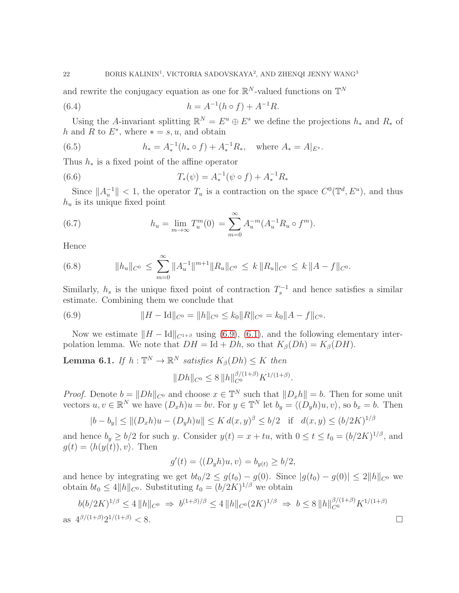<span id="page-21-2"></span>and rewrite the conjugacy equation as one for  $\mathbb{R}^N$ -valued functions on  $\mathbb{T}^N$ 

(6.4) 
$$
h = A^{-1}(h \circ f) + A^{-1}R.
$$

Using the A-invariant splitting  $\mathbb{R}^N = E^u \oplus E^s$  we define the projections  $h_*$  and  $R_*$  of h and R to  $E^*$ , where  $* = s, u$ , and obtain

(6.5) 
$$
h_* = A_*^{-1}(h_* \circ f) + A_*^{-1}R_*, \text{ where } A_* = A|_{E^*}.
$$

Thus  $h_*$  is a fixed point of the affine operator

(6.6) 
$$
T_*(\psi) = A_*^{-1}(\psi \circ f) + A_*^{-1}R_*
$$

Since  $||A_u^{-1}|| < 1$ , the operator  $T_u$  is a contraction on the space  $C^0(\mathbb{T}^d, E^u)$ , and thus  $h_u$  is its unique fixed point

(6.7) 
$$
h_u = \lim_{m \to \infty} T_u^m(0) = \sum_{m=0}^{\infty} A_u^{-m} (A_u^{-1} R_u \circ f^m).
$$

Hence

(6.8) 
$$
||h_u||_{C^0} \leq \sum_{m=0}^{\infty} ||A_u^{-1}||^{m+1} ||R_u||_{C^0} \leq k ||R_u||_{C^0} \leq k ||A - f||_{C^0}.
$$

Similarly,  $h_s$  is the unique fixed point of contraction  $T_s^{-1}$  and hence satisfies a similar estimate. Combining them we conclude that

(6.9) 
$$
||H - \text{Id}||_{C^0} = ||h||_{C^0} \le k_0 ||R||_{C^0} = k_0 ||A - f||_{C^0}.
$$

Now we estimate  $||H - \text{Id}||_{C^{1+\beta}}$  using [\(6.9\)](#page-21-0), [\(6.1\)](#page-18-1), and the following elementary interpolation lemma. We note that  $DH = Id + Dh$ , so that  $K_{\beta}(Dh) = K_{\beta}(DH)$ .

<span id="page-21-1"></span>**Lemma 6.1.** If  $h : \mathbb{T}^N \to \mathbb{R}^N$  satisfies  $K_\beta(Dh) \leq K$  then

<span id="page-21-0"></span>
$$
||Dh||_{C^0} \le 8 ||h||_{C^0}^{\beta/(1+\beta)} K^{1/(1+\beta)}.
$$

*Proof.* Denote  $b = ||Dh||_{C^0}$  and choose  $x \in \mathbb{T}^N$  such that  $||D_xh|| = b$ . Then for some unit vectors  $u, v \in \mathbb{R}^N$  we have  $(D_x h)u = bv$ . For  $y \in \mathbb{T}^N$  let  $b_y = \langle (D_y h)u, v \rangle$ , so  $b_x = b$ . Then

$$
|b - b_y| \le ||(D_x h)u - (D_y h)u|| \le K d(x, y)^\beta \le b/2 \quad \text{if} \quad d(x, y) \le (b/2K)^{1/\beta}
$$

and hence  $b_y \ge b/2$  for such y. Consider  $y(t) = x + tu$ , with  $0 \le t \le t_0 = (b/2K)^{1/\beta}$ , and  $g(t) = \langle h(y(t)), v \rangle$ . Then

$$
g'(t) = \langle (D_y h)u, v \rangle = b_{y(t)} \ge b/2,
$$

and hence by integrating we get  $bt_0/2 \leq g(t_0) - g(0)$ . Since  $|g(t_0) - g(0)| \leq 2||h||_{C^0}$  we obtain  $bt_0 \leq 4||h||_{C^0}$ . Substituting  $t_0 = (b/2K)^{1/\beta}$  we obtain

$$
b(b/2K)^{1/\beta} \le 4 \|h\|_{C^0} \Rightarrow b^{(1+\beta)/\beta} \le 4 \|h\|_{C^0} (2K)^{1/\beta} \Rightarrow b \le 8 \|h\|_{C^0}^{\beta/(1+\beta)} K^{1/(1+\beta)}
$$
  
as  $4^{\beta/(1+\beta)} 2^{1/(1+\beta)} < 8$ .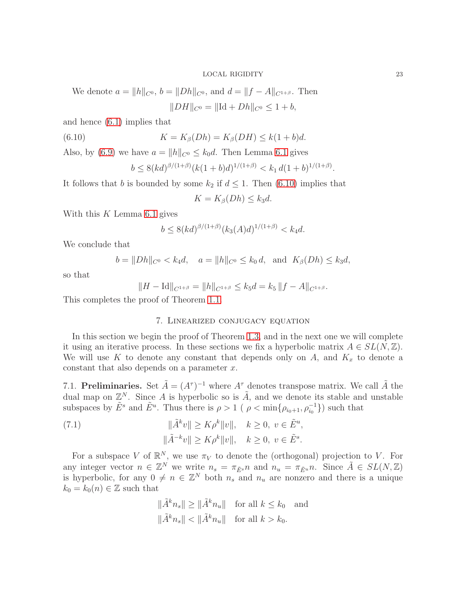We denote 
$$
a = ||h||_{C^0}
$$
,  $b = ||Dh||_{C^0}$ , and  $d = ||f - A||_{C^{1+\beta}}$ . Then  

$$
||DH||_{C^0} = ||Id + Dh||_{C^0} \le 1 + b,
$$

and hence [\(6.1\)](#page-18-1) implies that

(6.10) 
$$
K = K_{\beta}(Dh) = K_{\beta}(DH) \le k(1+b)d.
$$

Also, by [\(6.9\)](#page-21-0) we have  $a = ||h||_{C^0} \leq k_0 d$ . Then Lemma [6.1](#page-21-1) gives

<span id="page-22-1"></span>
$$
b \le 8(kd)^{\beta/(1+\beta)}(k(1+b)d)^{1/(1+\beta)} < k_1 d(1+b)^{1/(1+\beta)}
$$

It follows that b is bounded by some  $k_2$  if  $d \leq 1$ . Then [\(6.10\)](#page-22-1) implies that

$$
K = K_{\beta}(Dh) \le k_3 d.
$$

With this  $K$  Lemma [6.1](#page-21-1) gives

$$
b \le 8(kd)^{\beta/(1+\beta)} (k_3(A)d)^{1/(1+\beta)} < k_4d.
$$

We conclude that

$$
b = ||Dh||_{C^0} < k_4d
$$
,  $a = ||h||_{C^0} \le k_0d$ , and  $K_\beta(Dh) \le k_3d$ ,

so that

$$
||H - \mathrm{Id}||_{C^{1+\beta}} = ||h||_{C^{1+\beta}} \le k_5 d = k_5 ||f - A||_{C^{1+\beta}}.
$$

<span id="page-22-0"></span>This completes the proof of Theorem [1.1.](#page-1-0)

# 7. Linearized conjugacy equation

In this section we begin the proof of Theorem [1.3,](#page-2-0) and in the next one we will complete it using an iterative process. In these sections we fix a hyperbolic matrix  $A \in SL(N, \mathbb{Z})$ . We will use K to denote any constant that depends only on  $A$ , and  $K_x$  to denote a constant that also depends on a parameter  $x$ .

7.1. Preliminaries. Set  $\tilde{A} = (A^{\tau})^{-1}$  where  $A^{\tau}$  denotes transpose matrix. We call  $\tilde{A}$  the dual map on  $\mathbb{Z}^N$ . Since A is hyperbolic so is  $\tilde{A}$ , and we denote its stable and unstable subspaces by  $\tilde{E}^s$  and  $\tilde{E}^u$ . Thus there is  $\rho > 1$  (  $\rho < \min\{\rho_{i_0+1}, \rho_{i_0}^{-1}\}\$ ) such that

<span id="page-22-2"></span>(7.1) 
$$
\|\tilde{A}^k v\| \ge K \rho^k \|v\|, \quad k \ge 0, \ v \in \tilde{E}^u,
$$

$$
\|\tilde{A}^{-k} v\| \ge K \rho^k \|v\|, \quad k \ge 0, \ v \in \tilde{E}^s.
$$

For a subspace V of  $\mathbb{R}^N$ , we use  $\pi_V$  to denote the (orthogonal) projection to V. For any integer vector  $n \in \mathbb{Z}^N$  we write  $n_s = \pi_{\tilde{E}^s} n$  and  $n_u = \pi_{\tilde{E}^u} n$ . Since  $\tilde{A} \in SL(N, \mathbb{Z})$ is hyperbolic, for any  $0 \neq n \in \mathbb{Z}^N$  both  $n_s$  and  $n_u$  are nonzero and there is a unique  $k_0 = k_0(n) \in \mathbb{Z}$  such that

$$
\|\tilde{A}^k n_s\| \ge \|\tilde{A}^k n_u\| \quad \text{for all } k \le k_0 \quad \text{and}
$$
  

$$
\|\tilde{A}^k n_s\| < \|\tilde{A}^k n_u\| \quad \text{for all } k > k_0.
$$

.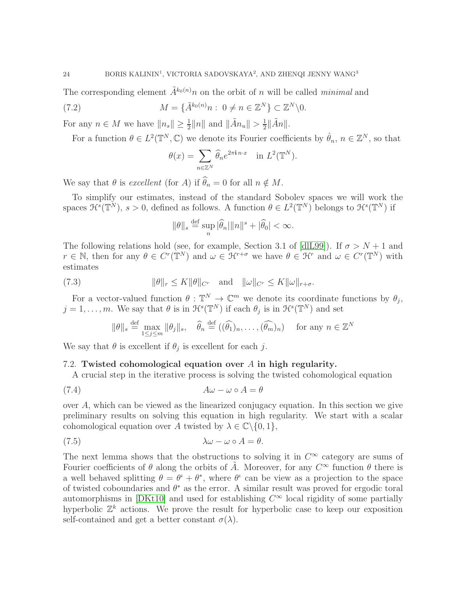The corresponding element  $\tilde{A}^{k_0(n)}$  on the orbit of n will be called minimal and

(7.2) 
$$
M = \{\tilde{A}^{k_0(n)}n : 0 \neq n \in \mathbb{Z}^N\} \subset \mathbb{Z}^N \setminus 0.
$$

For any  $n \in M$  we have  $||n_s|| \geq \frac{1}{2} ||n||$  and  $||\tilde{A}n_u|| > \frac{1}{2}$  $\frac{1}{2}$ || $\tilde{A}n$ ||.

For a function  $\theta \in L^2(\mathbb{T}^N, \mathbb{C})$  we denote its Fourier coefficients by  $\hat{\theta}_n$ ,  $n \in \mathbb{Z}^N$ , so that

<span id="page-23-0"></span>
$$
\theta(x) = \sum_{n \in \mathbb{Z}^N} \widehat{\theta}_n e^{2\pi i n \cdot x} \quad \text{in } L^2(\mathbb{T}^N).
$$

We say that  $\theta$  is excellent (for A) if  $\widehat{\theta}_n = 0$  for all  $n \notin M$ .

To simplify our estimates, instead of the standard Sobolev spaces we will work the spaces  $\mathfrak{H}^s(\mathbb{T}^N)$ ,  $s > 0$ , defined as follows. A function  $\theta \in L^2(\mathbb{T}^N)$  belongs to  $\mathfrak{H}^s(\mathbb{T}^N)$  if

$$
\|\theta\|_{s} \stackrel{\text{def}}{=} \sup_{n} |\widehat{\theta}_{n}| \|n\|^{s} + |\widehat{\theta}_{0}| < \infty.
$$

The following relations hold (see, for example, Section 3.1 of [\[dlL99\]](#page-40-19)). If  $\sigma > N+1$  and  $r \in \mathbb{N}$ , then for any  $\theta \in C^r(\mathbb{T}^N)$  and  $\omega \in \mathcal{H}^{r+\sigma}$  we have  $\theta \in \mathcal{H}^r$  and  $\omega \in C^r(\mathbb{T}^N)$  with estimates

<span id="page-23-2"></span>(7.3) 
$$
\|\theta\|_r \le K \|\theta\|_{C^r} \quad \text{and} \quad \|\omega\|_{C^r} \le K \|\omega\|_{r+\sigma}.
$$

For a vector-valued function  $\theta : \mathbb{T}^N \to \mathbb{C}^m$  we denote its coordinate functions by  $\theta_j$ ,  $j = 1, \ldots, m$ . We say that  $\theta$  is in  $\mathcal{H}^s(\mathbb{T}^N)$  if each  $\theta_j$  is in  $\mathcal{H}^s(\mathbb{T}^N)$  and set

$$
\|\theta\|_{s} \stackrel{\text{def}}{=} \max_{1 \leq j \leq m} \|\theta_{j}\|_{s}, \quad \widehat{\theta}_{n} \stackrel{\text{def}}{=} ((\widehat{\theta_{1}})_{n}, \dots, (\widehat{\theta_{m}})_{n}) \quad \text{for any } n \in \mathbb{Z}^{N}
$$

We say that  $\theta$  is excellent if  $\theta_j$  is excellent for each j.

# 7.2. Twisted cohomological equation over A in high regularity.

A crucial step in the iterative process is solving the twisted cohomological equation

(7.4) Aω − ω ◦ A = θ

over A, which can be viewed as the linearized conjugacy equation. In this section we give preliminary results on solving this equation in high regularity. We start with a scalar cohomological equation over A twisted by  $\lambda \in \mathbb{C} \backslash \{0, 1\},\$ 

<span id="page-23-1"></span>
$$
\lambda \omega - \omega \circ A = \theta.
$$

The next lemma shows that the obstructions to solving it in  $C^{\infty}$  category are sums of Fourier coefficients of  $\theta$  along the orbits of  $\tilde{A}$ . Moreover, for any  $C^{\infty}$  function  $\theta$  there is a well behaved splitting  $\theta = \theta^{\iota} + \theta^*$ , where  $\theta^{\iota}$  can be view as a projection to the space of twisted coboundaries and  $\theta^*$  as the error. A similar result was proved for ergodic toral automorphisms in [\[DKt10\]](#page-40-13) and used for establishing  $C^{\infty}$  local rigidity of some partially hyperbolic  $\mathbb{Z}^k$  actions. We prove the result for hyperbolic case to keep our exposition self-contained and get a better constant  $\sigma(\lambda)$ .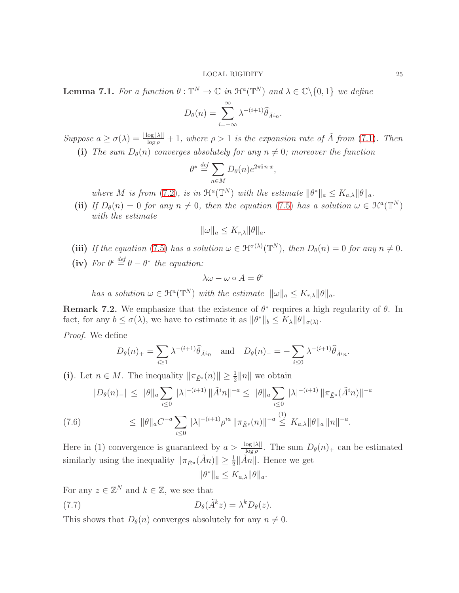<span id="page-24-2"></span>**Lemma 7.1.** For a function  $\theta : \mathbb{T}^N \to \mathbb{C}$  in  $\mathcal{H}^a(\mathbb{T}^N)$  and  $\lambda \in \mathbb{C} \setminus \{0,1\}$  we define

$$
D_{\theta}(n) = \sum_{i=-\infty}^{\infty} \lambda^{-(i+1)} \widehat{\theta}_{\tilde{A}^{i}n}.
$$

Suppose  $a \geq \sigma(\lambda) = \frac{|\log|\lambda||}{\log \rho} + 1$ , where  $\rho > 1$  is the expansion rate of  $\tilde{A}$  from [\(7.1\)](#page-22-2). Then (i) The sum  $D_{\theta}(n)$  converges absolutely for any  $n \neq 0$ ; moreover the function

$$
\theta^* \stackrel{\text{def}}{=} \sum_{n \in M} D_{\theta}(n) e^{2\pi \mathbf{i} \, n \cdot x},
$$

where M is from [\(7.2\)](#page-23-0), is in  $\mathcal{H}^a(\mathbb{T}^N)$  with the estimate  $\|\theta^*\|_a \leq K_{a,\lambda} \|\theta\|_a$ .

(ii) If  $D_{\theta}(n) = 0$  for any  $n \neq 0$ , then the equation [\(7.5\)](#page-23-1) has a solution  $\omega \in \mathcal{H}^{a}(\mathbb{T}^{N})$ with the estimate

$$
\|\omega\|_a \le K_{r,\lambda} \|\theta\|_a.
$$

- (iii) If the equation [\(7.5\)](#page-23-1) has a solution  $\omega \in \mathfrak{H}^{\sigma(\lambda)}(\mathbb{T}^N)$ , then  $D_{\theta}(n) = 0$  for any  $n \neq 0$ .
- (iv) For  $\theta^{\iota} \stackrel{def}{=} \theta \theta^*$  the equation:

$$
\lambda \omega - \omega \circ A = \theta^{\iota}
$$

has a solution  $\omega \in \mathfrak{H}^a(\mathbb{T}^N)$  with the estimate  $\|\omega\|_a \leq K_{r,\lambda} \|\theta\|_a$ .

<span id="page-24-3"></span>**Remark 7.2.** We emphasize that the existence of  $\theta^*$  requires a high regularity of  $\theta$ . In fact, for any  $b \leq \sigma(\lambda)$ , we have to estimate it as  $\|\theta^*\|_b \leq K_\lambda \|\theta\|_{\sigma(\lambda)}$ .

Proof. We define

$$
D_{\theta}(n)_{+} = \sum_{i \ge 1} \lambda^{-(i+1)} \widehat{\theta}_{\tilde{A}^{i}n} \quad \text{and} \quad D_{\theta}(n)_{-} = -\sum_{i \le 0} \lambda^{-(i+1)} \widehat{\theta}_{\tilde{A}^{i}n}.
$$

(i). Let  $n \in M$ . The inequality  $\|\pi_{\tilde{E}^s}(n)\| \geq \frac{1}{2} \|n\|$  we obtain

$$
|D_{\theta}(n)_{-}| \leq \|\theta\|_{a} \sum_{i\leq 0} |\lambda|^{-(i+1)} \|\tilde{A}^{i}n\|^{-a} \leq \|\theta\|_{a} \sum_{i\leq 0} |\lambda|^{-(i+1)} \|\pi_{\tilde{E}^{s}}(\tilde{A}^{i}n)\|^{-a}
$$
  
(7.6) 
$$
\leq \|\theta\|_{a} C^{-a} \sum_{i\leq 0} |\lambda|^{-(i+1)} \rho^{ia} \|\pi_{\tilde{E}^{s}}(n)\|^{-a} \leq K_{a,\lambda} \|\theta\|_{a} \|n\|^{-a}.
$$

<span id="page-24-0"></span>Here in (1) convergence is guaranteed by  $a > \frac{|\log |\lambda||}{\log \rho}$ . The sum  $D_{\theta}(n)$  can be estimated similarly using the inequality  $\|\pi_{\tilde{E}^u}(\tilde{A}n)\| \ge \frac{1}{2} \|\tilde{A}n\|$ . Hence we get

$$
\|\theta^*\|_a \leq K_{a,\lambda} \|\theta\|_a.
$$

For any  $z \in \mathbb{Z}^N$  and  $k \in \mathbb{Z}$ , we see that

<span id="page-24-1"></span>(7.7)  $D_{\theta}(\tilde{A}^k z) = \lambda^k D_{\theta}(z).$ 

This shows that  $D_{\theta}(n)$  converges absolutely for any  $n \neq 0$ .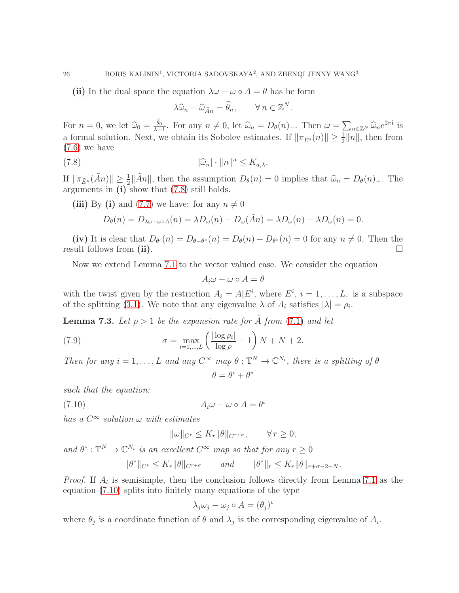(ii) In the dual space the equation  $\lambda \omega - \omega \circ A = \theta$  has he form

$$
\lambda \widehat{\omega}_n - \widehat{\omega}_{\tilde{A}n} = \widehat{\theta}_n, \qquad \forall n \in \mathbb{Z}^N.
$$

For  $n = 0$ , we let  $\widehat{\omega}_0 = \frac{\widehat{\theta}_0}{\lambda - 1}$ . For any  $n \neq 0$ , let  $\widehat{\omega}_n = D_\theta(n)$ . Then  $\omega = \sum_{n \in \mathbb{Z}^N} \widehat{\omega}_n e^{2\pi i}$  is a formal solution. Next, we obtain its Sobolev estimates. If  $\|\pi_{\tilde{E}^s}(n)\| \geq \frac{1}{2} \|n\|$ , then from [\(7.6\)](#page-24-0) we have

<span id="page-25-0"></span>(7.8) 
$$
|\widehat{\omega}_n| \cdot ||n||^a \le K_{a,\lambda}.
$$

If  $\|\pi_{\tilde{E}^u}(\tilde{A}n)\| \geq \frac{1}{2} \|\tilde{A}n\|$ , then the assumption  $D_\theta(n) = 0$  implies that  $\hat{\omega}_n = D_\theta(n)_+$ . The arguments in (i) show that [\(7.8\)](#page-25-0) still holds.

(iii) By (i) and [\(7.7\)](#page-24-1) we have: for any  $n \neq 0$ 

$$
D_{\theta}(n) = D_{\lambda\omega-\omega\circ A}(n) = \lambda D_{\omega}(n) - D_{\omega}(\tilde{A}n) = \lambda D_{\omega}(n) - \lambda D_{\omega}(n) = 0.
$$

(iv) It is clear that  $D_{\theta^{\mu}}(n) = D_{\theta-\theta^*}(n) = D_{\theta}(n) - D_{\theta^*}(n) = 0$  for any  $n \neq 0$ . Then the result follows from (ii).  $\Box$ 

Now we extend Lemma [7.1](#page-24-2) to the vector valued case. We consider the equation

$$
A_i \omega - \omega \circ A = \theta
$$

with the twist given by the restriction  $A_i = A | E^i$ , where  $E^i$ ,  $i = 1, ..., L$ , is a subspace of the splitting [\(3.1\)](#page-5-2). We note that any eigenvalue  $\lambda$  of  $A_i$  satisfies  $|\lambda| = \rho_i$ .

<span id="page-25-3"></span>**Lemma 7.3.** Let  $\rho > 1$  be the expansion rate for A from [\(7.1\)](#page-22-2) and let

(7.9) 
$$
\sigma = \max_{i=1,\dots,L} \left( \frac{|\log \rho_i|}{\log \rho} + 1 \right) N + N + 2.
$$

Then for any  $i = 1, ..., L$  and any  $C^{\infty}$  map  $\theta : \mathbb{T}^{N} \to \mathbb{C}^{N_i}$ , there is a splitting of  $\theta$ 

<span id="page-25-2"></span>
$$
\theta=\theta^\iota+\theta^*
$$

such that the equation:

<span id="page-25-1"></span>
$$
(7.10) \t\t A_i \omega - \omega \circ A = \theta^i
$$

has a  $C^{\infty}$  solution  $\omega$  with estimates

$$
\|\omega\|_{C^r} \le K_r \|\theta\|_{C^{r+\sigma}}, \qquad \forall r \ge 0;
$$

and  $\theta^*: \mathbb{T}^N \to \mathbb{C}^{N_i}$  is an excellent  $C^{\infty}$  map so that for any  $r \geq 0$ 

$$
\|\theta^*\|_{C^r} \le K_r \|\theta\|_{C^{r+\sigma}} \qquad \text{and} \qquad \|\theta^*\|_r \le K_r \|\theta\|_{r+\sigma-2-N}.
$$

*Proof.* If  $A_i$  is semisimple, then the conclusion follows directly from Lemma [7.1](#page-24-2) as the equation [\(7.10\)](#page-25-1) splits into finitely many equations of the type

$$
\lambda_j \omega_j - \omega_j \circ A = (\theta_j)^{\iota}
$$

where  $\theta_j$  is a coordinate function of  $\theta$  and  $\lambda_j$  is the corresponding eigenvalue of  $A_i$ .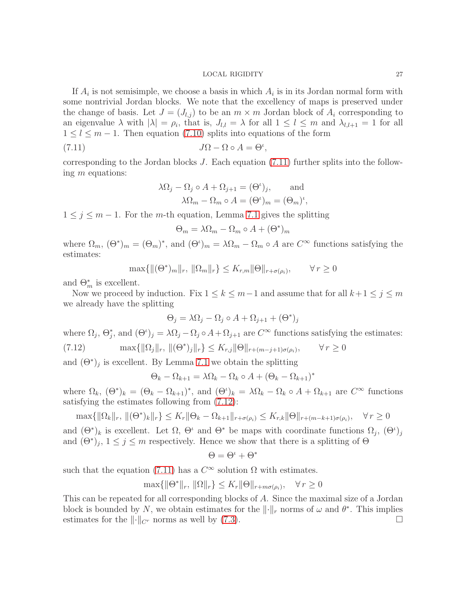If  $A_i$  is not semisimple, we choose a basis in which  $A_i$  is in its Jordan normal form with some nontrivial Jordan blocks. We note that the excellency of maps is preserved under the change of basis. Let  $J = (J_{l,j})$  to be an  $m \times m$  Jordan block of  $A_i$  corresponding to an eigenvalue  $\lambda$  with  $|\lambda| = \rho_i$ , that is,  $J_{l,l} = \lambda$  for all  $1 \leq l \leq m$  and  $\lambda_{l,l+1} = 1$  for all  $1 \leq l \leq m-1$ . Then equation [\(7.10\)](#page-25-1) splits into equations of the form

<span id="page-26-0"></span>(7.11) 
$$
J\Omega - \Omega \circ A = \Theta',
$$

corresponding to the Jordan blocks  $J$ . Each equation  $(7.11)$  further splits into the following m equations:

$$
\lambda \Omega_j - \Omega_j \circ A + \Omega_{j+1} = (\Theta^{\iota})_j, \quad \text{and}
$$

$$
\lambda \Omega_m - \Omega_m \circ A = (\Theta^{\iota})_m = (\Theta_m)^{\iota},
$$

 $1 \leq j \leq m-1$ . For the m-th equation, Lemma [7.1](#page-24-2) gives the splitting

$$
\Theta_m = \lambda \Omega_m - \Omega_m \circ A + (\Theta^*)_m
$$

where  $\Omega_m$ ,  $(\Theta^*)_m = (\Theta_m)^*$ , and  $(\Theta^i)_m = \lambda \Omega_m - \Omega_m \circ A$  are  $C^{\infty}$  functions satisfying the estimates:

$$
\max\{\|(\Theta^*)_m\|_r, \|\Omega_m\|_r\} \le K_{r,m}\|\Theta\|_{r+\sigma(\rho_i)}, \qquad \forall r \ge 0
$$

and  $\Theta_m^*$  is excellent.

Now we proceed by induction. Fix  $1 \leq k \leq m-1$  and assume that for all  $k+1 \leq j \leq m$ we already have the splitting

$$
\Theta_j = \lambda \Omega_j - \Omega_j \circ A + \Omega_{j+1} + (\Theta^*)_j
$$

<span id="page-26-1"></span>where  $\Omega_j$ ,  $\Theta_j^*$ , and  $(\Theta^i)_j = \lambda \Omega_j - \Omega_j \circ A + \Omega_{j+1}$  are  $C^{\infty}$  functions satisfying the estimates: (7.12)  $\max\{\|\Omega_j\|_r, \, \|(\Theta^*)_j\|_r\} \le K_{r,j} \|\Theta\|_{r+(m-j+1)\sigma(\rho_i)}, \qquad \forall r \ge 0$ 

and  $(\Theta^*)_j$  is excellent. By Lemma [7.1](#page-24-2) we obtain the splitting

$$
\Theta_k - \Omega_{k+1} = \lambda \Omega_k - \Omega_k \circ A + (\Theta_k - \Omega_{k+1})^*
$$

where  $\Omega_k$ ,  $(\Theta^*)_k = (\Theta_k - \Omega_{k+1})^*$ , and  $(\Theta^i)_k = \lambda \Omega_k - \Omega_k \circ A + \Omega_{k+1}$  are  $C^{\infty}$  functions satisfying the estimates following from [\(7.12\)](#page-26-1):

$$
\max\{\|\Omega_k\|_r, \, \|\Theta^*\}_k\|_r\} \le K_r \|\Theta_k - \Omega_{k+1}\|_{r+\sigma(\rho_i)} \le K_{r,k} \|\Theta\|_{r+(m-k+1)\sigma(\rho_i)}, \quad \forall r \ge 0
$$

and  $(\Theta^*)_k$  is excellent. Let  $\Omega$ ,  $\Theta^i$  and  $\Theta^*$  be maps with coordinate functions  $\Omega_j$ ,  $(\Theta^i)_j$ and  $(\Theta^*)_j$ ,  $1 \leq j \leq m$  respectively. Hence we show that there is a splitting of  $\Theta$ 

$$
\Theta=\Theta^{\iota}+\Theta^*
$$

such that the equation [\(7.11\)](#page-26-0) has a  $C^{\infty}$  solution  $\Omega$  with estimates.

$$
\max\{\|\Theta^*\|_r, \|\Omega\|_r\} \le K_r \|\Theta\|_{r+m\sigma(\rho_i)}, \quad \forall r \ge 0
$$

This can be repeated for all corresponding blocks of A. Since the maximal size of a Jordan block is bounded by N, we obtain estimates for the  $\lVert \cdot \rVert_r$  norms of  $\omega$  and  $\theta^*$ . This implies estimates for the  $\lVert \cdot \rVert_{C^r}$  norms as well by [\(7.3\)](#page-23-2).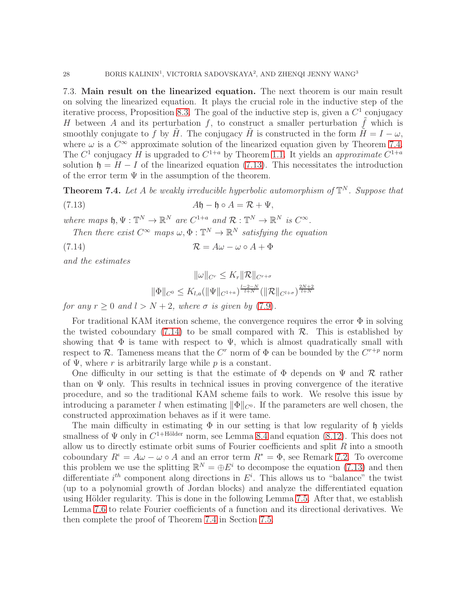7.3. Main result on the linearized equation. The next theorem is our main result on solving the linearized equation. It plays the crucial role in the inductive step of the iterative process, Proposition [8.3.](#page-32-1) The goal of the inductive step is, given a  $C<sup>1</sup>$  conjugacy H between A and its perturbation f, to construct a smaller perturbation  $\tilde{f}$  which is smoothly conjugate to f by  $\tilde{H}$ . The conjugacy  $\tilde{H}$  is constructed in the form  $\tilde{H} = I - \omega$ , where  $\omega$  is a  $C^{\infty}$  approximate solution of the linearized equation given by Theorem [7.4.](#page-27-0) The  $C^1$  conjugacy H is upgraded to  $C^{1+a}$  by Theorem [1.1.](#page-1-0) It yields an approximate  $C^{1+a}$ solution  $\mathfrak{h} = H - I$  of the linearized equation [\(7.13\)](#page-27-1). This necessitates the introduction of the error term  $\Psi$  in the assumption of the theorem.

<span id="page-27-0"></span>**Theorem 7.4.** Let A be weakly irreducible hyperbolic automorphism of  $\mathbb{T}^N$ . Suppose that

<span id="page-27-1"></span>(7.13) Ah − h ◦ A = R + Ψ,

where maps  $\mathfrak{h}, \Psi : \mathbb{T}^N \to \mathbb{R}^N$  are  $C^{1+a}$  and  $\mathcal{R} : \mathbb{T}^N \to \mathbb{R}^N$  is  $C^{\infty}$ .

Then there exist  $C^{\infty}$  maps  $\omega, \Phi : \mathbb{T}^{N} \to \mathbb{R}^{N}$  satisfying the equation

<span id="page-27-2"></span>(7.14)  $\mathcal{R} = A\omega - \omega \circ A + \Phi$ 

and the estimates

$$
\|\omega\|_{C^r} \le K_r \|\mathcal{R}\|_{C^{r+\sigma}}
$$
  

$$
\|\Phi\|_{C^0} \le K_{l,a} (\|\Psi\|_{C^{1+a}})^{\frac{l-2-N}{l+N}} (\|\mathcal{R}\|_{C^{l+\sigma}})^{\frac{2N+2}{l+N}}
$$

for any  $r \geq 0$  and  $l > N + 2$ , where  $\sigma$  is given by [\(7.9\)](#page-25-2).

For traditional KAM iteration scheme, the convergence requires the error  $\Phi$  in solving the twisted coboundary  $(7.14)$  to be small compared with  $\mathcal{R}$ . This is established by showing that  $\Phi$  is tame with respect to  $\Psi$ , which is almost quadratically small with respect to R. Tameness means that the  $C<sup>r</sup>$  norm of  $\Phi$  can be bounded by the  $C<sup>r+p</sup>$  norm of  $\Psi$ , where r is arbitrarily large while p is a constant.

One difficulty in our setting is that the estimate of  $\Phi$  depends on  $\Psi$  and  $\mathcal R$  rather than on  $\Psi$  only. This results in technical issues in proving convergence of the iterative procedure, and so the traditional KAM scheme fails to work. We resolve this issue by introducing a parameter l when estimating  $\|\Phi\|_{C^0}$ . If the parameters are well chosen, the constructed approximation behaves as if it were tame.

The main difficulty in estimating  $\Phi$  in our setting is that low regularity of  $\mathfrak h$  yields smallness of  $\Psi$  only in  $C^{1+\text{Hölder}}$  norm, see Lemma [8.4](#page-33-0) and equation [\(8.12\)](#page-35-0). This does not allow us to directly estimate orbit sums of Fourier coefficients and split  $R$  into a smooth coboundary  $R^i = A\omega - \omega \circ A$  and an error term  $R^* = \Phi$ , see Remark [7.2.](#page-24-3) To overcome this problem we use the splitting  $\mathbb{R}^N = \oplus E^i$  to decompose the equation [\(7.13\)](#page-27-1) and then differentiate  $i<sup>th</sup>$  component along directions in  $E<sup>i</sup>$ . This allows us to "balance" the twist (up to a polynomial growth of Jordan blocks) and analyze the differentiated equation using Hölder regularity. This is done in the following Lemma [7.5.](#page-28-0) After that, we establish Lemma [7.6](#page-29-0) to relate Fourier coefficients of a function and its directional derivatives. We then complete the proof of Theorem [7.4](#page-27-0) in Section [7.5.](#page-30-0)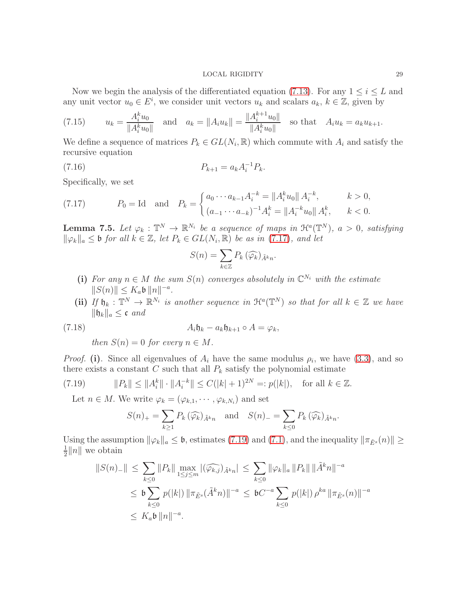Now we begin the analysis of the differentiated equation [\(7.13\)](#page-27-1). For any  $1 \leq i \leq L$  and any unit vector  $u_0 \in E^i$ , we consider unit vectors  $u_k$  and scalars  $a_k, k \in \mathbb{Z}$ , given by

<span id="page-28-5"></span>(7.15) 
$$
u_k = \frac{A_i^k u_0}{\|A_i^k u_0\|} \text{ and } a_k = \|A_i u_k\| = \frac{\|A_i^{k+1} u_0\|}{\|A_i^k u_0\|} \text{ so that } A_i u_k = a_k u_{k+1}.
$$

We define a sequence of matrices  $P_k \in GL(N_i, \mathbb{R})$  which commute with  $A_i$  and satisfy the recursive equation

(7.16) 
$$
P_{k+1} = a_k A_i^{-1} P_k.
$$

Specifically, we set

<span id="page-28-1"></span>(7.17) 
$$
P_0 = \text{Id} \quad \text{and} \quad P_k = \begin{cases} a_0 \cdots a_{k-1} A_i^{-k} = \|A_i^k u_0\| A_i^{-k}, & k > 0, \\ (a_{-1} \cdots a_{-k})^{-1} A_i^k = \|A_i^{-k} u_0\| A_i^k, & k < 0. \end{cases}
$$

<span id="page-28-0"></span>**Lemma 7.5.** Let  $\varphi_k : \mathbb{T}^N \to \mathbb{R}^{N_i}$  be a sequence of maps in  $\mathfrak{H}^a(\mathbb{T}^N)$ ,  $a > 0$ , satisfying  $\|\varphi_k\|_a \leq \mathfrak{b}$  for all  $k \in \mathbb{Z}$ , let  $P_k \in GL(N_i, \mathbb{R})$  be as in [\(7.17\)](#page-28-1), and let

<span id="page-28-4"></span>
$$
S(n) = \sum_{k \in \mathbb{Z}} P_k \left( \widehat{\varphi_k} \right)_{\tilde{A}^k n}.
$$

- (i) For any  $n \in M$  the sum  $S(n)$  converges absolutely in  $\mathbb{C}^{N_i}$  with the estimate  $||S(n)|| \le K_a \mathfrak{b} ||n||^{-a}.$
- (ii) If  $\mathfrak{h}_k : \mathbb{T}^N \to \mathbb{R}^{N_i}$  is another sequence in  $\mathfrak{H}^a(\mathbb{T}^N)$  so that for all  $k \in \mathbb{Z}$  we have  $\|\mathfrak{h}_k\|_a \leq \mathfrak{c}$  and

<span id="page-28-3"></span>(7.18) 
$$
A_i \mathfrak{h}_k - a_k \mathfrak{h}_{k+1} \circ A = \varphi_k,
$$

then  $S(n) = 0$  for every  $n \in M$ .

*Proof.* (i). Since all eigenvalues of  $A_i$  have the same modulus  $\rho_i$ , we have [\(3.3\)](#page-5-4), and so there exists a constant C such that all  $P_k$  satisfy the polynomial estimate

<span id="page-28-2"></span>(7.19) 
$$
||P_k|| \le ||A_i^k|| \cdot ||A_i^{-k}|| \le C(|k|+1)^{2N} =: p(|k|), \text{ for all } k \in \mathbb{Z}.
$$

Let  $n \in M$ . We write  $\varphi_k = (\varphi_{k,1}, \cdots, \varphi_{k,N_i})$  and set

$$
S(n)_{+} = \sum_{k \geq 1} P_k(\widehat{\varphi_k})_{\tilde{A}^k n} \text{ and } S(n)_{-} = \sum_{k \leq 0} P_k(\widehat{\varphi_k})_{\tilde{A}^k n}.
$$

Using the assumption  $\|\varphi_k\|_a \leq \mathfrak{b}$ , estimates [\(7.19\)](#page-28-2) and [\(7.1\)](#page-22-2), and the inequality  $\|\pi_{\tilde{E}^s}(n)\| \geq$ 1  $\frac{1}{2}||n||$  we obtain

$$
||S(n)_{-}|| \leq \sum_{k\leq 0} ||P_{k}|| \max_{1\leq j\leq m} |(\widehat{\varphi_{k,j}})_{\tilde{A}^{k}n}| \leq \sum_{k\leq 0} ||\varphi_{k}||_{a} ||P_{k}|| ||\tilde{A}^{k}n||^{-a}
$$
  

$$
\leq \mathfrak{b} \sum_{k\leq 0} p(|k|) ||\pi_{\tilde{E}^{s}}(\tilde{A}^{k}n)||^{-a} \leq \mathfrak{b}C^{-a} \sum_{k\leq 0} p(|k|) \rho^{ka} ||\pi_{\tilde{E}^{s}}(n)||^{-a}
$$
  

$$
\leq K_{a}\mathfrak{b} ||n||^{-a}.
$$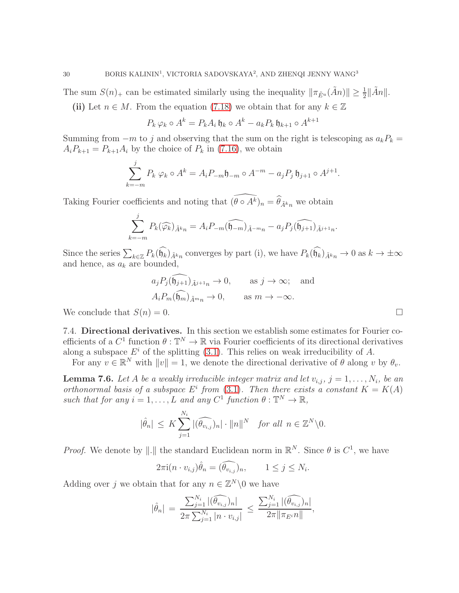The sum  $S(n)_+$  can be estimated similarly using the inequality  $\|\pi_{\tilde{E}^u}(\tilde{A}n)\| \ge \frac{1}{2} \|\tilde{A}n\|$ .

(ii) Let  $n \in M$ . From the equation [\(7.18\)](#page-28-3) we obtain that for any  $k \in \mathbb{Z}$ 

$$
P_k \varphi_k \circ A^k = P_k A_i \mathfrak{h}_k \circ A^k - a_k P_k \mathfrak{h}_{k+1} \circ A^{k+1}
$$

Summing from  $-m$  to j and observing that the sum on the right is telescoping as  $a_kP_k =$  $A_iP_{k+1} = P_{k+1}A_i$  by the choice of  $P_k$  in [\(7.16\)](#page-28-4), we obtain

$$
\sum_{k=-m}^{j} P_k \varphi_k \circ A^k = A_i P_{-m} \mathfrak{h}_{-m} \circ A^{-m} - a_j P_j \mathfrak{h}_{j+1} \circ A^{j+1}.
$$

Taking Fourier coefficients and noting that  $(\theta \circ A^k)_n = \theta_{\tilde{A}^k n}$  we obtain

$$
\sum_{k=-m}^{j} P_k(\widehat{\varphi_k})_{\tilde{A}^k n} = A_i P_{-m}(\widehat{\mathfrak{h}_{-m}})_{\tilde{A}^{-m}n} - a_j P_j(\widehat{\mathfrak{h}_{j+1}})_{\tilde{A}^{j+1}n}.
$$

Since the series  $\sum_{k\in\mathbb{Z}} P_k(\widehat{\mathfrak{h}_k})_{\tilde{A}^kn}$  converges by part (i), we have  $P_k(\widehat{\mathfrak{h}_k})_{\tilde{A}^kn}\to 0$  as  $k\to\pm\infty$ and hence, as  $a_k$  are bounded,

$$
a_j P_j(\widehat{\mathfrak{h}_{j+1}})_{\tilde{A}^{j+1}n} \to 0
$$
, as  $j \to \infty$ ; and  
 $A_i P_m(\widehat{\mathfrak{h}_m})_{\tilde{A}^{m}n} \to 0$ , as  $m \to -\infty$ .

We conclude that  $S(n) = 0$ .

7.4. Directional derivatives. In this section we establish some estimates for Fourier coefficients of a  $C^1$  function  $\theta : \mathbb{T}^N \to \mathbb{R}$  via Fourier coefficients of its directional derivatives along a subspace  $E^i$  of the splitting [\(3.1\)](#page-5-2). This relies on weak irreducibility of A.

For any  $v \in \mathbb{R}^N$  with  $||v|| = 1$ , we denote the directional derivative of  $\theta$  along v by  $\theta_v$ .

<span id="page-29-0"></span>**Lemma 7.6.** Let A be a weakly irreducible integer matrix and let  $v_{i,j}, j = 1, \ldots, N_i$ , be an orthonormal basis of a subspace  $E^i$  from [\(3.1\)](#page-5-2). Then there exists a constant  $K = K(A)$ such that for any  $i = 1, ..., L$  and any  $C^1$  function  $\theta : \mathbb{T}^N \to \mathbb{R}$ ,

$$
|\hat{\theta}_n| \leq K \sum_{j=1}^{N_i} |(\widehat{\theta_{v_{i,j}}})_n| \cdot ||n||^N \quad \text{for all } n \in \mathbb{Z}^N \setminus 0.
$$

*Proof.* We denote by ||.|| the standard Euclidean norm in  $\mathbb{R}^N$ . Since  $\theta$  is  $C^1$ , we have

$$
2\pi i (n \cdot v_{i,j})\hat{\theta}_n = (\widehat{\theta_{v_{i,j}}})_n, \qquad 1 \le j \le N_i.
$$

Adding over j we obtain that for any  $n \in \mathbb{Z}^N \setminus \{0\}$  we have

$$
|\hat{\theta}_n| = \frac{\sum_{j=1}^{N_i} |(\widehat{\theta_{v_{i,j}}})_n|}{2\pi \sum_{j=1}^{N_i} |n \cdot v_{i,j}|} \le \frac{\sum_{j=1}^{N_i} |(\widehat{\theta_{v_{i,j}}})_n|}{2\pi \|\pi_{E^i} n\|},
$$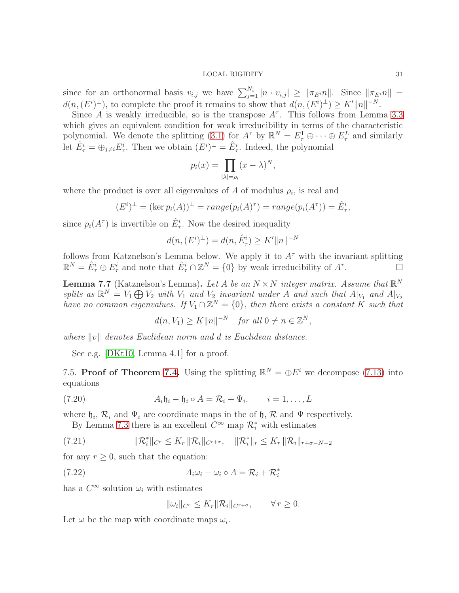since for an orthonormal basis  $v_{i,j}$  we have  $\sum_{j=1}^{N_i} |n \cdot v_{i,j}| \ge ||\pi_{E} \cdot n||$ . Since  $||\pi_{E} \cdot n|| =$  $d(n, (E^i)^{\perp})$ , to complete the proof it remains to show that  $d(n, (E^i)^{\perp}) \geq K' ||n||^{-N}$ .

Since A is weakly irreducible, so is the transpose  $A^{\tau}$ . This follows from Lemma [3.3](#page-6-0) which gives an equivalent condition for weak irreducibility in terms of the characteristic polynomial. We denote the splitting [\(3.1\)](#page-5-2) for  $A^{\tau}$  by  $\mathbb{R}^{N} = E_{\tau}^{1} \oplus \cdots \oplus E_{\tau}^{L}$  and similarly let  $\hat{E}^i_\tau = \bigoplus_{j \neq i} E^i_\tau$ . Then we obtain  $(E^i)^\perp = \hat{E}^i_\tau$ . Indeed, the polynomial

$$
p_i(x) = \prod_{|\lambda|=p_i} (x - \lambda)^N,
$$

where the product is over all eigenvalues of A of modulus  $\rho_i$ , is real and

$$
(Ei)\perp = (\ker pi(A))\perp = range(pi(A)\tau) = range(pi(A\tau)) = \hat{E}^i_{\tau},
$$

since  $p_i(A^{\tau})$  is invertible on  $\hat{E}^i_{\tau}$ . Now the desired inequality

$$
d(n, (E^i)^{\perp}) = d(n, \hat{E}^i_{\tau}) \ge K' ||n||^{-N}
$$

follows from Katznelson's Lemma below. We apply it to  $A^{\tau}$  with the invariant splitting  $\mathbb{R}^N = \hat{E}^i_\tau \oplus E^i_\tau$  and note that  $\hat{E}^i_\tau \cap \mathbb{Z}^N = \{0\}$  by weak irreducibility of  $A^\tau$ .

**Lemma 7.7** (Katznelson's Lemma). Let A be an  $N \times N$  integer matrix. Assume that  $\mathbb{R}^N$ splits as  $\mathbb{R}^N = V_1 \bigoplus V_2$  with  $V_1$  and  $V_2$  invariant under A and such that  $A|_{V_1}$  and  $A|_{V_2}$ have no common eigenvalues. If  $V_1 \cap \mathbb{Z}^N = \{0\}$ , then there exists a constant K such that

 $d(n, V_1) \geq K ||n||^{-N}$  for all  $0 \neq n \in \mathbb{Z}^N$ ,

where  $||v||$  denotes Euclidean norm and d is Euclidean distance.

See e.g. [\[DKt10,](#page-40-13) Lemma 4.1] for a proof.

<span id="page-30-0"></span>7.5. Proof of Theorem [7.4.](#page-27-0) Using the splitting  $\mathbb{R}^N = \bigoplus E^i$  we decompose [\(7.13\)](#page-27-1) into equations

<span id="page-30-1"></span>(7.20) 
$$
A_i \mathfrak{h}_i - \mathfrak{h}_i \circ A = \mathcal{R}_i + \Psi_i, \qquad i = 1, \dots, L
$$

where  $\mathfrak{h}_i$ ,  $\mathcal{R}_i$  and  $\Psi_i$  are coordinate maps in the of  $\mathfrak{h}$ ,  $\mathcal{R}$  and  $\Psi$  respectively.

By Lemma [7.3](#page-25-3) there is an excellent  $C^{\infty}$  map  $\mathcal{R}_i^*$  with estimates

<span id="page-30-3"></span>(7.21) 
$$
\|\mathcal{R}_{i}^{*}\|_{C^{r}} \leq K_{r} \|\mathcal{R}_{i}\|_{C^{r+\sigma}}, \quad \|\mathcal{R}_{i}^{*}\|_{r} \leq K_{r} \|\mathcal{R}_{i}\|_{r+\sigma-N-2}
$$

for any  $r \geq 0$ , such that the equation:

<span id="page-30-2"></span>(7.22) 
$$
A_i \omega_i - \omega_i \circ A = \mathcal{R}_i + \mathcal{R}_i^*
$$

has a  $C^{\infty}$  solution  $\omega_i$  with estimates

$$
\|\omega_i\|_{C^r} \le K_r \|\mathcal{R}_i\|_{C^{r+\sigma}}, \qquad \forall r \ge 0.
$$

Let  $\omega$  be the map with coordinate maps  $\omega_i$ .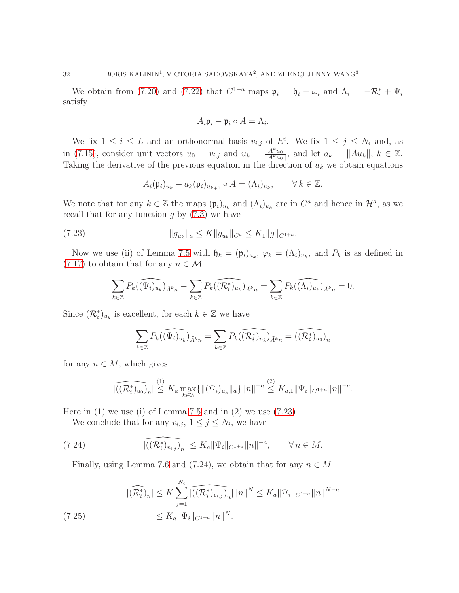We obtain from [\(7.20\)](#page-30-1) and [\(7.22\)](#page-30-2) that  $C^{1+a}$  maps  $\mathfrak{p}_i = \mathfrak{h}_i - \omega_i$  and  $\Lambda_i = -\mathcal{R}_i^* + \Psi_i$ satisfy

$$
A_i\mathfrak{p}_i - \mathfrak{p}_i \circ A = \Lambda_i.
$$

We fix  $1 \leq i \leq L$  and an orthonormal basis  $v_{i,j}$  of  $E^i$ . We fix  $1 \leq j \leq N_i$  and, as in [\(7.15\)](#page-28-5), consider unit vectors  $u_0 = v_{i,j}$  and  $u_k = \frac{A^k u_0}{\|A^k u_0\|}$  $\frac{A^{\kappa}u_0}{\|A^k u_0\|}$ , and let  $a_k = \|Au_k\|, k \in \mathbb{Z}$ . Taking the derivative of the previous equation in the direction of  $u_k$  we obtain equations

$$
A_i(\mathfrak{p}_i)_{u_k} - a_k(\mathfrak{p}_i)_{u_{k+1}} \circ A = (\Lambda_i)_{u_k}, \qquad \forall \, k \in \mathbb{Z}.
$$

We note that for any  $k \in \mathbb{Z}$  the maps  $(\mathfrak{p}_i)_{u_k}$  and  $(\Lambda_i)_{u_k}$  are in  $C^a$  and hence in  $\mathcal{H}^a$ , as we recall that for any function  $g$  by  $(7.3)$  we have

<span id="page-31-0"></span>(7.23) 
$$
||g_{u_k}||_a \leq K ||g_{u_k}||_{C^a} \leq K_1 ||g||_{C^{1+a}}.
$$

Now we use (ii) of Lemma [7.5](#page-28-0) with  $\mathfrak{h}_k = (\mathfrak{p}_i)_{u_k}$ ,  $\varphi_k = (\Lambda_i)_{u_k}$ , and  $P_k$  is as defined in  $(7.17)$  to obtain that for any  $n \in \mathcal{M}$ 

$$
\sum_{k\in\mathbb{Z}} P_k(\widehat{(\Psi_i)_{u_k}})_{\tilde{A}^{k}n} - \sum_{k\in\mathbb{Z}} P_k(\widehat{(\mathcal{R}_i^*)_{u_k}})_{\tilde{A}^{k}n} = \sum_{k\in\mathbb{Z}} P_k(\widehat{(\Lambda_i)_{u_k}})_{\tilde{A}^{k}n} = 0.
$$

Since  $(\mathcal{R}_i^*)_{u_k}$  is excellent, for each  $k \in \mathbb{Z}$  we have

$$
\sum_{k\in\mathbb{Z}} P_k(\widehat{(\Psi_i)_{u_k}})_{\tilde{A}^{k}n} = \sum_{k\in\mathbb{Z}} P_k(\widehat{(\mathcal{R}_i^*)_{u_k}})_{\tilde{A}^{k}n} = \widehat{(\mathcal{R}_i^*)_{u_0}})_n
$$

for any  $n \in M$ , which gives

$$
\left|\widehat{((\mathcal{R}_i^*)_{u_0})}_n\right| \stackrel{(1)}{\leq} K_a \max_{k \in \mathbb{Z}} \{ \left\| (\Psi_i)_{u_k} \right\|_a \} \left\| n \right\|^{-a} \stackrel{(2)}{\leq} K_{a,1} \left\| \Psi_i \right\|_{C^{1+a}} \left\| n \right\|^{-a}.
$$

Here in  $(1)$  we use  $(i)$  of Lemma [7.5](#page-28-0) and in  $(2)$  we use  $(7.23)$ .

We conclude that for any  $v_{i,j}$ ,  $1 \leq j \leq N_i$ , we have

<span id="page-31-1"></span>(7.24) 
$$
|(\widehat{(\mathcal{R}_{i}^{*})_{v_{i,j}}})_{n}| \leq K_{a} \|\Psi_{i}\|_{C^{1+a}} \|n\|^{-a}, \qquad \forall n \in M.
$$

Finally, using Lemma [7.6](#page-29-0) and [\(7.24\)](#page-31-1), we obtain that for any  $n \in M$ 

<span id="page-31-2"></span>
$$
|(\widehat{R_i^*})_n| \le K \sum_{j=1}^{N_i} |(\widehat{R_i^*})_{v_{i,j}})_n| \|n\|^N \le K_a \|\Psi_i\|_{C^{1+a}} \|n\|^{N-a}
$$
  
(7.25) 
$$
\le K_a \|\Psi_i\|_{C^{1+a}} \|n\|^N.
$$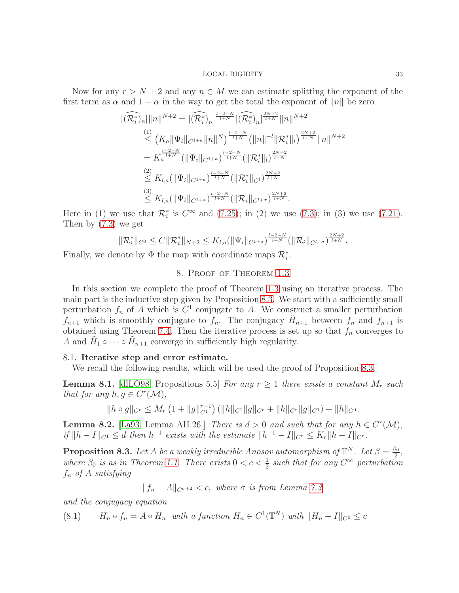Now for any  $r > N + 2$  and any  $n \in M$  we can estimate splitting the exponent of the first term as  $\alpha$  and  $1 - \alpha$  in the way to get the total the exponent of  $||n||$  be zero

$$
\begin{split}\n\lVert (\widehat{\mathcal{R}_{i}^{*}})_{n} \rVert \|n\|^{N+2} &= \lVert (\widehat{\mathcal{R}_{i}^{*}})_{n} \rVert^{\frac{l-2-N}{l+N}} \lVert (\widehat{\mathcal{R}_{i}^{*}})_{n} \rVert^{\frac{2N+2}{l+N}} \lVert n \rVert^{N+2} \\
&\leq (K_{a} \lVert \Psi_{i} \rVert_{C^{1+a}} \lVert n \rVert^{N})^{\frac{l-2-N}{l+N}} \left( \lVert n \rVert^{-l} \lVert \mathcal{R}_{i}^{*} \rVert_{l} \right)^{\frac{2N+2}{l+N}} \lVert n \rVert^{N+2} \\
&= K_{a}^{\frac{l-2-N}{l+N}} \left( \lVert \Psi_{i} \rVert_{C^{1+a}} \right)^{\frac{l-2-N}{l+N}} \left( \lVert \mathcal{R}_{i}^{*} \rVert_{l} \right)^{\frac{2N+2}{l+N}} \\
&\leq K_{l,a} (\lVert \Psi_{i} \rVert_{C^{1+a}})^{\frac{l-2-N}{l+N}} \left( \lVert \mathcal{R}_{i}^{*} \rVert_{C^{l}} \right)^{\frac{2N+2}{l+N}} \\
&\stackrel{(3)}{\leq} K_{l,a} (\lVert \Psi_{i} \rVert_{C^{1+a}})^{\frac{l-2-N}{l+N}} \left( \lVert \mathcal{R}_{i} \rVert_{C^{l+\sigma}} \right)^{\frac{2N+2}{l+N}}.\n\end{split}
$$

Here in (1) we use that  $\mathcal{R}_i^*$  is  $C^{\infty}$  and [\(7.25\)](#page-31-2); in (2) we use [\(7.3\)](#page-23-2); in (3) we use [\(7.21\)](#page-30-3). Then by [\(7.3\)](#page-23-2) we get

$$
\|\mathcal{R}_i^*\|_{C^0} \leq C \|\mathcal{R}_i^*\|_{N+2} \leq K_{l,a}(\|\Psi_i\|_{C^{1+a}})^{\frac{l-2-N}{l+N}} (\|\mathcal{R}_i\|_{C^{l+\sigma}})^{\frac{2N+2}{l+N}}.
$$

<span id="page-32-0"></span>Finally, we denote by  $\Phi$  the map with coordinate maps  $\mathcal{R}_i^*$ .

# 8. Proof of Theorem [1.3](#page-2-0)

In this section we complete the proof of Theorem [1.3](#page-2-0) using an iterative process. The main part is the inductive step given by Proposition [8.3.](#page-32-1) We start with a sufficiently small perturbation  $f_n$  of A which is  $C^1$  conjugate to A. We construct a smaller perturbation  $f_{n+1}$  which is smoothly conjugate to  $f_n$ . The conjugacy  $\tilde{H}_{n+1}$  between  $f_n$  and  $f_{n+1}$  is obtained using Theorem [7.4.](#page-27-0) Then the iterative process is set up so that  $f_n$  converges to A and  $\tilde{H}_1 \circ \cdots \circ \tilde{H}_{n+1}$  converge in sufficiently high regularity.

# 8.1. Iterative step and error estimate.

We recall the following results, which will be used the proof of Proposition [8.3.](#page-32-1)

<span id="page-32-4"></span>**Lemma 8.1.** [\[dlLO98,](#page-40-20) Propositions 5.5] For any  $r \geq 1$  there exists a constant  $M_r$  such that for any  $h, g \in C^r(\mathcal{M}),$ 

$$
||h \circ g||_{C^r} \le M_r \left(1 + ||g||_{C^1}^{r-1}\right) \left( ||h||_{C^1} ||g||_{C^r} + ||h||_{C^r} ||g||_{C^1}\right) + ||h||_{C^0}.
$$

<span id="page-32-3"></span>**Lemma 8.2.** [\[La93,](#page-40-21) Lemma AII.26.] There is  $d > 0$  and such that for any  $h \in C^{r}(\mathcal{M})$ , if  $||h-I||_{C^1} \le d$  then  $h^{-1}$  exists with the estimate  $||h^{-1} - I||_{C^r} \le K_r ||h-I||_{C^r}$ .

<span id="page-32-1"></span>**Proposition 8.3.** Let A be a weakly irreducible Anosov automorphism of  $\mathbb{T}^N$ . Let  $\beta = \frac{\beta_0}{2}$  $\frac{50}{2}$ , where  $\beta_0$  is as in Theorem [1.1.](#page-1-0) There exists  $0 < c < \frac{1}{2}$  such that for any  $C^{\infty}$  perturbation  $f_n$  of A satisfying

$$
||f_n - A||_{C^{\sigma+2}} < c
$$
, where  $\sigma$  is from Lemma 7.3,

and the conjugacy equation

<span id="page-32-2"></span>(8.1) 
$$
H_n \circ f_n = A \circ H_n \text{ with a function } H_n \in C^1(\mathbb{T}^N) \text{ with } ||H_n - I||_{C^0} \leq c
$$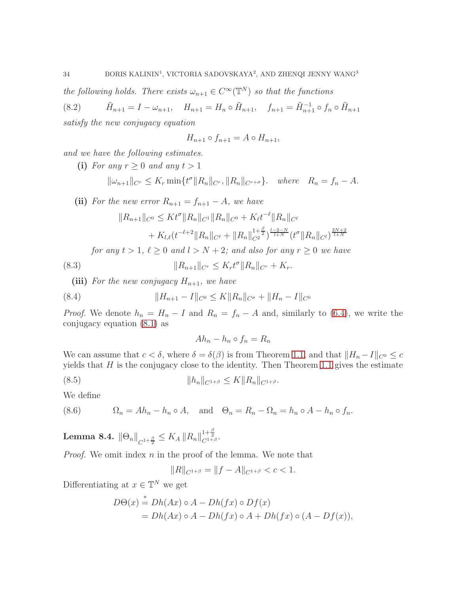the following holds. There exists  $\omega_{n+1} \in C^{\infty}(\mathbb{T}^N)$  so that the functions

 $(8.2)$  $I_{n+1} = I - \omega_{n+1}, \quad H_{n+1} = H_n \circ \tilde{H}_{n+1}, \quad f_{n+1} = \tilde{H}_{n+1}^{-1} \circ f_n \circ \tilde{H}_{n+1}$ satisfy the new conjugacy equation

$$
H_{n+1} \circ f_{n+1} = A \circ H_{n+1},
$$

and we have the following estimates.

(i) For any  $r \geq 0$  and any  $t > 1$ 

$$
\|\omega_{n+1}\|_{C^r} \le K_r \min\{t^{\sigma} \|R_n\|_{C^r}, \|R_n\|_{C^{r+\sigma}}\}. \quad where \quad R_n = f_n - A.
$$

(ii) For the new error  $R_{n+1} = f_{n+1} - A$ , we have  $||R_{n+1}||_{C^0} \leq Kt^{\sigma} ||R_n||_{C^1} ||R_n||_{C^0} + K_{\ell}t^{-\ell} ||R_n||_{C^{\ell}}$  $+ K_{l,\ell}(t^{-\ell+2} \|R_n\|_{C^{\ell}} + \|R_n\|_{C^2}^{1+\frac{\beta}{2}})^{\frac{l-2-N}{l+N}} (t^{\sigma} \|R_n\|_{C^l})^{\frac{2N+2}{l+N}}$ for any  $t > 1$ ,  $\ell \geq 0$  and  $l > N + 2$ ; and also for any  $r \geq 0$  we have (8.3)  $||R_{n+1}||_{C^r} \leq K_r t^{\sigma} ||R_n||_{C^r} + K_r.$ 

(iii) For the new conjugacy  $H_{n+1}$ , we have

<span id="page-33-3"></span>(8.4) 
$$
||H_{n+1} - I||_{C^0} \le K||R_n||_{C^{\sigma}} + ||H_n - I||_{C^0}
$$

*Proof.* We denote  $h_n = H_n - I$  and  $R_n = f_n - A$  and, similarly to [\(6.4\)](#page-21-2), we write the conjugacy equation [\(8.1\)](#page-32-2) as

$$
Ah_n - h_n \circ f_n = R_n
$$

We can assume that  $c < \delta$ , where  $\delta = \delta(\beta)$  is from Theorem [1.1,](#page-1-0) and that  $||H_n - I||_{C^0} \leq c$ yields that  $H$  is the conjugacy close to the identity. Then Theorem [1.1](#page-1-0) gives the estimate

<span id="page-33-1"></span>
$$
(8.5) \t\t\t ||h_n||_{C^{1+\beta}} \leq K ||R_n||_{C^{1+\beta}}.
$$

We define

<span id="page-33-2"></span>(8.6)  $\Omega_n = Ah_n - h_n \circ A$ , and  $\Theta_n = R_n - \Omega_n = h_n \circ A - h_n \circ f_n$ .

<span id="page-33-0"></span>Lemma 8.4.  $\|\Theta_n\|_{C^{1+\frac{\beta}{2}}}\leq K_A\, \|R_n\|_{C^{1+\beta}}^{1+\frac{\beta}{2}}.$ 

*Proof.* We omit index  $n$  in the proof of the lemma. We note that

$$
||R||_{C^{1+\beta}} = ||f - A||_{C^{1+\beta}} < c < 1.
$$

Differentiating at  $x \in \mathbb{T}^N$  we get

$$
D\Theta(x) \stackrel{*}{=} Dh(Ax) \circ A - Dh(fx) \circ Df(x)
$$
  
= Dh(Ax) \circ A - Dh(fx) \circ A + Dh(fx) \circ (A - Df(x)),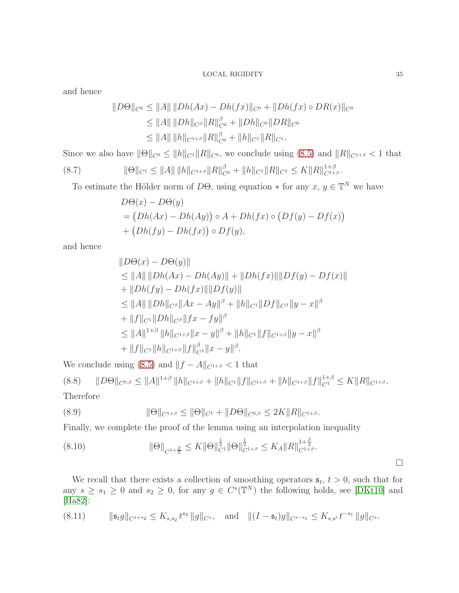and hence

$$
||D\Theta||_{C^0} \le ||A|| \, ||Dh(Ax) - Dh(fx)||_{C^0} + ||Dh(fx) \circ DR(x)||_{C^0}
$$
  
\n
$$
\le ||A|| \, ||Dh||_{C^{\beta}} ||R||_{C^0}^{\beta} + ||Dh||_{C^0} ||DR||_{C^0}
$$
  
\n
$$
\le ||A|| \, ||h||_{C^{1+\beta}} ||R||_{C^0}^{\beta} + ||h||_{C^1} ||R||_{C^1}.
$$

Since we also have  $||\Theta||_{C^0} \le ||h||_{C^1} ||R||_{C^0}$ , we conclude using [\(8.5\)](#page-33-1) and  $||R||_{C^{1+\beta}} < 1$  that

$$
(8.7) \t\t\t ||\Theta||_{C^1} \le ||A|| \, ||h||_{C^{1+\beta}} ||R||_{C^0}^{\beta} + ||h||_{C^1} ||R||_{C^1} \le K ||R||_{C^{1+\beta}}^{1+\beta}.
$$

To estimate the Hölder norm of D $\Theta$ , using equation  $*$  for any  $x, y \in \mathbb{T}^{N}$  we have

$$
D\Theta(x) - D\Theta(y)
$$
  
=  $(Dh(Ax) - Dh(Ay)) \circ A + Dh(fx) \circ (Df(y) - Df(x))$   
+  $(Dh(fy) - Dh(fx)) \circ Df(y),$ 

and hence

$$
||D\Theta(x) - D\Theta(y)||
$$
  
\n
$$
\leq ||A|| ||Dh(Ax) - Dh(Ay)|| + ||Dh(fx)|| ||Df(y) - Df(x)||
$$
  
\n
$$
+ ||Dh(fy) - Dh(fx)|| ||Df(y)||
$$
  
\n
$$
\leq ||A|| ||Dh||_{C^{\beta}} ||Ax - Ay||^{\beta} + ||h||_{C^{1}} ||Df||_{C^{\beta}} ||y - x||^{\beta}
$$
  
\n
$$
+ ||f||_{C^{1}} ||Dh||_{C^{\beta}} ||fx - fy||^{\beta}
$$
  
\n
$$
\leq ||A||^{1+\beta} ||h||_{C^{1+\beta}} ||x - y||^{\beta} + ||h||_{C^{1}} ||f||_{C^{1+\beta}} ||y - x||^{\beta}
$$
  
\n
$$
+ ||f||_{C^{1}} ||h||_{C^{1+\beta}} ||f||^{\beta}_{C^{1}} ||x - y||^{\beta}.
$$

We conclude using [\(8.5\)](#page-33-1) and  $||f - A||_{C^{1+\beta}} < 1$  that

$$
(8.8) \qquad ||D\Theta||_{C^{0,\beta}} \le ||A||^{1+\beta} ||h||_{C^{1+\beta}} + ||h||_{C^{1}} ||f||_{C^{1+\beta}} + ||h||_{C^{1+\beta}} ||f||_{C^{1}}^{1+\beta} \le K ||R||_{C^{1+\beta}}.
$$
  
Therefore

(8.9) 
$$
\|\Theta\|_{C^{1+\beta}} \le \|\Theta\|_{C^1} + \|D\Theta\|_{C^{0,\beta}} \le 2K\|R\|_{C^{1+\beta}}.
$$

Finally, we complete the proof of the lemma using an interpolation inequality

<span id="page-34-1"></span>
$$
(8.10) \t\t\t \|\Theta\|_{C^{1+\frac{\beta}{2}}} \leq K \|\Theta\|_{C^{1}}^{\frac{1}{2}} \|\Theta\|_{C^{1+\beta}}^{\frac{1}{2}} \leq K_A \|R\|_{C^{1+\beta}}^{1+\frac{\beta}{2}}.
$$

We recall that there exists a collection of smoothing operators  $s_t$ ,  $t > 0$ , such that for any  $s \geq s_1 \geq 0$  and  $s_2 \geq 0$ , for any  $g \in C^{s}(\mathbb{T}^N)$  the following holds, see [\[DKt10\]](#page-40-13) and [\[Ha82\]](#page-40-22):

<span id="page-34-0"></span>
$$
(8.11) \t||\mathfrak{s}_t g||_{C^{s+s_2}} \leq K_{s,s_2} t^{s_2} ||g||_{C^s}, \text{ and } ||(I-\mathfrak{s}_t)g||_{C^{s-s_1}} \leq K_{s,s'} t^{-s_1} ||g||_{C^s}.
$$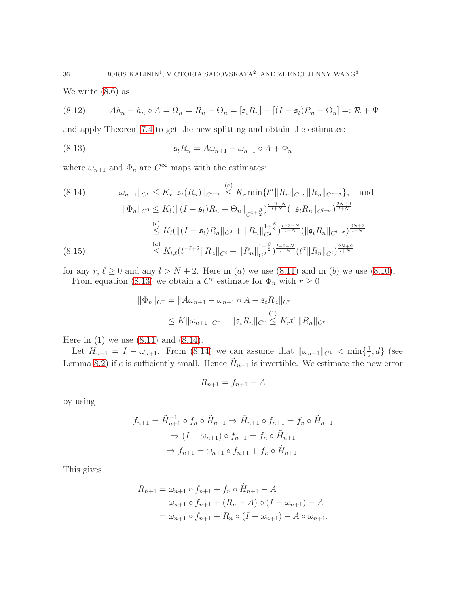We write [\(8.6\)](#page-33-2) as

<span id="page-35-0"></span>(8.12) 
$$
Ah_n - h_n \circ A = \Omega_n = R_n - \Theta_n = [\mathfrak{s}_t R_n] + [(I - \mathfrak{s}_t)R_n - \Theta_n] =: \mathcal{R} + \Psi
$$

and apply Theorem [7.4](#page-27-0) to get the new splitting and obtain the estimates:

<span id="page-35-1"></span>(8.13) 
$$
\mathfrak{s}_t R_n = A \omega_{n+1} - \omega_{n+1} \circ A + \Phi_n
$$

where  $\omega_{n+1}$  and  $\Phi_n$  are  $C^{\infty}$  maps with the estimates:

<span id="page-35-2"></span>
$$
(8.14) \t\t ||\omega_{n+1}||_{C^{r}} \leq K_{r} \|\mathfrak{s}_{t}(R_{n})\|_{C^{r+\sigma}} \leq K_{r} \min\{t^{\sigma} \|R_{n}\|_{C^{r}}, \|R_{n}\|_{C^{r+\sigma}}\}, \text{ and}
$$
  

$$
\|\Phi_{n}\|_{C^{0}} \leq K_{l}(\|(I-\mathfrak{s}_{t})R_{n}-\Theta_{n}\|_{C^{1+\frac{\beta}{2}}})^{\frac{l-2-N}{l+N}}(\|\mathfrak{s}_{t}R_{n}\|_{C^{l+\sigma}})^{\frac{2N+2}{l+N}}
$$
  

$$
\leq K_{l}(\|(I-\mathfrak{s}_{t})R_{n}\|_{C^{2}} + \|R_{n}\|_{C^{2}}^{1+\frac{\beta}{2}})^{\frac{l-2-N}{l+N}}(\|\mathfrak{s}_{t}R_{n}\|_{C^{l+\sigma}})^{\frac{2N+2}{l+N}}
$$
  

$$
(8.15) \leq K_{l,\ell}(t^{-\ell+2} \|R_{n}\|_{C^{\ell}} + \|R_{n}\|_{C^{2}}^{1+\frac{\beta}{2}})^{\frac{l-2-N}{l+N}}(t^{\sigma} \|R_{n}\|_{C^{l}})^{\frac{2N+2}{l+N}}
$$

<span id="page-35-3"></span>for any  $r, \ell \ge 0$  and any  $l > N + 2$ . Here in (a) we use [\(8.11\)](#page-34-0) and in (b) we use [\(8.10\)](#page-34-1). From equation [\(8.13\)](#page-35-1) we obtain a  $C<sup>r</sup>$  estimate for  $\Phi_n$  with  $r \geq 0$ 

$$
\|\Phi_n\|_{C^r} = \|A\omega_{n+1} - \omega_{n+1} \circ A - \mathfrak{s}_t R_n\|_{C^r}
$$
  

$$
\leq K \|\omega_{n+1}\|_{C^r} + \|\mathfrak{s}_t R_n\|_{C^r} \leq K_r t^{\sigma} \|R_n\|_{C^r}.
$$

Here in  $(1)$  we use  $(8.11)$  and  $(8.14)$ .

Let  $\tilde{H}_{n+1} = I - \omega_{n+1}$ . From [\(8.14\)](#page-35-2) we can assume that  $\|\omega_{n+1}\|_{C^1} < \min\{\frac{1}{2}$  $\frac{1}{2}$ , d} (see Lemma [8.2\)](#page-32-3) if c is sufficiently small. Hence  $\tilde{H}_{n+1}$  is invertible. We estimate the new error

$$
R_{n+1} = f_{n+1} - A
$$

by using

$$
f_{n+1} = \tilde{H}_{n+1}^{-1} \circ f_n \circ \tilde{H}_{n+1} \Rightarrow \tilde{H}_{n+1} \circ f_{n+1} = f_n \circ \tilde{H}_{n+1}
$$

$$
\Rightarrow (I - \omega_{n+1}) \circ f_{n+1} = f_n \circ \tilde{H}_{n+1}
$$

$$
\Rightarrow f_{n+1} = \omega_{n+1} \circ f_{n+1} + f_n \circ \tilde{H}_{n+1}.
$$

This gives

$$
R_{n+1} = \omega_{n+1} \circ f_{n+1} + f_n \circ \tilde{H}_{n+1} - A
$$
  
=  $\omega_{n+1} \circ f_{n+1} + (R_n + A) \circ (I - \omega_{n+1}) - A$   
=  $\omega_{n+1} \circ f_{n+1} + R_n \circ (I - \omega_{n+1}) - A \circ \omega_{n+1}.$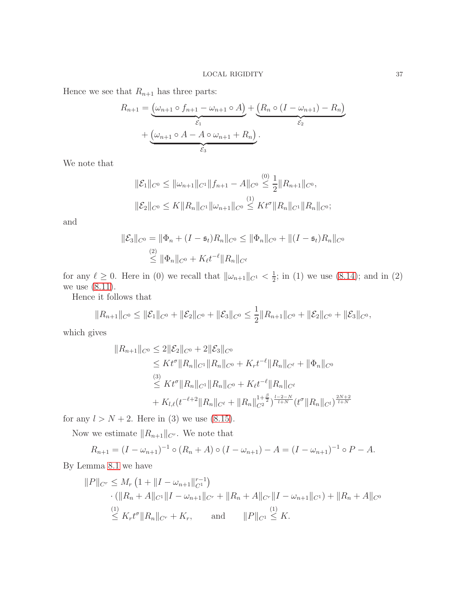Hence we see that  $R_{n+1}$  has three parts:

$$
R_{n+1} = \underbrace{(\omega_{n+1} \circ f_{n+1} - \omega_{n+1} \circ A)}_{\varepsilon_1} + \underbrace{(R_n \circ (I - \omega_{n+1}) - R_n)}_{\varepsilon_2} + \underbrace{(\omega_{n+1} \circ A - A \circ \omega_{n+1} + R_n)}_{\varepsilon_3}.
$$

We note that

$$
\|\mathcal{E}_1\|_{C^0} \le \|\omega_{n+1}\|_{C^1} \|f_{n+1} - A\|_{C^0} \le \frac{1}{2} \|R_{n+1}\|_{C^0},
$$
  

$$
\|\mathcal{E}_2\|_{C^0} \le K \|R_n\|_{C^1} \|\omega_{n+1}\|_{C^0} \le Kt^{\sigma} \|R_n\|_{C^1} \|R_n\|_{C^0};
$$

and

$$
\|\mathcal{E}_3\|_{C^0} = \|\Phi_n + (I - \mathfrak{s}_t)R_n\|_{C^0} \le \|\Phi_n\|_{C^0} + \|(I - \mathfrak{s}_t)R_n\|_{C^0}
$$
  

$$
\le \|\Phi_n\|_{C^0} + K_{\ell}t^{-\ell}\|R_n\|_{C^{\ell}}
$$

for any  $\ell \geq 0$ . Here in (0) we recall that  $\|\omega_{n+1}\|_{C^1} < \frac{1}{2}$  $\frac{1}{2}$ ; in (1) we use [\(8.14\)](#page-35-2); and in (2) we use [\(8.11\)](#page-34-0).

Hence it follows that

$$
||R_{n+1}||_{C^0} \leq ||\mathcal{E}_1||_{C^0} + ||\mathcal{E}_2||_{C^0} + ||\mathcal{E}_3||_{C^0} \leq \frac{1}{2}||R_{n+1}||_{C^0} + ||\mathcal{E}_2||_{C^0} + ||\mathcal{E}_3||_{C^0},
$$

which gives

$$
||R_{n+1}||_{C^{0}} \leq 2||\mathcal{E}_{2}||_{C^{0}} + 2||\mathcal{E}_{3}||_{C^{0}}
$$
  
\n
$$
\leq Kt^{\sigma}||R_{n}||_{C^{1}}||R_{n}||_{C^{0}} + K_{r}t^{-\ell}||R_{n}||_{C^{\ell}} + ||\Phi_{n}||_{C^{0}}
$$
  
\n
$$
\leq Kt^{\sigma}||R_{n}||_{C^{1}}||R_{n}||_{C^{0}} + K_{\ell}t^{-\ell}||R_{n}||_{C^{\ell}}
$$
  
\n
$$
+ K_{l,\ell}(t^{-\ell+2}||R_{n}||_{C^{\ell}} + ||R_{n}||_{C^{2}}^{1+\frac{\beta}{2}})^{\frac{l-2-N}{l+N}}(t^{\sigma}||R_{n}||_{C^{l}})^{\frac{2N+2}{l+N}}
$$

for any  $l > N + 2$ . Here in (3) we use [\(8.15\)](#page-35-3).

Now we estimate  $||R_{n+1}||_{C^r}$  . We note that

$$
R_{n+1} = (I - \omega_{n+1})^{-1} \circ (R_n + A) \circ (I - \omega_{n+1}) - A = (I - \omega_{n+1})^{-1} \circ P - A.
$$

By Lemma [8.1](#page-32-4) we have

$$
||P||_{C^r} \le M_r \left(1 + ||I - \omega_{n+1}||_{C^1}^{r-1}\right)
$$
  
 
$$
\cdot (||R_n + A||_{C^1} ||I - \omega_{n+1}||_{C^r} + ||R_n + A||_{C^r} ||I - \omega_{n+1}||_{C^1}) + ||R_n + A||_{C^0}
$$
  
 
$$
\le K_r t^{\sigma} ||R_n||_{C^r} + K_r, \quad \text{and} \quad ||P||_{C^1} \le K.
$$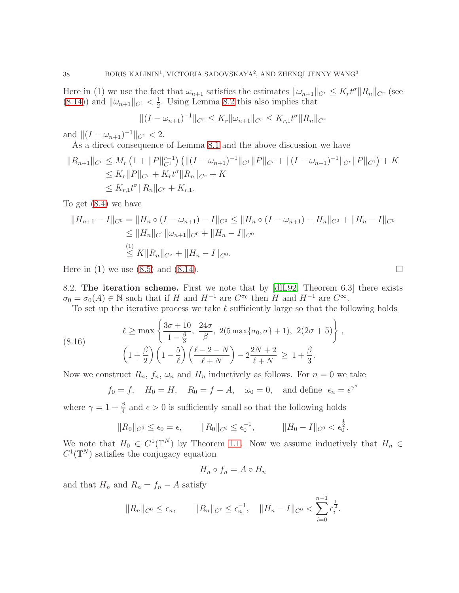Here in (1) we use the fact that  $\omega_{n+1}$  satisfies the estimates  $\|\omega_{n+1}\|_{C^r} \leq K_r t^{\sigma} \|R_n\|_{C^r}$  (see  $(8.14)$ ) and  $\|\omega_{n+1}\|_{C^1} < \frac{1}{2}$  $\frac{1}{2}$ . Using Lemma [8.2](#page-32-3) this also implies that

$$
||(I - \omega_{n+1})^{-1}||_{C^r} \le K_r ||\omega_{n+1}||_{C^r} \le K_{r,1} t^{\sigma} ||R_n||_{C^r}
$$

and  $||(I - \omega_{n+1})^{-1}||_{C^1} < 2$ .

As a direct consequence of Lemma [8.1](#page-32-4) and the above discussion we have

$$
||R_{n+1}||_{C^r} \le M_r \left(1 + ||P||_{C^1}^{r-1}\right) \left( \|(I - \omega_{n+1})^{-1}||_{C^1} ||P||_{C^r} + \|(I - \omega_{n+1})^{-1}||_{C^r} ||P||_{C^1} \right) + K
$$
  
\n
$$
\le K_r ||P||_{C^r} + K_r t^{\sigma} ||R_n||_{C^r} + K
$$
  
\n
$$
\le K_{r,1} t^{\sigma} ||R_n||_{C^r} + K_{r,1}.
$$

To get [\(8.4\)](#page-33-3) we have

$$
||H_{n+1} - I||_{C^0} = ||H_n \circ (I - \omega_{n+1}) - I||_{C^0} \le ||H_n \circ (I - \omega_{n+1}) - H_n||_{C^0} + ||H_n - I||_{C^0}
$$
  
\n
$$
\le ||H_n||_{C^1} ||\omega_{n+1}||_{C^0} + ||H_n - I||_{C^0}
$$
  
\n
$$
\le ||H_n||_{C^1} + ||H_n - I||_{C^0}.
$$

Here in (1) we use [\(8.5\)](#page-33-1) and [\(8.14\)](#page-35-2).

8.2. The iteration scheme. First we note that by [\[dlL92,](#page-40-2) Theorem 6.3] there exists  $\sigma_0 = \sigma_0(A) \in \mathbb{N}$  such that if H and  $H^{-1}$  are  $C^{\sigma_0}$  then H and  $H^{-1}$  are  $C^{\infty}$ .

To set up the iterative process we take  $\ell$  sufficiently large so that the following holds

(8.16) 
$$
\ell \ge \max \left\{ \frac{3\sigma + 10}{1 - \frac{\beta}{3}}, \frac{24\sigma}{\beta}, 2(5 \max{\{\sigma_0, \sigma\}} + 1), 2(2\sigma + 5) \right\}, \n\left(1 + \frac{\beta}{2}\right) \left(1 - \frac{5}{\ell}\right) \left(\frac{\ell - 2 - N}{\ell + N}\right) - 2\frac{2N + 2}{\ell + N} \ge 1 + \frac{\beta}{3}.
$$

Now we construct  $R_n$ ,  $f_n$ ,  $\omega_n$  and  $H_n$  inductively as follows. For  $n = 0$  we take

<span id="page-37-0"></span>
$$
f_0 = f
$$
,  $H_0 = H$ ,  $R_0 = f - A$ ,  $\omega_0 = 0$ , and define  $\epsilon_n = \epsilon^{\gamma^n}$ 

where  $\gamma = 1 + \frac{\beta}{4}$  and  $\epsilon > 0$  is sufficiently small so that the following holds

$$
||R_0||_{C^0} \le \epsilon_0 = \epsilon, \qquad ||R_0||_{C^{\ell}} \le \epsilon_0^{-1}, \qquad ||H_0 - I||_{C^0} < \epsilon_0^{\frac{1}{2}}.
$$

We note that  $H_0 \in C^1(\mathbb{T}^N)$  by Theorem [1.1.](#page-1-0) Now we assume inductively that  $H_n \in$  $C^1(\mathbb{T}^N)$  satisfies the conjugacy equation

$$
H_n \circ f_n = A \circ H_n
$$

and that  $H_n$  and  $R_n = f_n - A$  satisfy

$$
||R_n||_{C^0} \leq \epsilon_n
$$
,  $||R_n||_{C^{\ell}} \leq \epsilon_n^{-1}$ ,  $||H_n - I||_{C^0} < \sum_{i=0}^{n-1} \epsilon_i^{\frac{1}{2}}$ .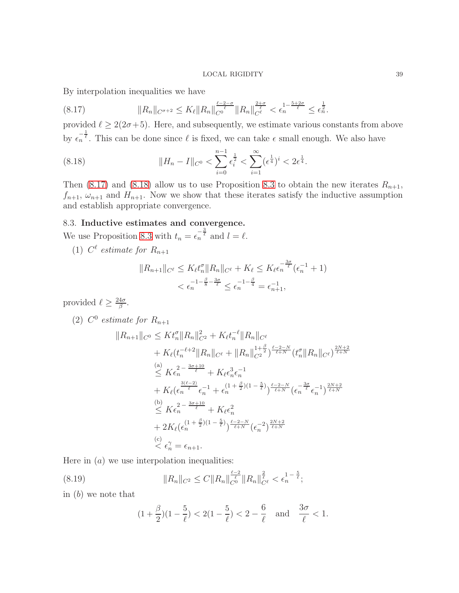By interpolation inequalities we have

<span id="page-38-0"></span>
$$
(8.17) \t\t\t ||R_n||_{C^{\sigma+2}} \leq K_{\ell} ||R_n||_{C^0}^{\frac{\ell-2-\sigma}{\ell}} ||R_n||_{C^{\ell}}^{\frac{2+\sigma}{\ell}} < \epsilon_n^{1-\frac{5+2\sigma}{\ell}} \leq \epsilon_n^{\frac{1}{2}}.
$$

provided  $\ell \geq 2(2\sigma+5)$ . Here, and subsequently, we estimate various constants from above by  $\epsilon_n^{-\frac{1}{\ell}}$ . This can be done since  $\ell$  is fixed, we can take  $\epsilon$  small enough. We also have

<span id="page-38-1"></span>(8.18) 
$$
||H_n - I||_{C^0} < \sum_{i=0}^{n-1} \epsilon_i^{\frac{1}{2}} < \sum_{i=1}^{\infty} (\epsilon^{\frac{1}{4}})^i < 2\epsilon^{\frac{1}{4}}.
$$

Then [\(8.17\)](#page-38-0) and [\(8.18\)](#page-38-1) allow us to use Proposition [8.3](#page-32-1) to obtain the new iterates  $R_{n+1}$ ,  $f_{n+1}, \omega_{n+1}$  and  $H_{n+1}$ . Now we show that these iterates satisfy the inductive assumption and establish appropriate convergence.

# 8.3. Inductive estimates and convergence.

We use Proposition [8.3](#page-32-1) with  $t_n = \epsilon_n^{-\frac{3}{\ell}}$  and  $l = \ell$ .

(1)  $C^{\ell}$  estimate for  $R_{n+1}$ 

$$
||R_{n+1}||_{C^{\ell}} \le K_{\ell}t_n^{\sigma}||R_n||_{C^{\ell}} + K_{\ell} \le K_{\ell}\epsilon_n^{-\frac{3\sigma}{\ell}}(\epsilon_n^{-1} + 1)
$$
  
 $< \epsilon_n^{-1-\frac{\beta}{8}-\frac{3\sigma}{\ell}} \le \epsilon_n^{-1-\frac{\beta}{4}} = \epsilon_{n+1}^{-1},$ 

provided  $\ell \geq \frac{24\sigma}{\beta}$  $\frac{4\sigma}{\beta}$  .

(2)  $C^0$  estimate for  $R_{n+1}$ 

$$
||R_{n+1}||_{C^{0}} \leq K t_{n}^{\sigma} ||R_{n}||_{C^{2}}^{2} + K_{\ell} t_{n}^{-\ell} ||R_{n}||_{C^{\ell}} + K_{\ell} (t_{n}^{-\ell+2} ||R_{n}||_{C^{\ell}} + ||R_{n}||_{C^{2}}^{1+\frac{\beta}{2}})^{\frac{\ell-2-N}{\ell+N}} (t_{n}^{\sigma} ||R_{n}||_{C^{\ell}})^{\frac{2N+2}{\ell+N}} \n\leq K \epsilon_{n}^{2-\frac{3\sigma+10}{\ell}} + K_{\ell} \epsilon_{n}^{3} \epsilon_{n}^{-1} + K_{\ell} (\epsilon_{n}^{\frac{3(\ell-2)}{\ell}} \epsilon_{n}^{-1} + \epsilon_{n}^{(1+\frac{\beta}{2})(1-\frac{5}{\ell})})^{\frac{\ell-2-N}{\ell+N}} (\epsilon_{n}^{-\frac{3\sigma}{\ell}} \epsilon_{n}^{-1})^{\frac{2N+2}{\ell+N}} \n\leq K \epsilon_{n}^{2-\frac{3\sigma+10}{\ell}} + K_{\ell} \epsilon_{n}^{2} + 2K_{\ell} (\epsilon_{n}^{(1+\frac{\beta}{2})(1-\frac{5}{\ell})})^{\frac{\ell-2-N}{\ell+N}} (\epsilon_{n}^{-2})^{\frac{2N+2}{\ell+N}} \n\leq \epsilon_{n}^{2} = \epsilon_{n+1}.
$$

Here in  $(a)$  we use interpolation inequalities:

(8.19) 
$$
||R_n||_{C^2} \leq C||R_n||_{C^0}^{\frac{\ell-2}{\ell}}||R_n||_{C^{\ell}}^{\frac{2}{\ell}} < \epsilon_n^{1-\frac{5}{\ell}};
$$

in (b) we note that

$$
(1+\frac{\beta}{2})(1-\frac{5}{\ell}) < 2(1-\frac{5}{\ell}) < 2-\frac{6}{\ell} \text{ and } \frac{3\sigma}{\ell} < 1.
$$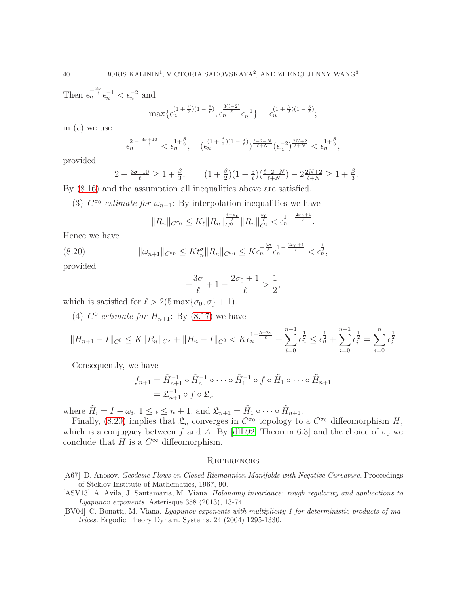Then  $\epsilon_n^{-\frac{3\sigma}{\ell}}\epsilon_n^{-1} < \epsilon_n^{-2}$  and

$$
\max{\{\epsilon_n^{(1+\frac{\beta}{2})(1-\frac{5}{\ell})}, \epsilon_n^{\frac{3(\ell-2)}{\ell}}\epsilon_n^{-1}\}} = \epsilon_n^{(1+\frac{\beta}{2})(1-\frac{5}{\ell})};
$$

in  $(c)$  we use

$$
\epsilon_n^{2-\frac{3\sigma+10}{\ell}}<\epsilon_n^{1+\frac{\beta}{3}},\quad (\epsilon_n^{(1+\frac{\beta}{2})(1-\frac{5}{\ell})})^{\frac{\ell-2-N}{\ell+N}}(\epsilon_n^{-2})^{\frac{2N+2}{\ell+N}}<\epsilon_n^{1+\frac{\beta}{3}},
$$

provided

$$
2 - \frac{3\sigma + 10}{\ell} \ge 1 + \frac{\beta}{3}, \qquad (1 + \frac{\beta}{2})(1 - \frac{5}{\ell})(\frac{\ell - 2 - N}{\ell + N}) - 2\frac{2N + 2}{\ell + N} \ge 1 + \frac{\beta}{3}.
$$

By [\(8.16\)](#page-37-0) and the assumption all inequalities above are satisfied.

(3)  $C^{\sigma_0}$  estimate for  $\omega_{n+1}$ : By interpolation inequalities we have

$$
||R_n||_{C^{\sigma_0}} \leq K_{\ell}||R_n||_{C^0}^{\frac{\ell-\sigma_0}{\ell}}||R_n||_{C^{\ell}}^{\frac{\sigma_0}{\ell}} < \epsilon_n^{1-\frac{2\sigma_0+1}{\ell}}.
$$

Hence we have

<span id="page-39-3"></span>
$$
(8.20) \t\t ||\omega_{n+1}||_{C^{\sigma_0}} \leq K t_n^{\sigma} ||R_n||_{C^{\sigma_0}} \leq K \epsilon_n^{-\frac{3\sigma}{\ell}} \epsilon_n^{1-\frac{2\sigma_0+1}{\ell}} < \epsilon_n^{\frac{1}{2}},
$$

provided

$$
-\frac{3\sigma}{\ell} + 1 - \frac{2\sigma_0 + 1}{\ell} > \frac{1}{2},
$$

which is satisfied for  $\ell > 2(5 \max{\lbrace \sigma_0, \sigma \rbrace} + 1)$ .

(4)  $C^0$  estimate for  $H_{n+1}$ : By [\(8.17\)](#page-38-0) we have

$$
||H_{n+1} - I||_{C^0} \le K||R_n||_{C^{\sigma}} + ||H_n - I||_{C^0} < K\epsilon_n^{\frac{1}{1-\frac{5+2\sigma}{\ell}}} + \sum_{i=0}^{n-1} \epsilon_n^{\frac{1}{2}} \le \epsilon_n^{\frac{1}{2}} + \sum_{i=0}^{n-1} \epsilon_i^{\frac{1}{2}} = \sum_{i=0}^n \epsilon_i^{\frac{1}{2}}
$$

Consequently, we have

$$
f_{n+1} = \tilde{H}_{n+1}^{-1} \circ \tilde{H}_n^{-1} \circ \cdots \circ \tilde{H}_1^{-1} \circ f \circ \tilde{H}_1 \circ \cdots \circ \tilde{H}_{n+1}
$$
  
=  $\mathfrak{L}_{n+1}^{-1} \circ f \circ \mathfrak{L}_{n+1}$ 

where  $\tilde{H}_i = I - \omega_i$ ,  $1 \leq i \leq n+1$ ; and  $\mathfrak{L}_{n+1} = \tilde{H}_1 \circ \cdots \circ \tilde{H}_{n+1}$ .

Finally, [\(8.20\)](#page-39-3) implies that  $\mathfrak{L}_n$  converges in  $C^{\sigma_0}$  topology to a  $C^{\sigma_0}$  diffeomorphism H, which is a conjugacy between f and A. By [\[dlL92,](#page-40-2) Theorem 6.3] and the choice of  $\sigma_0$  we conclude that H is a  $C^{\infty}$  diffeomorphism.

### **REFERENCES**

- <span id="page-39-0"></span>[A67] D. Anosov. Geodesic Flows on Closed Riemannian Manifolds with Negative Curvature. Proceedings of Steklov Institute of Mathematics, 1967, 90.
- <span id="page-39-2"></span>[ASV13] A. Avila, J. Santamaria, M. Viana. *Holonomy invariance: rough regularity and applications to* Lyapunov exponents. Asterisque 358 (2013), 13-74.
- <span id="page-39-1"></span>[BV04] C. Bonatti, M. Viana. Lyapunov exponents with multiplicity 1 for deterministic products of matrices. Ergodic Theory Dynam. Systems. 24 (2004) 1295-1330.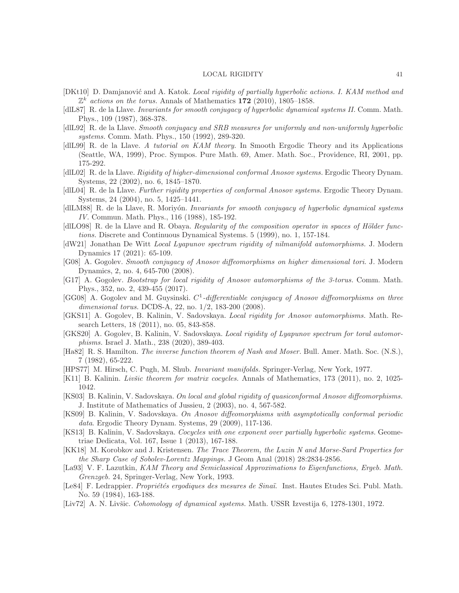- <span id="page-40-13"></span>[DKt10] D. Damjanović and A. Katok. Local rigidity of partially hyperbolic actions. I. KAM method and  $\mathbb{Z}^k$  actions on the torus. Annals of Mathematics 172 (2010), 1805–1858.
- <span id="page-40-0"></span>[dlL87] R. de la Llave. *Invariants for smooth conjugacy of hyperbolic dynamical systems II*. Comm. Math. Phys., 109 (1987), 368-378.
- <span id="page-40-2"></span>[dlL92] R. de la Llave. Smooth conjugacy and SRB measures for uniformly and non-uniformly hyperbolic systems. Comm. Math. Phys., 150 (1992), 289-320.
- <span id="page-40-19"></span>[dlL99] R. de la Llave. A tutorial on KAM theory. In Smooth Ergodic Theory and its Applications (Seattle, WA, 1999), Proc. Sympos. Pure Math. 69, Amer. Math. Soc., Providence, RI, 2001, pp. 175-292.
- <span id="page-40-3"></span>[dlL02] R. de la Llave. Rigidity of higher-dimensional conformal Anosov systems. Ergodic Theory Dynam. Systems, 22 (2002), no. 6, 1845–1870.
- <span id="page-40-5"></span>[dlL04] R. de la Llave. Further rigidity properties of conformal Anosov systems. Ergodic Theory Dynam. Systems, 24 (2004), no. 5, 1425–1441.
- <span id="page-40-1"></span>[dlLM88] R. de la Llave, R. Moriyón. Invariants for smooth conjugacy of hyperbolic dynamical systems IV. Commun. Math. Phys., 116 (1988), 185-192.
- <span id="page-40-20"></span>[dlLO98] R. de la Llave and R. Obaya. Regularity of the composition operator in spaces of Hölder functions. Discrete and Continuous Dynamical Systems. 5 (1999), no. 1, 157-184.
- <span id="page-40-11"></span>[dW21] Jonathan De Witt Local Lyapunov spectrum rigidity of nilmanifold automorphisms. J. Modern Dynamics 17 (2021): 65-109.
- <span id="page-40-8"></span>[G08] A. Gogolev. Smooth conjugacy of Anosov diffeomorphisms on higher dimensional tori. J. Modern Dynamics, 2, no. 4, 645-700 (2008).
- <span id="page-40-12"></span>[G17] A. Gogolev. Bootstrap for local rigidity of Anosov automorphisms of the 3-torus. Comm. Math. Phys., 352, no. 2, 439-455 (2017).
- <span id="page-40-7"></span>[GG08] A. Gogolev and M. Guysinski.  $C^1$ -differentiable conjugacy of Anosov diffeomorphisms on three dimensional torus. DCDS-A, 22, no. 1/2, 183-200 (2008).
- <span id="page-40-9"></span>[GKS11] A. Gogolev, B. Kalinin, V. Sadovskaya. Local rigidity for Anosov automorphisms. Math. Research Letters, 18 (2011), no. 05, 843-858.
- <span id="page-40-10"></span>[GKS20] A. Gogolev, B. Kalinin, V. Sadovskaya. Local rigidity of Lyapunov spectrum for toral automorphisms. Israel J. Math., 238 (2020), 389-403.
- <span id="page-40-22"></span>[Ha82] R. S. Hamilton. The inverse function theorem of Nash and Moser. Bull. Amer. Math. Soc. (N.S.), 7 (1982), 65-222.
- <span id="page-40-16"></span>[HPS77] M. Hirsch, C. Pugh, M. Shub. Invariant manifolds. Springer-Verlag, New York, 1977.
- <span id="page-40-15"></span>[K11] B. Kalinin. Livšic theorem for matrix cocycles. Annals of Mathematics, 173 (2011), no. 2, 1025-1042.
- <span id="page-40-4"></span>[KS03] B. Kalinin, V. Sadovskaya. On local and global rigidity of quasiconformal Anosov diffeomorphisms. J. Institute of Mathematics of Jussieu, 2 (2003), no. 4, 567-582.
- <span id="page-40-6"></span>[KS09] B. Kalinin, V. Sadovskaya. On Anosov diffeomorphisms with asymptotically conformal periodic data. Ergodic Theory Dynam. Systems, 29 (2009), 117-136.
- <span id="page-40-14"></span>[KS13] B. Kalinin, V. Sadovskaya. Cocycles with one exponent over partially hyperbolic systems. Geometriae Dedicata, Vol. 167, Issue 1 (2013), 167-188.
- <span id="page-40-17"></span>[KK18] M. Korobkov and J. Kristensen. The Trace Theorem, the Luzin N and Morse-Sard Properties for the Sharp Case of Sobolev-Lorentz Mappings. J Geom Anal (2018) 28:2834-2856.
- <span id="page-40-21"></span>[La93] V. F. Lazutkin, KAM Theory and Semiclassical Approximations to Eigenfunctions, Ergeb. Math. Grenzgeb. 24, Springer-Verlag, New York, 1993.
- <span id="page-40-18"></span>[Le84] F. Ledrappier. *Propriétés ergodiques des mesures de Sinaï*. Inst. Hautes Etudes Sci. Publ. Math. No. 59 (1984), 163-188.
- [Liv72] A. N. Livšic. *Cohomology of dynamical systems*. Math. USSR Izvestija 6, 1278-1301, 1972.